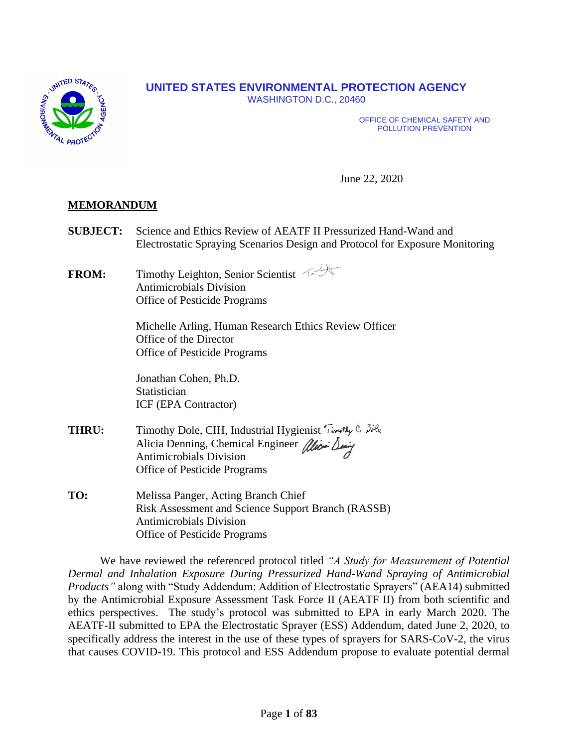

# **UNITED STATES ENVIRONMENTAL PROTECTION AGENCY**

WASHINGTON D.C., 20460

OFFICE OF CHEMICAL SAFETY AND POLLUTION PREVENTION

June 22, 2020

## **MEMORANDUM**

- **SUBJECT:** Science and Ethics Review of AEATF II Pressurized Hand-Wand and Electrostatic Spraying Scenarios Design and Protocol for Exposure Monitoring
- **FROM:** Timothy Leighton, Senior Scientist Antimicrobials Division Office of Pesticide Programs

Michelle Arling, Human Research Ethics Review Officer Office of the Director Office of Pesticide Programs

Jonathan Cohen, Ph.D. Statistician ICF (EPA Contractor)

- **THRU:** Timothy Dole, CIH, Industrial Hygienist Timothy C. Dole Alicia Denning, Chemical Engineer alice Deniy Antimicrobials Division Office of Pesticide Programs
- **TO:** Melissa Panger, Acting Branch Chief Risk Assessment and Science Support Branch (RASSB) Antimicrobials Division Office of Pesticide Programs

We have reviewed the referenced protocol titled *"A Study for Measurement of Potential Dermal and Inhalation Exposure During Pressurized Hand-Wand Spraying of Antimicrobial Products"* along with "Study Addendum: Addition of Electrostatic Sprayers" (AEA14) submitted by the Antimicrobial Exposure Assessment Task Force II (AEATF II) from both scientific and ethics perspectives. The study's protocol was submitted to EPA in early March 2020. The AEATF-II submitted to EPA the Electrostatic Sprayer (ESS) Addendum, dated June 2, 2020, to specifically address the interest in the use of these types of sprayers for SARS-CoV-2, the virus that causes COVID-19. This protocol and ESS Addendum propose to evaluate potential dermal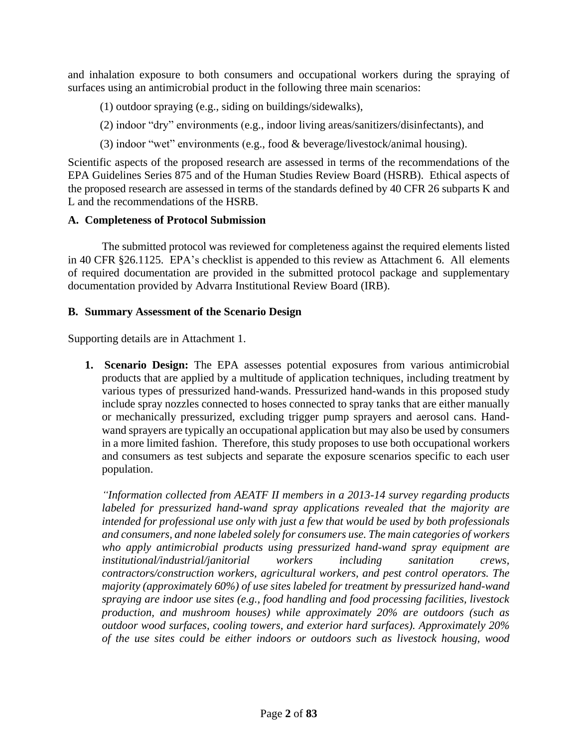and inhalation exposure to both consumers and occupational workers during the spraying of surfaces using an antimicrobial product in the following three main scenarios:

- (1) outdoor spraying (e.g., siding on buildings/sidewalks),
- (2) indoor "dry" environments (e.g., indoor living areas/sanitizers/disinfectants), and
- (3) indoor "wet" environments (e.g., food & beverage/livestock/animal housing).

Scientific aspects of the proposed research are assessed in terms of the recommendations of the EPA Guidelines Series 875 and of the Human Studies Review Board (HSRB). Ethical aspects of the proposed research are assessed in terms of the standards defined by 40 CFR 26 subparts K and L and the recommendations of the HSRB.

### **A. Completeness of Protocol Submission**

The submitted protocol was reviewed for completeness against the required elements listed in 40 CFR §26.1125. EPA's checklist is appended to this review as Attachment 6. All elements of required documentation are provided in the submitted protocol package and supplementary documentation provided by Advarra Institutional Review Board (IRB).

### **B. Summary Assessment of the Scenario Design**

Supporting details are in Attachment 1.

**1. Scenario Design:** The EPA assesses potential exposures from various antimicrobial products that are applied by a multitude of application techniques, including treatment by various types of pressurized hand-wands. Pressurized hand-wands in this proposed study include spray nozzles connected to hoses connected to spray tanks that are either manually or mechanically pressurized, excluding trigger pump sprayers and aerosol cans. Handwand sprayers are typically an occupational application but may also be used by consumers in a more limited fashion. Therefore, this study proposes to use both occupational workers and consumers as test subjects and separate the exposure scenarios specific to each user population.

*"Information collected from AEATF II members in a 2013-14 survey regarding products labeled for pressurized hand-wand spray applications revealed that the majority are intended for professional use only with just a few that would be used by both professionals and consumers, and none labeled solely for consumers use. The main categories of workers who apply antimicrobial products using pressurized hand-wand spray equipment are institutional/industrial/janitorial workers including sanitation crews, contractors/construction workers, agricultural workers, and pest control operators. The majority (approximately 60%) of use sites labeled for treatment by pressurized hand-wand spraying are indoor use sites (e.g., food handling and food processing facilities, livestock production, and mushroom houses) while approximately 20% are outdoors (such as outdoor wood surfaces, cooling towers, and exterior hard surfaces). Approximately 20% of the use sites could be either indoors or outdoors such as livestock housing, wood*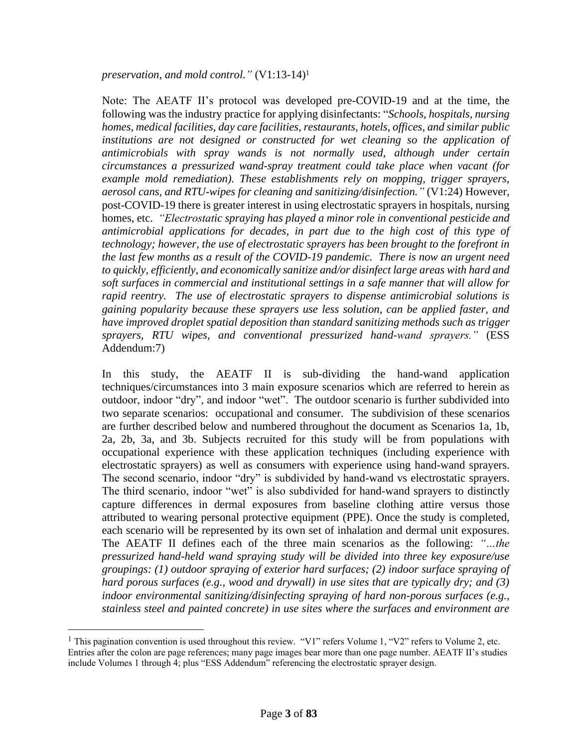*preservation, and mold control."* (V1:13-14)<sup>1</sup>

Note: The AEATF II's protocol was developed pre-COVID-19 and at the time, the following was the industry practice for applying disinfectants: "*Schools, hospitals, nursing homes, medical facilities, day care facilities, restaurants, hotels, offices, and similar public*  institutions are not designed or constructed for wet cleaning so the application of *antimicrobials with spray wands is not normally used, although under certain circumstances a pressurized wand-spray treatment could take place when vacant (for example mold remediation). These establishments rely on mopping, trigger sprayers, aerosol cans, and RTU-wipes for cleaning and sanitizing/disinfection."* (V1:24) However, post-COVID-19 there is greater interest in using electrostatic sprayers in hospitals, nursing homes, etc. *"Electrostatic spraying has played a minor role in conventional pesticide and antimicrobial applications for decades, in part due to the high cost of this type of technology; however, the use of electrostatic sprayers has been brought to the forefront in the last few months as a result of the COVID-19 pandemic. There is now an urgent need to quickly, efficiently, and economically sanitize and/or disinfect large areas with hard and soft surfaces in commercial and institutional settings in a safe manner that will allow for rapid reentry. The use of electrostatic sprayers to dispense antimicrobial solutions is gaining popularity because these sprayers use less solution, can be applied faster, and have improved droplet spatial deposition than standard sanitizing methods such as trigger sprayers, RTU wipes, and conventional pressurized hand-wand sprayers."* (ESS Addendum:7)

In this study, the AEATF II is sub-dividing the hand-wand application techniques/circumstances into 3 main exposure scenarios which are referred to herein as outdoor, indoor "dry", and indoor "wet". The outdoor scenario is further subdivided into two separate scenarios: occupational and consumer. The subdivision of these scenarios are further described below and numbered throughout the document as Scenarios 1a, 1b, 2a, 2b, 3a, and 3b. Subjects recruited for this study will be from populations with occupational experience with these application techniques (including experience with electrostatic sprayers) as well as consumers with experience using hand-wand sprayers. The second scenario, indoor "dry" is subdivided by hand-wand vs electrostatic sprayers. The third scenario, indoor "wet" is also subdivided for hand-wand sprayers to distinctly capture differences in dermal exposures from baseline clothing attire versus those attributed to wearing personal protective equipment (PPE). Once the study is completed, each scenario will be represented by its own set of inhalation and dermal unit exposures. The AEATF II defines each of the three main scenarios as the following: *"…the pressurized hand-held wand spraying study will be divided into three key exposure/use groupings: (1) outdoor spraying of exterior hard surfaces; (2) indoor surface spraying of hard porous surfaces (e.g., wood and drywall) in use sites that are typically dry; and (3) indoor environmental sanitizing/disinfecting spraying of hard non-porous surfaces (e.g., stainless steel and painted concrete) in use sites where the surfaces and environment are* 

<sup>&</sup>lt;sup>1</sup> This pagination convention is used throughout this review. "V1" refers Volume 1, "V2" refers to Volume 2, etc. Entries after the colon are page references; many page images bear more than one page number. AEATF II's studies include Volumes 1 through 4; plus "ESS Addendum" referencing the electrostatic sprayer design.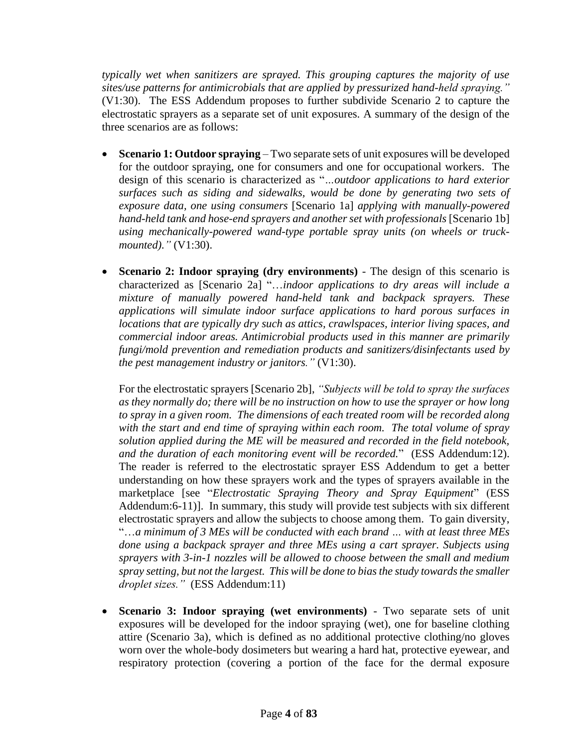*typically wet when sanitizers are sprayed. This grouping captures the majority of use sites/use patterns for antimicrobials that are applied by pressurized hand-held spraying."* (V1:30). The ESS Addendum proposes to further subdivide Scenario 2 to capture the electrostatic sprayers as a separate set of unit exposures. A summary of the design of the three scenarios are as follows:

- **Scenario 1: Outdoor spraying** Two separate sets of unit exposures will be developed for the outdoor spraying, one for consumers and one for occupational workers. The design of this scenario is characterized as "*…outdoor applications to hard exterior surfaces such as siding and sidewalks, would be done by generating two sets of exposure data, one using consumers* [Scenario 1a] *applying with manually-powered hand-held tank and hose-end sprayers and another set with professionals* [Scenario 1b] *using mechanically-powered wand-type portable spray units (on wheels or truckmounted)."* (V1:30).
- **Scenario 2: Indoor spraying (dry environments)** The design of this scenario is characterized as [Scenario 2a] "…*indoor applications to dry areas will include a mixture of manually powered hand-held tank and backpack sprayers. These applications will simulate indoor surface applications to hard porous surfaces in locations that are typically dry such as attics, crawlspaces, interior living spaces, and commercial indoor areas. Antimicrobial products used in this manner are primarily fungi/mold prevention and remediation products and sanitizers/disinfectants used by the pest management industry or janitors."* (V1:30).

For the electrostatic sprayers [Scenario 2b], *"Subjects will be told to spray the surfaces as they normally do; there will be no instruction on how to use the sprayer or how long to spray in a given room. The dimensions of each treated room will be recorded along with the start and end time of spraying within each room. The total volume of spray solution applied during the ME will be measured and recorded in the field notebook, and the duration of each monitoring event will be recorded.*" (ESS Addendum:12). The reader is referred to the electrostatic sprayer ESS Addendum to get a better understanding on how these sprayers work and the types of sprayers available in the marketplace [see "*Electrostatic Spraying Theory and Spray Equipment*" (ESS Addendum:6-11)]. In summary, this study will provide test subjects with six different electrostatic sprayers and allow the subjects to choose among them. To gain diversity, "…*a minimum of 3 MEs will be conducted with each brand … with at least three MEs done using a backpack sprayer and three MEs using a cart sprayer. Subjects using sprayers with 3-in-1 nozzles will be allowed to choose between the small and medium spray setting, but not the largest. This will be done to bias the study towards the smaller droplet sizes."* (ESS Addendum:11)

• **Scenario 3: Indoor spraying (wet environments)** - Two separate sets of unit exposures will be developed for the indoor spraying (wet), one for baseline clothing attire (Scenario 3a), which is defined as no additional protective clothing/no gloves worn over the whole-body dosimeters but wearing a hard hat, protective eyewear, and respiratory protection (covering a portion of the face for the dermal exposure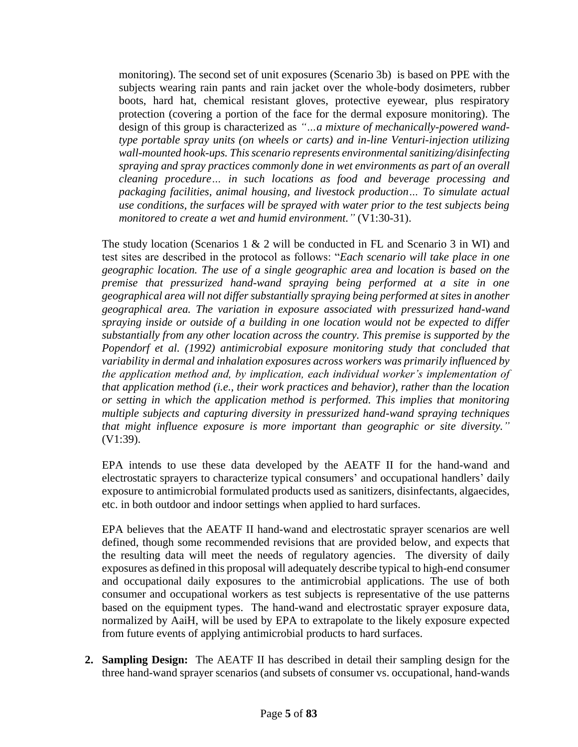monitoring). The second set of unit exposures (Scenario 3b) is based on PPE with the subjects wearing rain pants and rain jacket over the whole-body dosimeters, rubber boots, hard hat, chemical resistant gloves, protective eyewear, plus respiratory protection (covering a portion of the face for the dermal exposure monitoring). The design of this group is characterized as *"…a mixture of mechanically-powered wandtype portable spray units (on wheels or carts) and in-line Venturi-injection utilizing*  wall-mounted hook-ups. This scenario represents environmental sanitizing/disinfecting *spraying and spray practices commonly done in wet environments as part of an overall cleaning procedure… in such locations as food and beverage processing and packaging facilities, animal housing, and livestock production… To simulate actual use conditions, the surfaces will be sprayed with water prior to the test subjects being monitored to create a wet and humid environment."* (V1:30-31).

The study location (Scenarios  $1 \& 2$  will be conducted in FL and Scenario 3 in WI) and test sites are described in the protocol as follows: "*Each scenario will take place in one geographic location. The use of a single geographic area and location is based on the premise that pressurized hand-wand spraying being performed at a site in one geographical area will not differ substantially spraying being performed at sites in another geographical area. The variation in exposure associated with pressurized hand-wand spraying inside or outside of a building in one location would not be expected to differ substantially from any other location across the country. This premise is supported by the Popendorf et al. (1992) antimicrobial exposure monitoring study that concluded that variability in dermal and inhalation exposures across workers was primarily influenced by the application method and, by implication, each individual worker's implementation of that application method (i.e., their work practices and behavior), rather than the location or setting in which the application method is performed. This implies that monitoring multiple subjects and capturing diversity in pressurized hand-wand spraying techniques that might influence exposure is more important than geographic or site diversity."* (V1:39).

EPA intends to use these data developed by the AEATF II for the hand-wand and electrostatic sprayers to characterize typical consumers' and occupational handlers' daily exposure to antimicrobial formulated products used as sanitizers, disinfectants, algaecides, etc. in both outdoor and indoor settings when applied to hard surfaces.

EPA believes that the AEATF II hand-wand and electrostatic sprayer scenarios are well defined, though some recommended revisions that are provided below, and expects that the resulting data will meet the needs of regulatory agencies. The diversity of daily exposures as defined in this proposal will adequately describe typical to high-end consumer and occupational daily exposures to the antimicrobial applications. The use of both consumer and occupational workers as test subjects is representative of the use patterns based on the equipment types. The hand-wand and electrostatic sprayer exposure data, normalized by AaiH, will be used by EPA to extrapolate to the likely exposure expected from future events of applying antimicrobial products to hard surfaces.

**2. Sampling Design:** The AEATF II has described in detail their sampling design for the three hand-wand sprayer scenarios (and subsets of consumer vs. occupational, hand-wands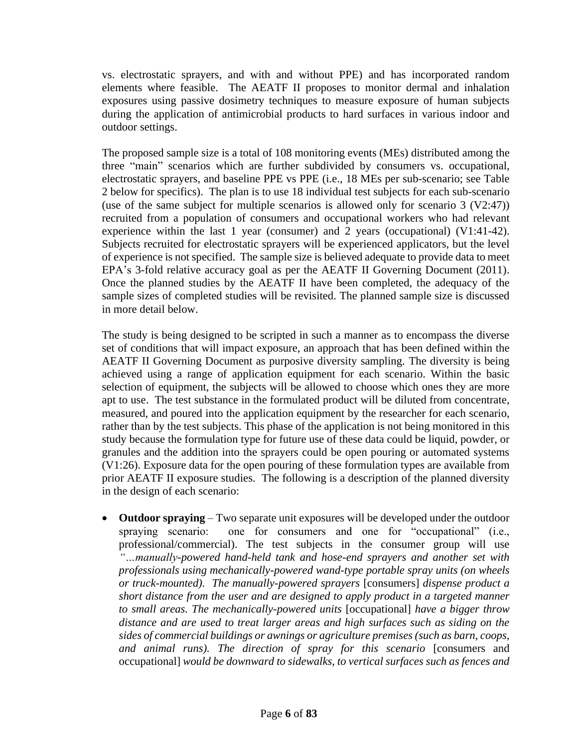vs. electrostatic sprayers, and with and without PPE) and has incorporated random elements where feasible.The AEATF II proposes to monitor dermal and inhalation exposures using passive dosimetry techniques to measure exposure of human subjects during the application of antimicrobial products to hard surfaces in various indoor and outdoor settings.

The proposed sample size is a total of 108 monitoring events (MEs) distributed among the three "main" scenarios which are further subdivided by consumers vs. occupational, electrostatic sprayers, and baseline PPE vs PPE (i.e., 18 MEs per sub-scenario; see Table 2 below for specifics). The plan is to use 18 individual test subjects for each sub-scenario (use of the same subject for multiple scenarios is allowed only for scenario 3 (V2:47)) recruited from a population of consumers and occupational workers who had relevant experience within the last 1 year (consumer) and 2 years (occupational) (V1:41-42). Subjects recruited for electrostatic sprayers will be experienced applicators, but the level of experience is not specified. The sample size is believed adequate to provide data to meet EPA's 3-fold relative accuracy goal as per the AEATF II Governing Document (2011). Once the planned studies by the AEATF II have been completed, the adequacy of the sample sizes of completed studies will be revisited. The planned sample size is discussed in more detail below.

The study is being designed to be scripted in such a manner as to encompass the diverse set of conditions that will impact exposure, an approach that has been defined within the AEATF II Governing Document as purposive diversity sampling. The diversity is being achieved using a range of application equipment for each scenario. Within the basic selection of equipment, the subjects will be allowed to choose which ones they are more apt to use. The test substance in the formulated product will be diluted from concentrate, measured, and poured into the application equipment by the researcher for each scenario, rather than by the test subjects. This phase of the application is not being monitored in this study because the formulation type for future use of these data could be liquid, powder, or granules and the addition into the sprayers could be open pouring or automated systems (V1:26). Exposure data for the open pouring of these formulation types are available from prior AEATF II exposure studies. The following is a description of the planned diversity in the design of each scenario:

• **Outdoor spraying** – Two separate unit exposures will be developed under the outdoor spraying scenario: one for consumers and one for "occupational" (i.e., professional/commercial). The test subjects in the consumer group will use *"…manually-powered hand-held tank and hose-end sprayers and another set with professionals using mechanically-powered wand-type portable spray units (on wheels or truck-mounted). The manually-powered sprayers* [consumers] *dispense product a short distance from the user and are designed to apply product in a targeted manner to small areas. The mechanically-powered units* [occupational] *have a bigger throw distance and are used to treat larger areas and high surfaces such as siding on the sides of commercial buildings or awnings or agriculture premises (such as barn, coops, and animal runs). The direction of spray for this scenario* [consumers and occupational] *would be downward to sidewalks, to vertical surfaces such as fences and*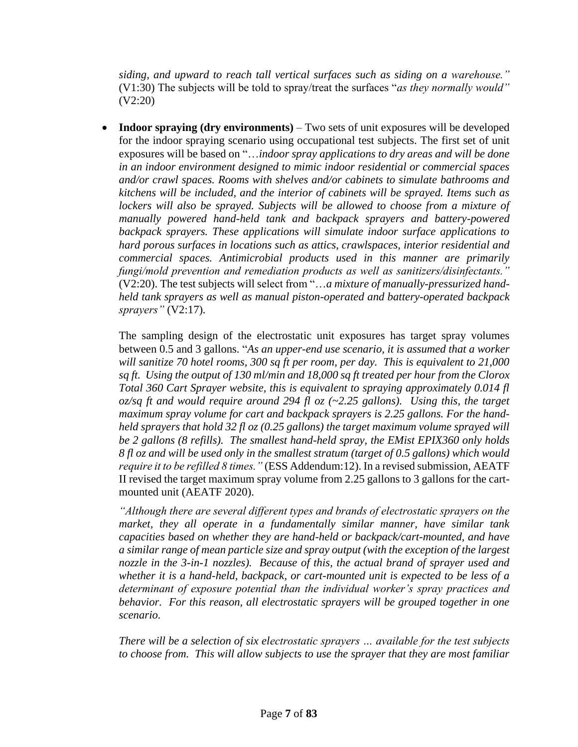*siding, and upward to reach tall vertical surfaces such as siding on a warehouse."* (V1:30) The subjects will be told to spray/treat the surfaces "*as they normally would"* (V2:20)

• **Indoor spraying (dry environments)** – Two sets of unit exposures will be developed for the indoor spraying scenario using occupational test subjects. The first set of unit exposures will be based on "…*indoor spray applications to dry areas and will be done in an indoor environment designed to mimic indoor residential or commercial spaces and/or crawl spaces. Rooms with shelves and/or cabinets to simulate bathrooms and kitchens will be included, and the interior of cabinets will be sprayed. Items such as*  lockers will also be sprayed. Subjects will be allowed to choose from a mixture of *manually powered hand-held tank and backpack sprayers and battery-powered backpack sprayers. These applications will simulate indoor surface applications to hard porous surfaces in locations such as attics, crawlspaces, interior residential and commercial spaces. Antimicrobial products used in this manner are primarily fungi/mold prevention and remediation products as well as sanitizers/disinfectants."* (V2:20). The test subjects will select from "…*a mixture of manually-pressurized handheld tank sprayers as well as manual piston-operated and battery-operated backpack sprayers"* (V2:17)*.*

The sampling design of the electrostatic unit exposures has target spray volumes between 0.5 and 3 gallons. "*As an upper-end use scenario, it is assumed that a worker will sanitize 70 hotel rooms, 300 sq ft per room, per day. This is equivalent to 21,000 sq ft. Using the output of 130 ml/min and 18,000 sq ft treated per hour from the Clorox Total 360 Cart Sprayer website, this is equivalent to spraying approximately 0.014 fl oz/sq ft and would require around 294 fl oz (~2.25 gallons). Using this, the target maximum spray volume for cart and backpack sprayers is 2.25 gallons. For the handheld sprayers that hold 32 fl oz (0.25 gallons) the target maximum volume sprayed will be 2 gallons (8 refills). The smallest hand-held spray, the EMist EPIX360 only holds 8 fl oz and will be used only in the smallest stratum (target of 0.5 gallons) which would require it to be refilled 8 times."* (ESS Addendum:12). In a revised submission, AEATF II revised the target maximum spray volume from 2.25 gallons to 3 gallons for the cartmounted unit (AEATF 2020).

*"Although there are several different types and brands of electrostatic sprayers on the market, they all operate in a fundamentally similar manner, have similar tank capacities based on whether they are hand-held or backpack/cart-mounted, and have a similar range of mean particle size and spray output (with the exception of the largest nozzle in the 3-in-1 nozzles). Because of this, the actual brand of sprayer used and whether it is a hand-held, backpack, or cart-mounted unit is expected to be less of a determinant of exposure potential than the individual worker's spray practices and behavior. For this reason, all electrostatic sprayers will be grouped together in one scenario.*

*There will be a selection of six electrostatic sprayers … available for the test subjects to choose from. This will allow subjects to use the sprayer that they are most familiar*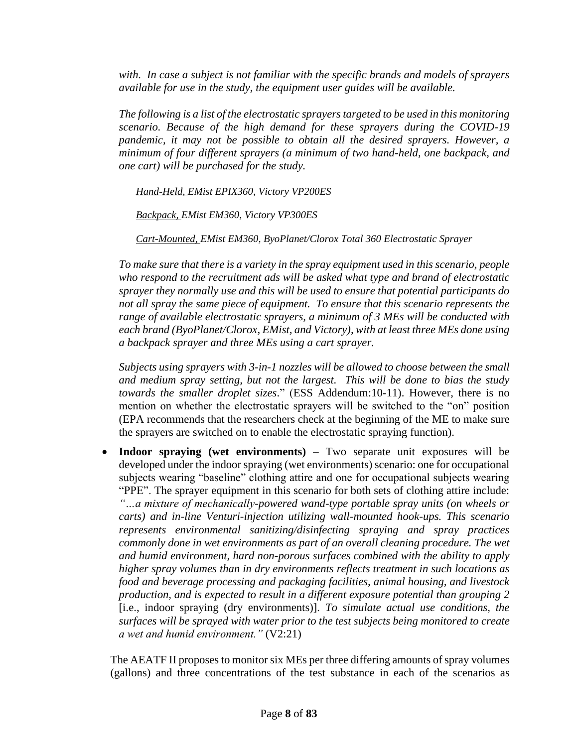*with. In case a subject is not familiar with the specific brands and models of sprayers available for use in the study, the equipment user guides will be available.*

*The following is a list of the electrostatic sprayers targeted to be used in this monitoring scenario. Because of the high demand for these sprayers during the COVID-19 pandemic, it may not be possible to obtain all the desired sprayers. However, a minimum of four different sprayers (a minimum of two hand-held, one backpack, and one cart) will be purchased for the study.*

*Hand-Held, EMist EPIX360, Victory VP200ES* 

*Backpack, EMist EM360, Victory VP300ES* 

*Cart-Mounted, EMist EM360, ByoPlanet/Clorox Total 360 Electrostatic Sprayer* 

*To make sure that there is a variety in the spray equipment used in this scenario, people who respond to the recruitment ads will be asked what type and brand of electrostatic sprayer they normally use and this will be used to ensure that potential participants do not all spray the same piece of equipment. To ensure that this scenario represents the range of available electrostatic sprayers, a minimum of 3 MEs will be conducted with each brand (ByoPlanet/Clorox, EMist, and Victory), with at least three MEs done using a backpack sprayer and three MEs using a cart sprayer.*

*Subjects using sprayers with 3-in-1 nozzles will be allowed to choose between the small and medium spray setting, but not the largest. This will be done to bias the study towards the smaller droplet sizes*." (ESS Addendum:10-11). However, there is no mention on whether the electrostatic sprayers will be switched to the "on" position (EPA recommends that the researchers check at the beginning of the ME to make sure the sprayers are switched on to enable the electrostatic spraying function).

• **Indoor spraying (wet environments)** – Two separate unit exposures will be developed under the indoor spraying (wet environments) scenario: one for occupational subjects wearing "baseline" clothing attire and one for occupational subjects wearing "PPE". The sprayer equipment in this scenario for both sets of clothing attire include: *"…a mixture of mechanically-powered wand-type portable spray units (on wheels or carts) and in-line Venturi-injection utilizing wall-mounted hook-ups. This scenario represents environmental sanitizing/disinfecting spraying and spray practices commonly done in wet environments as part of an overall cleaning procedure. The wet and humid environment, hard non-porous surfaces combined with the ability to apply higher spray volumes than in dry environments reflects treatment in such locations as food and beverage processing and packaging facilities, animal housing, and livestock production, and is expected to result in a different exposure potential than grouping 2* [i.e., indoor spraying (dry environments)]*. To simulate actual use conditions, the surfaces will be sprayed with water prior to the test subjects being monitored to create a wet and humid environment."* (V2:21)

The AEATF II proposes to monitor six MEs per three differing amounts of spray volumes (gallons) and three concentrations of the test substance in each of the scenarios as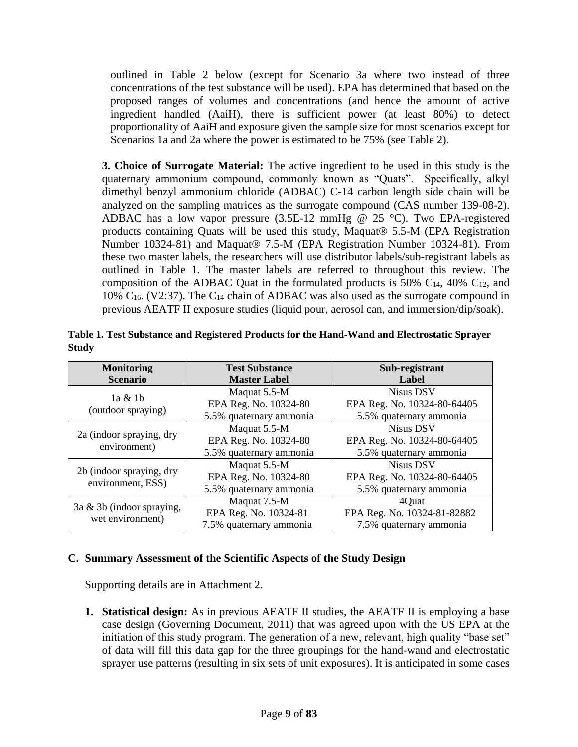outlined in Table 2 below (except for Scenario 3a where two instead of three concentrations of the test substance will be used). EPA has determined that based on the proposed ranges of volumes and concentrations (and hence the amount of active ingredient handled (AaiH), there is sufficient power (at least 80%) to detect proportionality of AaiH and exposure given the sample size for most scenarios except for Scenarios 1a and 2a where the power is estimated to be 75% (see Table 2).

**3. Choice of Surrogate Material:** The active ingredient to be used in this study is the quaternary ammonium compound, commonly known as "Quats". Specifically, alkyl dimethyl benzyl ammonium chloride (ADBAC) C-14 carbon length side chain will be analyzed on the sampling matrices as the surrogate compound (CAS number 139-08-2). ADBAC has a low vapor pressure  $(3.5E-12 \text{ mmHg} \ @ \ 25 \degree C)$ . Two EPA-registered products containing Quats will be used this study, Maquat® 5.5-M (EPA Registration Number 10324-81) and Maquat® 7.5-M (EPA Registration Number 10324-81). From these two master labels, the researchers will use distributor labels/sub-registrant labels as outlined in Table 1. The master labels are referred to throughout this review. The composition of the ADBAC Quat in the formulated products is 50%  $C_{14}$ , 40%  $C_{12}$ , and 10% C16. (V2:37). The C<sup>14</sup> chain of ADBAC was also used as the surrogate compound in previous AEATF II exposure studies (liquid pour, aerosol can, and immersion/dip/soak).

| <b>Monitoring</b>                                | <b>Test Substance</b>   | Sub-registrant              |  |
|--------------------------------------------------|-------------------------|-----------------------------|--|
| <b>Scenario</b>                                  | <b>Master Label</b>     | Label                       |  |
|                                                  | Maquat 5.5-M            | <b>Nisus DSV</b>            |  |
| $1a \& 1b$<br>(outdoor spraying)                 | EPA Reg. No. 10324-80   | EPA Reg. No. 10324-80-64405 |  |
|                                                  | 5.5% quaternary ammonia | 5.5% quaternary ammonia     |  |
| 2a (indoor spraying, dry<br>environment)         | Maquat 5.5-M            | <b>Nisus DSV</b>            |  |
|                                                  | EPA Reg. No. 10324-80   | EPA Reg. No. 10324-80-64405 |  |
|                                                  | 5.5% quaternary ammonia | 5.5% quaternary ammonia     |  |
| 2b (indoor spraying, dry<br>environment, ESS)    | Maquat 5.5-M            | Nisus DSV                   |  |
|                                                  | EPA Reg. No. 10324-80   | EPA Reg. No. 10324-80-64405 |  |
|                                                  | 5.5% quaternary ammonia | 5.5% quaternary ammonia     |  |
| $3a \& 3b$ (indoor spraying,<br>wet environment) | Maquat 7.5-M            | 4Quat                       |  |
|                                                  | EPA Reg. No. 10324-81   | EPA Reg. No. 10324-81-82882 |  |
|                                                  | 7.5% quaternary ammonia | 7.5% quaternary ammonia     |  |

**Table 1. Test Substance and Registered Products for the Hand-Wand and Electrostatic Sprayer Study** 

### **C. Summary Assessment of the Scientific Aspects of the Study Design**

Supporting details are in Attachment 2.

**1. Statistical design:** As in previous AEATF II studies, the AEATF II is employing a base case design (Governing Document, 2011) that was agreed upon with the US EPA at the initiation of this study program. The generation of a new, relevant, high quality "base set" of data will fill this data gap for the three groupings for the hand-wand and electrostatic sprayer use patterns (resulting in six sets of unit exposures). It is anticipated in some cases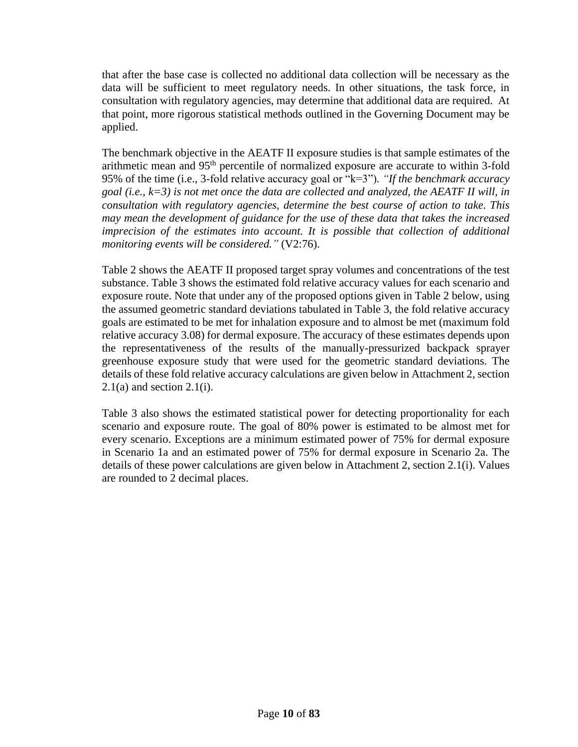that after the base case is collected no additional data collection will be necessary as the data will be sufficient to meet regulatory needs. In other situations, the task force, in consultation with regulatory agencies, may determine that additional data are required. At that point, more rigorous statistical methods outlined in the Governing Document may be applied.

The benchmark objective in the AEATF II exposure studies is that sample estimates of the arithmetic mean and 95<sup>th</sup> percentile of normalized exposure are accurate to within 3-fold 95% of the time (i.e., 3-fold relative accuracy goal or "k=3")*. "If the benchmark accuracy goal (i.e., k=3) is not met once the data are collected and analyzed, the AEATF II will, in consultation with regulatory agencies, determine the best course of action to take. This may mean the development of guidance for the use of these data that takes the increased imprecision of the estimates into account. It is possible that collection of additional monitoring events will be considered."* (V2:76).

Table 2 shows the AEATF II proposed target spray volumes and concentrations of the test substance. Table 3 shows the estimated fold relative accuracy values for each scenario and exposure route. Note that under any of the proposed options given in Table 2 below, using the assumed geometric standard deviations tabulated in Table 3, the fold relative accuracy goals are estimated to be met for inhalation exposure and to almost be met (maximum fold relative accuracy 3.08) for dermal exposure. The accuracy of these estimates depends upon the representativeness of the results of the manually-pressurized backpack sprayer greenhouse exposure study that were used for the geometric standard deviations. The details of these fold relative accuracy calculations are given below in Attachment 2, section  $2.1(a)$  and section  $2.1(i)$ .

Table 3 also shows the estimated statistical power for detecting proportionality for each scenario and exposure route. The goal of 80% power is estimated to be almost met for every scenario. Exceptions are a minimum estimated power of 75% for dermal exposure in Scenario 1a and an estimated power of 75% for dermal exposure in Scenario 2a. The details of these power calculations are given below in Attachment 2, section 2.1(i). Values are rounded to 2 decimal places.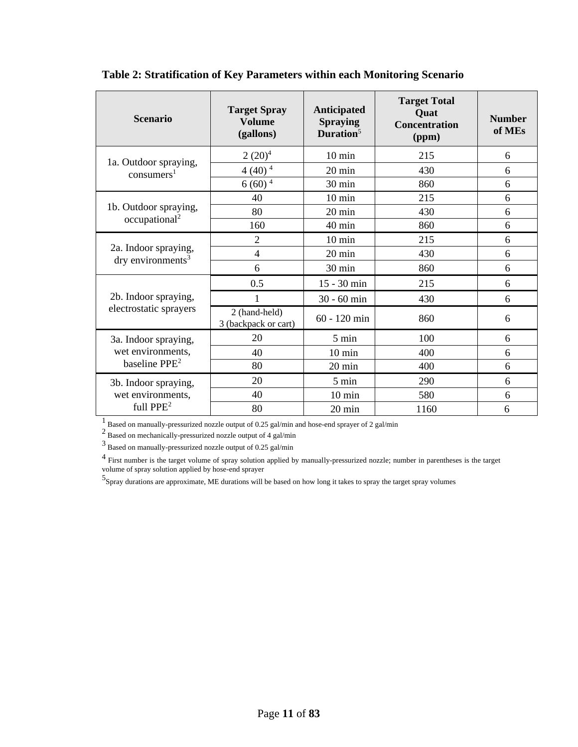| <b>Scenario</b>                                              | <b>Target Spray</b><br><b>Volume</b><br>(gallons) | <b>Anticipated</b><br><b>Spraying</b><br>Duration <sup>5</sup> | <b>Target Total</b><br>Quat<br><b>Concentration</b><br>(ppm) | <b>Number</b><br>of MEs |
|--------------------------------------------------------------|---------------------------------------------------|----------------------------------------------------------------|--------------------------------------------------------------|-------------------------|
|                                                              | $2(20)^4$                                         | $10 \text{ min}$                                               | 215                                                          | 6                       |
| 1a. Outdoor spraying,<br>consumers <sup>1</sup>              | $4(40)^4$                                         | $20 \text{ min}$                                               | 430                                                          | 6                       |
|                                                              | $6(60)^4$                                         | 30 min                                                         | 860                                                          | 6                       |
|                                                              | 40                                                | $10 \text{ min}$                                               | 215                                                          | 6                       |
| 1b. Outdoor spraying,<br>occupational <sup>2</sup>           | 80                                                | 20 min                                                         | 430                                                          | 6                       |
|                                                              | 160                                               | 40 min                                                         | 860                                                          | 6                       |
| 2a. Indoor spraying,<br>$\text{dry environments}^3$          | $\overline{2}$                                    | $10 \text{ min}$                                               | 215                                                          | 6                       |
|                                                              | 4                                                 | 20 min                                                         | 430                                                          | 6                       |
|                                                              | 6                                                 | 30 min                                                         | 860                                                          | 6                       |
| 2b. Indoor spraying,<br>electrostatic sprayers               | 0.5                                               | 15 - 30 min                                                    | 215                                                          | 6                       |
|                                                              | 1                                                 | 30 - 60 min                                                    | 430                                                          | 6                       |
|                                                              | 2 (hand-held)<br>3 (backpack or cart)             | $60 - 120$ min                                                 | 860                                                          | 6                       |
| 3a. Indoor spraying,<br>wet environments,<br>baseline $PPE2$ | 20                                                | 5 min                                                          | 100                                                          | 6                       |
|                                                              | 40                                                | $10 \text{ min}$                                               | 400                                                          | 6                       |
|                                                              | 80                                                | 20 min                                                         | 400                                                          | 6                       |
| 3b. Indoor spraying,                                         | 20                                                | 5 min                                                          | 290                                                          | 6                       |
| wet environments,                                            | 40                                                | $10 \text{ min}$                                               | 580                                                          | 6                       |
| full $PPE2$                                                  | 80                                                | 20 min                                                         | 1160                                                         | 6                       |

**Table 2: Stratification of Key Parameters within each Monitoring Scenario**

<sup>1</sup> Based on manually-pressurized nozzle output of 0.25 gal/min and hose-end sprayer of 2 gal/min

2 Based on mechanically-pressurized nozzle output of 4 gal/min

 $^3$  Based on manually-pressurized nozzle output of 0.25 gal/min  $\,$ 

<sup>4</sup> First number is the target volume of spray solution applied by manually-pressurized nozzle; number in parentheses is the target volume of spray solution applied by hose-end sprayer

5 Spray durations are approximate, ME durations will be based on how long it takes to spray the target spray volumes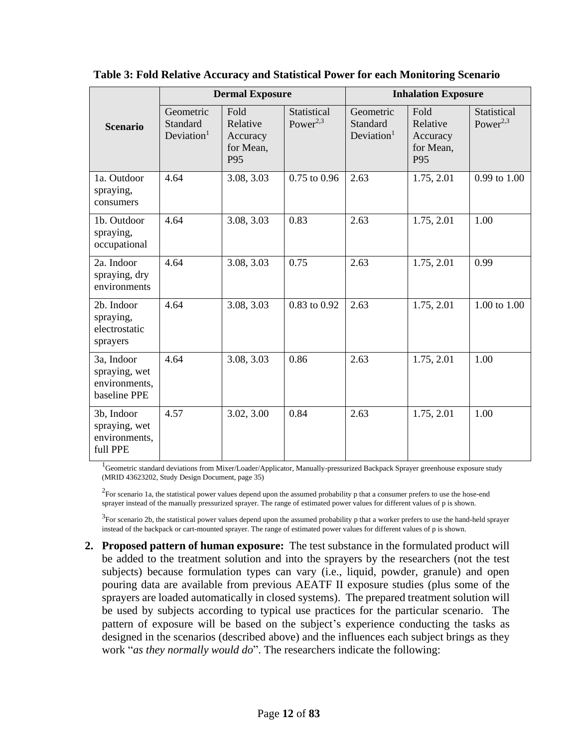|                                                              | <b>Dermal Exposure</b>                          |                                                  | <b>Inhalation Exposure</b>          |                                                 |                                                  |                                     |
|--------------------------------------------------------------|-------------------------------------------------|--------------------------------------------------|-------------------------------------|-------------------------------------------------|--------------------------------------------------|-------------------------------------|
| <b>Scenario</b>                                              | Geometric<br>Standard<br>Deviation <sup>1</sup> | Fold<br>Relative<br>Accuracy<br>for Mean,<br>P95 | Statistical<br>Power <sup>2,3</sup> | Geometric<br>Standard<br>Deviation <sup>1</sup> | Fold<br>Relative<br>Accuracy<br>for Mean,<br>P95 | Statistical<br>Power <sup>2,3</sup> |
| 1a. Outdoor<br>spraying,<br>consumers                        | 4.64                                            | 3.08, 3.03                                       | $0.75$ to $0.96$                    | 2.63                                            | 1.75, 2.01                                       | 0.99 to 1.00                        |
| 1b. Outdoor<br>spraying,<br>occupational                     | 4.64                                            | 3.08, 3.03                                       | 0.83                                | 2.63                                            | 1.75, 2.01                                       | 1.00                                |
| 2a. Indoor<br>spraying, dry<br>environments                  | 4.64                                            | 3.08, 3.03                                       | 0.75                                | 2.63                                            | 1.75, 2.01                                       | 0.99                                |
| 2b. Indoor<br>spraying,<br>electrostatic<br>sprayers         | 4.64                                            | 3.08, 3.03                                       | 0.83 to 0.92                        | 2.63                                            | 1.75, 2.01                                       | 1.00 to 1.00                        |
| 3a, Indoor<br>spraying, wet<br>environments,<br>baseline PPE | 4.64                                            | 3.08, 3.03                                       | 0.86                                | 2.63                                            | 1.75, 2.01                                       | 1.00                                |
| 3b, Indoor<br>spraying, wet<br>environments,<br>full PPE     | 4.57                                            | 3.02, 3.00                                       | 0.84                                | 2.63                                            | 1.75, 2.01                                       | 1.00                                |

**Table 3: Fold Relative Accuracy and Statistical Power for each Monitoring Scenario**

<sup>1</sup>Geometric standard deviations from Mixer/Loader/Applicator, Manually-pressurized Backpack Sprayer greenhouse exposure study (MRID 43623202, Study Design Document, page 35)

 $2$ For scenario 1a, the statistical power values depend upon the assumed probability p that a consumer prefers to use the hose-end sprayer instead of the manually pressurized sprayer. The range of estimated power values for different values of p is shown.

 $3$  For scenario 2b, the statistical power values depend upon the assumed probability p that a worker prefers to use the hand-held sprayer instead of the backpack or cart-mounted sprayer. The range of estimated power values for different values of p is shown.

**2. Proposed pattern of human exposure:** The test substance in the formulated product will be added to the treatment solution and into the sprayers by the researchers (not the test subjects) because formulation types can vary (i.e., liquid, powder, granule) and open pouring data are available from previous AEATF II exposure studies (plus some of the sprayers are loaded automatically in closed systems). The prepared treatment solution will be used by subjects according to typical use practices for the particular scenario. The pattern of exposure will be based on the subject's experience conducting the tasks as designed in the scenarios (described above) and the influences each subject brings as they work "*as they normally would do*". The researchers indicate the following: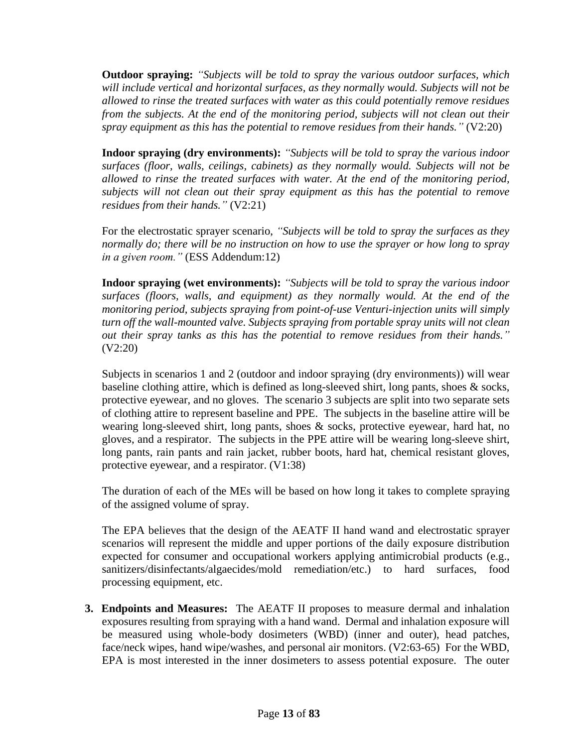**Outdoor spraying:** *"Subjects will be told to spray the various outdoor surfaces, which will include vertical and horizontal surfaces, as they normally would. Subjects will not be allowed to rinse the treated surfaces with water as this could potentially remove residues from the subjects. At the end of the monitoring period, subjects will not clean out their spray equipment as this has the potential to remove residues from their hands."* (V2:20)

**Indoor spraying (dry environments):** *"Subjects will be told to spray the various indoor surfaces (floor, walls, ceilings, cabinets) as they normally would. Subjects will not be allowed to rinse the treated surfaces with water. At the end of the monitoring period, subjects will not clean out their spray equipment as this has the potential to remove residues from their hands."* (V2:21)

For the electrostatic sprayer scenario, *"Subjects will be told to spray the surfaces as they normally do; there will be no instruction on how to use the sprayer or how long to spray in a given room."* (ESS Addendum:12)

**Indoor spraying (wet environments):** *"Subjects will be told to spray the various indoor surfaces (floors, walls, and equipment) as they normally would. At the end of the monitoring period, subjects spraying from point-of-use Venturi-injection units will simply turn off the wall-mounted valve. Subjects spraying from portable spray units will not clean out their spray tanks as this has the potential to remove residues from their hands."* (V2:20)

Subjects in scenarios 1 and 2 (outdoor and indoor spraying (dry environments)) will wear baseline clothing attire, which is defined as long-sleeved shirt, long pants, shoes & socks, protective eyewear, and no gloves. The scenario 3 subjects are split into two separate sets of clothing attire to represent baseline and PPE. The subjects in the baseline attire will be wearing long-sleeved shirt, long pants, shoes & socks, protective eyewear, hard hat, no gloves, and a respirator. The subjects in the PPE attire will be wearing long-sleeve shirt, long pants, rain pants and rain jacket, rubber boots, hard hat, chemical resistant gloves, protective eyewear, and a respirator. (V1:38)

The duration of each of the MEs will be based on how long it takes to complete spraying of the assigned volume of spray.

The EPA believes that the design of the AEATF II hand wand and electrostatic sprayer scenarios will represent the middle and upper portions of the daily exposure distribution expected for consumer and occupational workers applying antimicrobial products (e.g., sanitizers/disinfectants/algaecides/mold remediation/etc.) to hard surfaces, food processing equipment, etc.

**3. Endpoints and Measures:** The AEATF II proposes to measure dermal and inhalation exposures resulting from spraying with a hand wand. Dermal and inhalation exposure will be measured using whole-body dosimeters (WBD) (inner and outer), head patches, face/neck wipes, hand wipe/washes, and personal air monitors. (V2:63-65) For the WBD, EPA is most interested in the inner dosimeters to assess potential exposure. The outer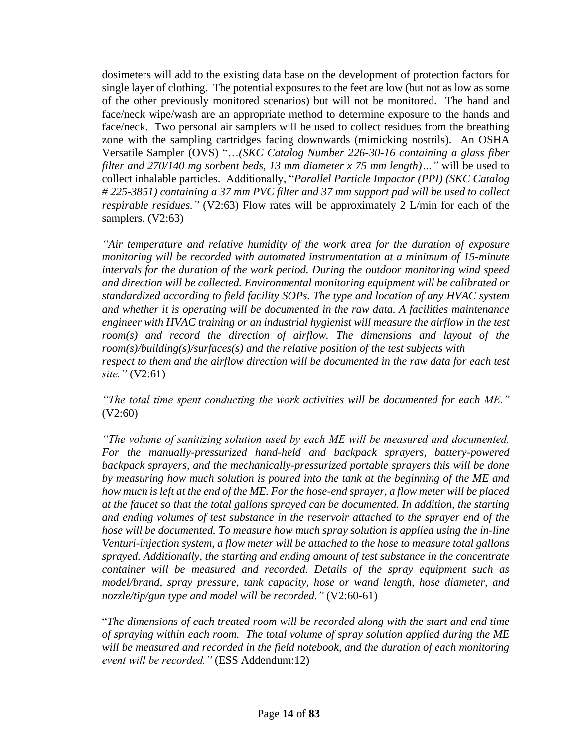dosimeters will add to the existing data base on the development of protection factors for single layer of clothing. The potential exposures to the feet are low (but not as low as some of the other previously monitored scenarios) but will not be monitored. The hand and face/neck wipe/wash are an appropriate method to determine exposure to the hands and face/neck. Two personal air samplers will be used to collect residues from the breathing zone with the sampling cartridges facing downwards (mimicking nostrils). An OSHA Versatile Sampler (OVS) "…*(SKC Catalog Number 226-30-16 containing a glass fiber filter and 270/140 mg sorbent beds, 13 mm diameter x 75 mm length)…"* will be used to collect inhalable particles. Additionally, "*Parallel Particle Impactor (PPI) (SKC Catalog # 225-3851) containing a 37 mm PVC filter and 37 mm support pad will be used to collect respirable residues.*" (V2:63) Flow rates will be approximately 2 L/min for each of the samplers. (V2:63)

*"Air temperature and relative humidity of the work area for the duration of exposure monitoring will be recorded with automated instrumentation at a minimum of 15-minute intervals for the duration of the work period. During the outdoor monitoring wind speed and direction will be collected. Environmental monitoring equipment will be calibrated or standardized according to field facility SOPs. The type and location of any HVAC system and whether it is operating will be documented in the raw data. A facilities maintenance engineer with HVAC training or an industrial hygienist will measure the airflow in the test room(s) and record the direction of airflow. The dimensions and layout of the room(s)/building(s)/surfaces(s) and the relative position of the test subjects with respect to them and the airflow direction will be documented in the raw data for each test site."* (V2:61)

*"The total time spent conducting the work activities will be documented for each ME."* (V2:60)

*"The volume of sanitizing solution used by each ME will be measured and documented. For the manually-pressurized hand-held and backpack sprayers, battery-powered backpack sprayers, and the mechanically-pressurized portable sprayers this will be done by measuring how much solution is poured into the tank at the beginning of the ME and how much is left at the end of the ME. For the hose-end sprayer, a flow meter will be placed at the faucet so that the total gallons sprayed can be documented. In addition, the starting and ending volumes of test substance in the reservoir attached to the sprayer end of the hose will be documented. To measure how much spray solution is applied using the in-line Venturi-injection system, a flow meter will be attached to the hose to measure total gallons sprayed. Additionally, the starting and ending amount of test substance in the concentrate container will be measured and recorded. Details of the spray equipment such as model/brand, spray pressure, tank capacity, hose or wand length, hose diameter, and nozzle/tip/gun type and model will be recorded."* (V2:60-61)

"*The dimensions of each treated room will be recorded along with the start and end time of spraying within each room. The total volume of spray solution applied during the ME will be measured and recorded in the field notebook, and the duration of each monitoring event will be recorded."* (ESS Addendum:12)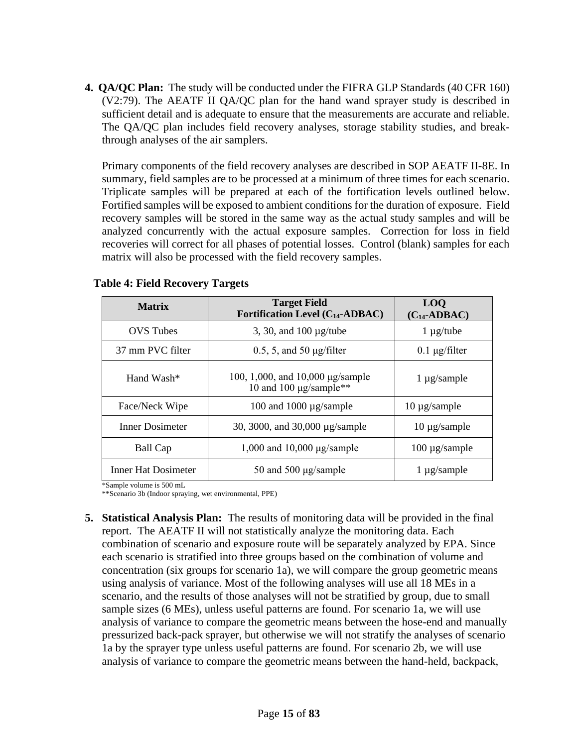**4. QA/QC Plan:** The study will be conducted under the FIFRA GLP Standards (40 CFR 160) (V2:79). The AEATF II QA/QC plan for the hand wand sprayer study is described in sufficient detail and is adequate to ensure that the measurements are accurate and reliable. The QA/QC plan includes field recovery analyses, storage stability studies, and breakthrough analyses of the air samplers.

Primary components of the field recovery analyses are described in SOP AEATF II-8E. In summary, field samples are to be processed at a minimum of three times for each scenario. Triplicate samples will be prepared at each of the fortification levels outlined below. Fortified samples will be exposed to ambient conditions for the duration of exposure. Field recovery samples will be stored in the same way as the actual study samples and will be analyzed concurrently with the actual exposure samples. Correction for loss in field recoveries will correct for all phases of potential losses. Control (blank) samples for each matrix will also be processed with the field recovery samples.

| <b>Matrix</b>          | <b>Target Field</b><br>Fortification Level $(C_{14}$ -ADBAC)                   | <b>LOQ</b><br>$(C_{14}$ -ADBAC) |
|------------------------|--------------------------------------------------------------------------------|---------------------------------|
| <b>OVS</b> Tubes       | 3, 30, and $100 \mu g$ /tube                                                   | $1 \mu g$ /tube                 |
| 37 mm PVC filter       | $0.5$ , 5, and 50 $\mu$ g/filter                                               | $0.1 \mu g$ filter              |
| Hand Wash*             | 100, 1,000, and 10,000 μg/sample<br>$1 \mu$ g/sample<br>10 and 100 µg/sample** |                                 |
| Face/Neck Wipe         | 100 and 1000 µg/sample                                                         | $10 \mu$ g/sample               |
| <b>Inner Dosimeter</b> | 30, 3000, and 30,000 µg/sample                                                 | $10 \mu$ g/sample               |
| Ball Cap               | 1,000 and 10,000 $\mu$ g/sample                                                | $100 \mu$ g/sample              |
| Inner Hat Dosimeter    | 50 and 500 $\mu$ g/sample<br>$1 \mu$ g/sample                                  |                                 |

| <b>Table 4: Field Recovery Targets</b> |  |  |  |  |
|----------------------------------------|--|--|--|--|
|----------------------------------------|--|--|--|--|

\*Sample volume is 500 mL

\*\*Scenario 3b (Indoor spraying, wet environmental, PPE)

**5. Statistical Analysis Plan:** The results of monitoring data will be provided in the final report. The AEATF II will not statistically analyze the monitoring data. Each combination of scenario and exposure route will be separately analyzed by EPA. Since each scenario is stratified into three groups based on the combination of volume and concentration (six groups for scenario 1a), we will compare the group geometric means using analysis of variance. Most of the following analyses will use all 18 MEs in a scenario, and the results of those analyses will not be stratified by group, due to small sample sizes (6 MEs), unless useful patterns are found. For scenario 1a, we will use analysis of variance to compare the geometric means between the hose-end and manually pressurized back-pack sprayer, but otherwise we will not stratify the analyses of scenario 1a by the sprayer type unless useful patterns are found. For scenario 2b, we will use analysis of variance to compare the geometric means between the hand-held, backpack,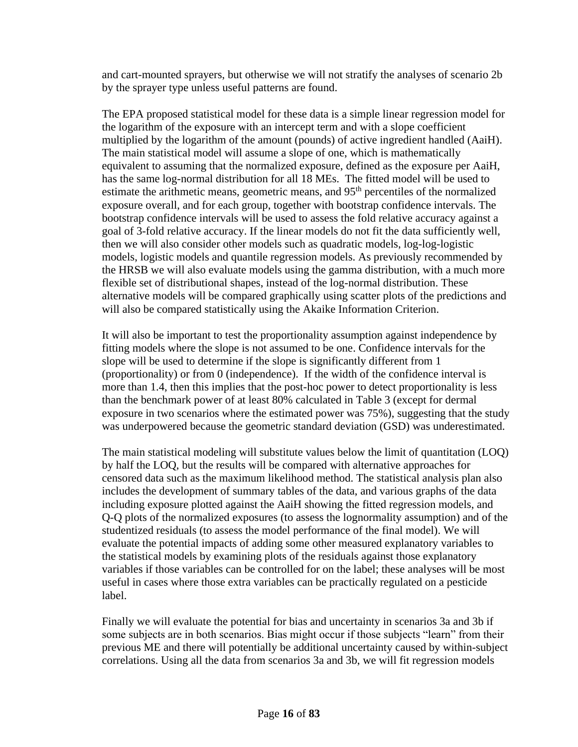and cart-mounted sprayers, but otherwise we will not stratify the analyses of scenario 2b by the sprayer type unless useful patterns are found.

The EPA proposed statistical model for these data is a simple linear regression model for the logarithm of the exposure with an intercept term and with a slope coefficient multiplied by the logarithm of the amount (pounds) of active ingredient handled (AaiH). The main statistical model will assume a slope of one, which is mathematically equivalent to assuming that the normalized exposure, defined as the exposure per AaiH, has the same log-normal distribution for all 18 MEs. The fitted model will be used to estimate the arithmetic means, geometric means, and 95<sup>th</sup> percentiles of the normalized exposure overall, and for each group, together with bootstrap confidence intervals. The bootstrap confidence intervals will be used to assess the fold relative accuracy against a goal of 3-fold relative accuracy. If the linear models do not fit the data sufficiently well, then we will also consider other models such as quadratic models, log-log-logistic models, logistic models and quantile regression models. As previously recommended by the HRSB we will also evaluate models using the gamma distribution, with a much more flexible set of distributional shapes, instead of the log-normal distribution. These alternative models will be compared graphically using scatter plots of the predictions and will also be compared statistically using the Akaike Information Criterion.

It will also be important to test the proportionality assumption against independence by fitting models where the slope is not assumed to be one. Confidence intervals for the slope will be used to determine if the slope is significantly different from 1 (proportionality) or from 0 (independence). If the width of the confidence interval is more than 1.4, then this implies that the post-hoc power to detect proportionality is less than the benchmark power of at least 80% calculated in Table 3 (except for dermal exposure in two scenarios where the estimated power was 75%), suggesting that the study was underpowered because the geometric standard deviation (GSD) was underestimated.

The main statistical modeling will substitute values below the limit of quantitation (LOQ) by half the LOQ, but the results will be compared with alternative approaches for censored data such as the maximum likelihood method. The statistical analysis plan also includes the development of summary tables of the data, and various graphs of the data including exposure plotted against the AaiH showing the fitted regression models, and Q-Q plots of the normalized exposures (to assess the lognormality assumption) and of the studentized residuals (to assess the model performance of the final model). We will evaluate the potential impacts of adding some other measured explanatory variables to the statistical models by examining plots of the residuals against those explanatory variables if those variables can be controlled for on the label; these analyses will be most useful in cases where those extra variables can be practically regulated on a pesticide label.

Finally we will evaluate the potential for bias and uncertainty in scenarios 3a and 3b if some subjects are in both scenarios. Bias might occur if those subjects "learn" from their previous ME and there will potentially be additional uncertainty caused by within-subject correlations. Using all the data from scenarios 3a and 3b, we will fit regression models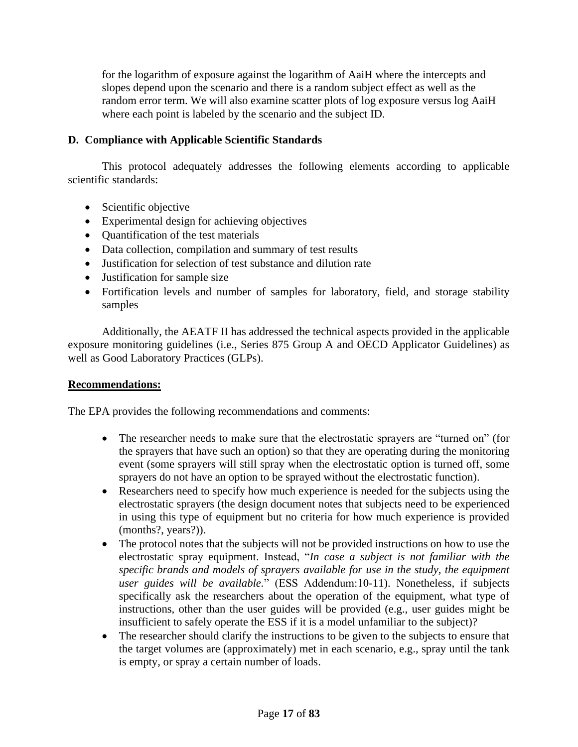for the logarithm of exposure against the logarithm of AaiH where the intercepts and slopes depend upon the scenario and there is a random subject effect as well as the random error term. We will also examine scatter plots of log exposure versus log AaiH where each point is labeled by the scenario and the subject ID.

## **D. Compliance with Applicable Scientific Standards**

This protocol adequately addresses the following elements according to applicable scientific standards:

- Scientific objective
- Experimental design for achieving objectives
- Quantification of the test materials
- Data collection, compilation and summary of test results
- Justification for selection of test substance and dilution rate
- Justification for sample size
- Fortification levels and number of samples for laboratory, field, and storage stability samples

Additionally, the AEATF II has addressed the technical aspects provided in the applicable exposure monitoring guidelines (i.e., Series 875 Group A and OECD Applicator Guidelines) as well as Good Laboratory Practices (GLPs).

## **Recommendations:**

The EPA provides the following recommendations and comments:

- The researcher needs to make sure that the electrostatic sprayers are "turned on" (for the sprayers that have such an option) so that they are operating during the monitoring event (some sprayers will still spray when the electrostatic option is turned off, some sprayers do not have an option to be sprayed without the electrostatic function).
- Researchers need to specify how much experience is needed for the subjects using the electrostatic sprayers (the design document notes that subjects need to be experienced in using this type of equipment but no criteria for how much experience is provided (months?, years?)).
- The protocol notes that the subjects will not be provided instructions on how to use the electrostatic spray equipment. Instead, "*In case a subject is not familiar with the specific brands and models of sprayers available for use in the study, the equipment user guides will be available.*" (ESS Addendum:10-11). Nonetheless, if subjects specifically ask the researchers about the operation of the equipment, what type of instructions, other than the user guides will be provided (e.g., user guides might be insufficient to safely operate the ESS if it is a model unfamiliar to the subject)?
- The researcher should clarify the instructions to be given to the subjects to ensure that the target volumes are (approximately) met in each scenario, e.g., spray until the tank is empty, or spray a certain number of loads.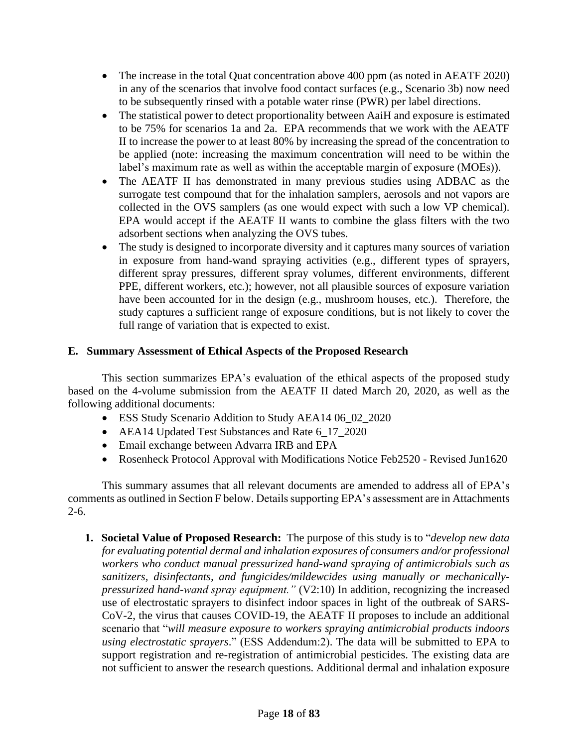- The increase in the total Quat concentration above 400 ppm (as noted in AEATF 2020) in any of the scenarios that involve food contact surfaces (e.g., Scenario 3b) now need to be subsequently rinsed with a potable water rinse (PWR) per label directions.
- The statistical power to detect proportionality between AaiH and exposure is estimated to be 75% for scenarios 1a and 2a. EPA recommends that we work with the AEATF II to increase the power to at least 80% by increasing the spread of the concentration to be applied (note: increasing the maximum concentration will need to be within the label's maximum rate as well as within the acceptable margin of exposure (MOEs)).
- The AEATF II has demonstrated in many previous studies using ADBAC as the surrogate test compound that for the inhalation samplers, aerosols and not vapors are collected in the OVS samplers (as one would expect with such a low VP chemical). EPA would accept if the AEATF II wants to combine the glass filters with the two adsorbent sections when analyzing the OVS tubes.
- The study is designed to incorporate diversity and it captures many sources of variation in exposure from hand-wand spraying activities (e.g., different types of sprayers, different spray pressures, different spray volumes, different environments, different PPE, different workers, etc.); however, not all plausible sources of exposure variation have been accounted for in the design (e.g., mushroom houses, etc.). Therefore, the study captures a sufficient range of exposure conditions, but is not likely to cover the full range of variation that is expected to exist.

## **E. Summary Assessment of Ethical Aspects of the Proposed Research**

This section summarizes EPA's evaluation of the ethical aspects of the proposed study based on the 4-volume submission from the AEATF II dated March 20, 2020, as well as the following additional documents:

- ESS Study Scenario Addition to Study AEA14 06\_02\_2020
- AEA14 Updated Test Substances and Rate 6 17 2020
- Email exchange between Advarra IRB and EPA
- Rosenheck Protocol Approval with Modifications Notice Feb2520 Revised Jun1620

This summary assumes that all relevant documents are amended to address all of EPA's comments as outlined in Section F below. Details supporting EPA's assessment are in Attachments 2-6.

**1. Societal Value of Proposed Research:** The purpose of this study is to "*develop new data for evaluating potential dermal and inhalation exposures of consumers and/or professional workers who conduct manual pressurized hand-wand spraying of antimicrobials such as sanitizers, disinfectants, and fungicides/mildewcides using manually or mechanicallypressurized hand-wand spray equipment."* (V2:10) In addition, recognizing the increased use of electrostatic sprayers to disinfect indoor spaces in light of the outbreak of SARS-CoV-2, the virus that causes COVID-19, the AEATF II proposes to include an additional scenario that "*will measure exposure to workers spraying antimicrobial products indoors using electrostatic sprayers*." (ESS Addendum:2). The data will be submitted to EPA to support registration and re-registration of antimicrobial pesticides. The existing data are not sufficient to answer the research questions. Additional dermal and inhalation exposure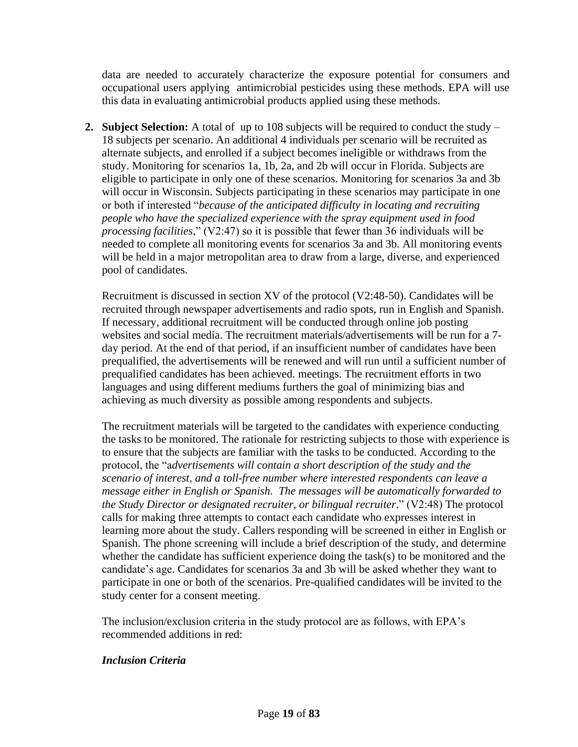data are needed to accurately characterize the exposure potential for consumers and occupational users applying antimicrobial pesticides using these methods. EPA will use this data in evaluating antimicrobial products applied using these methods.

**2. Subject Selection:** A total of up to 108 subjects will be required to conduct the study – 18 subjects per scenario. An additional 4 individuals per scenario will be recruited as alternate subjects, and enrolled if a subject becomes ineligible or withdraws from the study. Monitoring for scenarios 1a, 1b, 2a, and 2b will occur in Florida. Subjects are eligible to participate in only one of these scenarios. Monitoring for scenarios 3a and 3b will occur in Wisconsin. Subjects participating in these scenarios may participate in one or both if interested "*because of the anticipated difficulty in locating and recruiting people who have the specialized experience with the spray equipment used in food processing facilities*," (V2:47) so it is possible that fewer than 36 individuals will be needed to complete all monitoring events for scenarios 3a and 3b. All monitoring events will be held in a major metropolitan area to draw from a large, diverse, and experienced pool of candidates.

Recruitment is discussed in section XV of the protocol (V2:48-50). Candidates will be recruited through newspaper advertisements and radio spots, run in English and Spanish. If necessary, additional recruitment will be conducted through online job posting websites and social media. The recruitment materials/advertisements will be run for a 7 day period. At the end of that period, if an insufficient number of candidates have been prequalified, the advertisements will be renewed and will run until a sufficient number of prequalified candidates has been achieved. meetings. The recruitment efforts in two languages and using different mediums furthers the goal of minimizing bias and achieving as much diversity as possible among respondents and subjects.

The recruitment materials will be targeted to the candidates with experience conducting the tasks to be monitored. The rationale for restricting subjects to those with experience is to ensure that the subjects are familiar with the tasks to be conducted. According to the protocol, the "a*dvertisements will contain a short description of the study and the scenario of interest, and a toll-free number where interested respondents can leave a message either in English or Spanish. The messages will be automatically forwarded to the Study Director or designated recruiter, or bilingual recruiter*." (V2:48) The protocol calls for making three attempts to contact each candidate who expresses interest in learning more about the study. Callers responding will be screened in either in English or Spanish. The phone screening will include a brief description of the study, and determine whether the candidate has sufficient experience doing the task(s) to be monitored and the candidate's age. Candidates for scenarios 3a and 3b will be asked whether they want to participate in one or both of the scenarios. Pre-qualified candidates will be invited to the study center for a consent meeting.

The inclusion/exclusion criteria in the study protocol are as follows, with EPA's recommended additions in red:

### *Inclusion Criteria*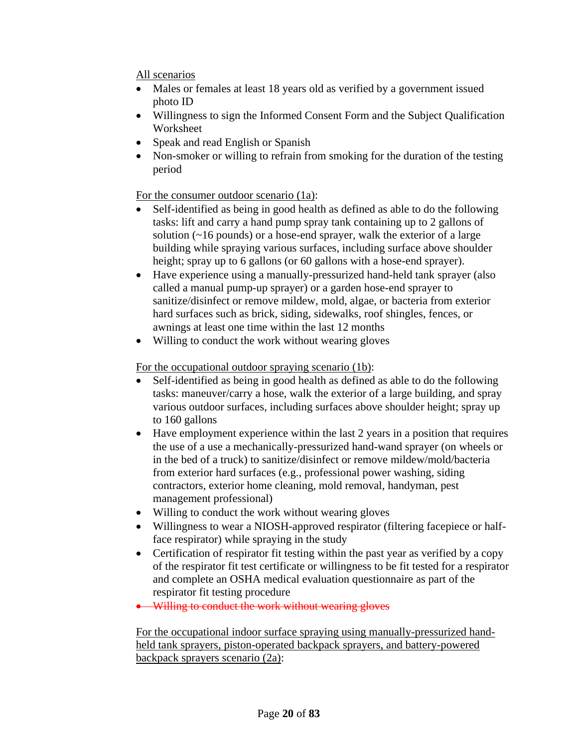All scenarios

- Males or females at least 18 years old as verified by a government issued photo ID
- Willingness to sign the Informed Consent Form and the Subject Qualification Worksheet
- Speak and read English or Spanish
- Non-smoker or willing to refrain from smoking for the duration of the testing period

## For the consumer outdoor scenario (1a):

- Self-identified as being in good health as defined as able to do the following tasks: lift and carry a hand pump spray tank containing up to 2 gallons of solution (~16 pounds) or a hose-end sprayer, walk the exterior of a large building while spraying various surfaces, including surface above shoulder height; spray up to 6 gallons (or 60 gallons with a hose-end sprayer).
- Have experience using a manually-pressurized hand-held tank sprayer (also called a manual pump-up sprayer) or a garden hose-end sprayer to sanitize/disinfect or remove mildew, mold, algae, or bacteria from exterior hard surfaces such as brick, siding, sidewalks, roof shingles, fences, or awnings at least one time within the last 12 months
- Willing to conduct the work without wearing gloves

## For the occupational outdoor spraying scenario (1b):

- Self-identified as being in good health as defined as able to do the following tasks: maneuver/carry a hose, walk the exterior of a large building, and spray various outdoor surfaces, including surfaces above shoulder height; spray up to 160 gallons
- Have employment experience within the last 2 years in a position that requires the use of a use a mechanically-pressurized hand-wand sprayer (on wheels or in the bed of a truck) to sanitize/disinfect or remove mildew/mold/bacteria from exterior hard surfaces (e.g., professional power washing, siding contractors, exterior home cleaning, mold removal, handyman, pest management professional)
- Willing to conduct the work without wearing gloves
- Willingness to wear a NIOSH-approved respirator (filtering facepiece or halfface respirator) while spraying in the study
- Certification of respirator fit testing within the past year as verified by a copy of the respirator fit test certificate or willingness to be fit tested for a respirator and complete an OSHA medical evaluation questionnaire as part of the respirator fit testing procedure
- Willing to conduct the work without wearing gloves

For the occupational indoor surface spraying using manually-pressurized handheld tank sprayers, piston-operated backpack sprayers, and battery-powered backpack sprayers scenario (2a):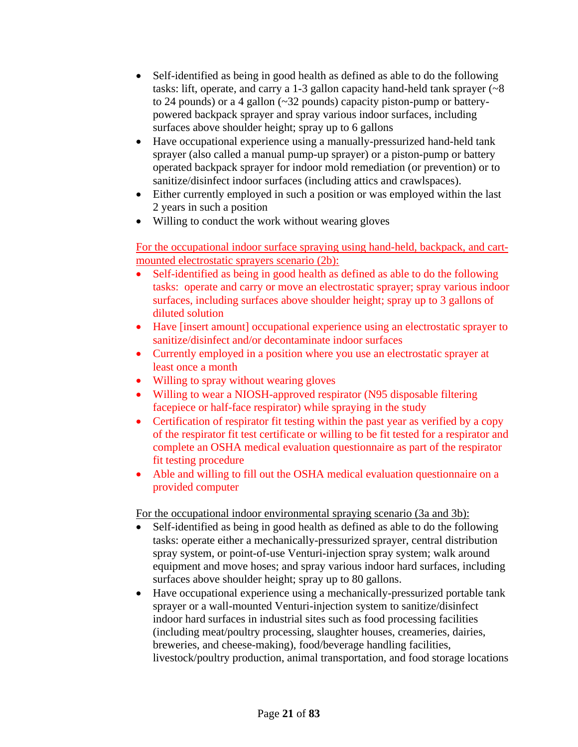- Self-identified as being in good health as defined as able to do the following tasks: lift, operate, and carry a 1-3 gallon capacity hand-held tank sprayer  $\left(\sim 8\right)$ to 24 pounds) or a 4 gallon (~32 pounds) capacity piston-pump or batterypowered backpack sprayer and spray various indoor surfaces, including surfaces above shoulder height; spray up to 6 gallons
- Have occupational experience using a manually-pressurized hand-held tank sprayer (also called a manual pump-up sprayer) or a piston-pump or battery operated backpack sprayer for indoor mold remediation (or prevention) or to sanitize/disinfect indoor surfaces (including attics and crawlspaces).
- Either currently employed in such a position or was employed within the last 2 years in such a position
- Willing to conduct the work without wearing gloves

For the occupational indoor surface spraying using hand-held, backpack, and cartmounted electrostatic sprayers scenario (2b):

- Self-identified as being in good health as defined as able to do the following tasks: operate and carry or move an electrostatic sprayer; spray various indoor surfaces, including surfaces above shoulder height; spray up to 3 gallons of diluted solution
- Have [insert amount] occupational experience using an electrostatic sprayer to sanitize/disinfect and/or decontaminate indoor surfaces
- Currently employed in a position where you use an electrostatic sprayer at least once a month
- Willing to spray without wearing gloves
- Willing to wear a NIOSH-approved respirator (N95 disposable filtering facepiece or half-face respirator) while spraying in the study
- Certification of respirator fit testing within the past year as verified by a copy of the respirator fit test certificate or willing to be fit tested for a respirator and complete an OSHA medical evaluation questionnaire as part of the respirator fit testing procedure
- Able and willing to fill out the OSHA medical evaluation questionnaire on a provided computer

For the occupational indoor environmental spraying scenario (3a and 3b):

- Self-identified as being in good health as defined as able to do the following tasks: operate either a mechanically-pressurized sprayer, central distribution spray system, or point-of-use Venturi-injection spray system; walk around equipment and move hoses; and spray various indoor hard surfaces, including surfaces above shoulder height; spray up to 80 gallons.
- Have occupational experience using a mechanically-pressurized portable tank sprayer or a wall-mounted Venturi-injection system to sanitize/disinfect indoor hard surfaces in industrial sites such as food processing facilities (including meat/poultry processing, slaughter houses, creameries, dairies, breweries, and cheese-making), food/beverage handling facilities, livestock/poultry production, animal transportation, and food storage locations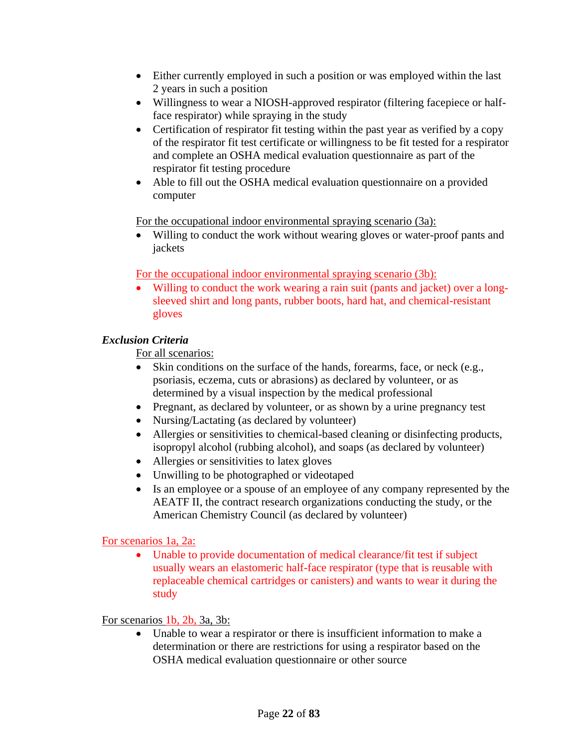- Either currently employed in such a position or was employed within the last 2 years in such a position
- Willingness to wear a NIOSH-approved respirator (filtering facepiece or halfface respirator) while spraying in the study
- Certification of respirator fit testing within the past year as verified by a copy of the respirator fit test certificate or willingness to be fit tested for a respirator and complete an OSHA medical evaluation questionnaire as part of the respirator fit testing procedure
- Able to fill out the OSHA medical evaluation questionnaire on a provided computer

For the occupational indoor environmental spraying scenario (3a):

Willing to conduct the work without wearing gloves or water-proof pants and jackets

For the occupational indoor environmental spraying scenario (3b):

• Willing to conduct the work wearing a rain suit (pants and jacket) over a longsleeved shirt and long pants, rubber boots, hard hat, and chemical-resistant gloves

## *Exclusion Criteria*

For all scenarios:

- Skin conditions on the surface of the hands, forearms, face, or neck (e.g., psoriasis, eczema, cuts or abrasions) as declared by volunteer, or as determined by a visual inspection by the medical professional
- Pregnant, as declared by volunteer, or as shown by a urine pregnancy test
- Nursing/Lactating (as declared by volunteer)
- Allergies or sensitivities to chemical-based cleaning or disinfecting products, isopropyl alcohol (rubbing alcohol), and soaps (as declared by volunteer)
- Allergies or sensitivities to latex gloves
- Unwilling to be photographed or videotaped
- Is an employee or a spouse of an employee of any company represented by the AEATF II, the contract research organizations conducting the study, or the American Chemistry Council (as declared by volunteer)

For scenarios 1a, 2a:

• Unable to provide documentation of medical clearance/fit test if subject usually wears an elastomeric half-face respirator (type that is reusable with replaceable chemical cartridges or canisters) and wants to wear it during the study

## For scenarios 1b, 2b, 3a, 3b:

• Unable to wear a respirator or there is insufficient information to make a determination or there are restrictions for using a respirator based on the OSHA medical evaluation questionnaire or other source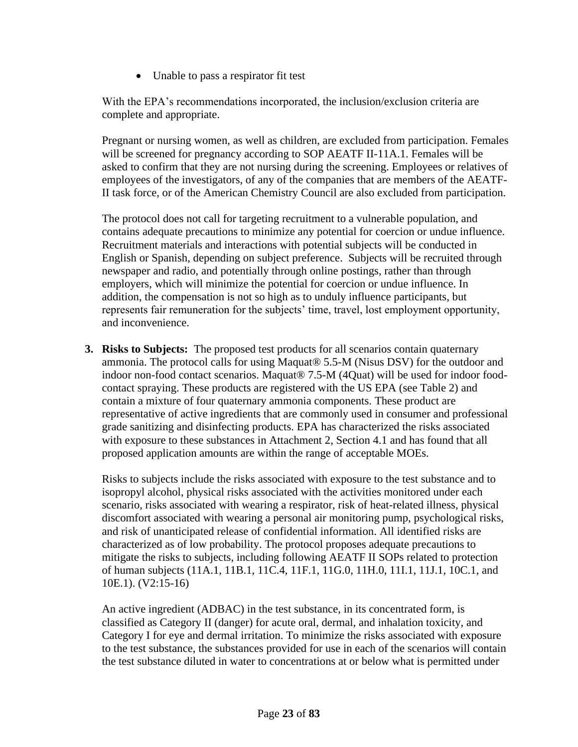• Unable to pass a respirator fit test

With the EPA's recommendations incorporated, the inclusion/exclusion criteria are complete and appropriate.

Pregnant or nursing women, as well as children, are excluded from participation. Females will be screened for pregnancy according to SOP AEATF II-11A.1. Females will be asked to confirm that they are not nursing during the screening. Employees or relatives of employees of the investigators, of any of the companies that are members of the AEATF-II task force, or of the American Chemistry Council are also excluded from participation.

The protocol does not call for targeting recruitment to a vulnerable population, and contains adequate precautions to minimize any potential for coercion or undue influence. Recruitment materials and interactions with potential subjects will be conducted in English or Spanish, depending on subject preference. Subjects will be recruited through newspaper and radio, and potentially through online postings, rather than through employers, which will minimize the potential for coercion or undue influence. In addition, the compensation is not so high as to unduly influence participants, but represents fair remuneration for the subjects' time, travel, lost employment opportunity, and inconvenience.

**3. Risks to Subjects:** The proposed test products for all scenarios contain quaternary ammonia. The protocol calls for using Maquat® 5.5-M (Nisus DSV) for the outdoor and indoor non-food contact scenarios. Maquat® 7.5-M (4Quat) will be used for indoor foodcontact spraying. These products are registered with the US EPA (see Table 2) and contain a mixture of four quaternary ammonia components. These product are representative of active ingredients that are commonly used in consumer and professional grade sanitizing and disinfecting products. EPA has characterized the risks associated with exposure to these substances in Attachment 2, Section 4.1 and has found that all proposed application amounts are within the range of acceptable MOEs.

Risks to subjects include the risks associated with exposure to the test substance and to isopropyl alcohol, physical risks associated with the activities monitored under each scenario, risks associated with wearing a respirator, risk of heat-related illness, physical discomfort associated with wearing a personal air monitoring pump, psychological risks, and risk of unanticipated release of confidential information. All identified risks are characterized as of low probability. The protocol proposes adequate precautions to mitigate the risks to subjects, including following AEATF II SOPs related to protection of human subjects (11A.1, 11B.1, 11C.4, 11F.1, 11G.0, 11H.0, 11I.1, 11J.1, 10C.1, and 10E.1). (V2:15-16)

An active ingredient (ADBAC) in the test substance, in its concentrated form, is classified as Category II (danger) for acute oral, dermal, and inhalation toxicity, and Category I for eye and dermal irritation. To minimize the risks associated with exposure to the test substance, the substances provided for use in each of the scenarios will contain the test substance diluted in water to concentrations at or below what is permitted under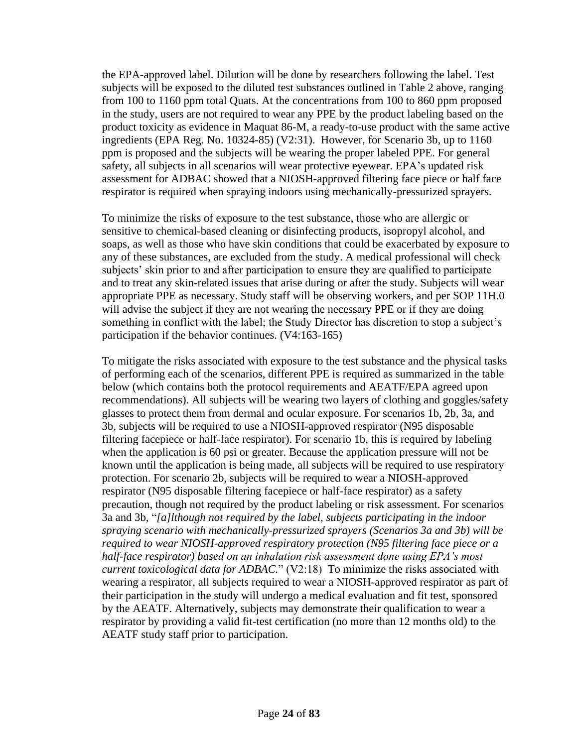the EPA-approved label. Dilution will be done by researchers following the label. Test subjects will be exposed to the diluted test substances outlined in Table 2 above, ranging from 100 to 1160 ppm total Quats. At the concentrations from 100 to 860 ppm proposed in the study, users are not required to wear any PPE by the product labeling based on the product toxicity as evidence in Maquat 86-M, a ready-to-use product with the same active ingredients (EPA Reg. No. 10324-85) (V2:31). However, for Scenario 3b, up to 1160 ppm is proposed and the subjects will be wearing the proper labeled PPE. For general safety, all subjects in all scenarios will wear protective eyewear. EPA's updated risk assessment for ADBAC showed that a NIOSH-approved filtering face piece or half face respirator is required when spraying indoors using mechanically-pressurized sprayers.

To minimize the risks of exposure to the test substance, those who are allergic or sensitive to chemical-based cleaning or disinfecting products, isopropyl alcohol, and soaps, as well as those who have skin conditions that could be exacerbated by exposure to any of these substances, are excluded from the study. A medical professional will check subjects' skin prior to and after participation to ensure they are qualified to participate and to treat any skin-related issues that arise during or after the study. Subjects will wear appropriate PPE as necessary. Study staff will be observing workers, and per SOP 11H.0 will advise the subject if they are not wearing the necessary PPE or if they are doing something in conflict with the label; the Study Director has discretion to stop a subject's participation if the behavior continues. (V4:163-165)

To mitigate the risks associated with exposure to the test substance and the physical tasks of performing each of the scenarios, different PPE is required as summarized in the table below (which contains both the protocol requirements and AEATF/EPA agreed upon recommendations). All subjects will be wearing two layers of clothing and goggles/safety glasses to protect them from dermal and ocular exposure. For scenarios 1b, 2b, 3a, and 3b, subjects will be required to use a NIOSH-approved respirator (N95 disposable filtering facepiece or half-face respirator). For scenario 1b, this is required by labeling when the application is 60 psi or greater. Because the application pressure will not be known until the application is being made, all subjects will be required to use respiratory protection. For scenario 2b, subjects will be required to wear a NIOSH-approved respirator (N95 disposable filtering facepiece or half-face respirator) as a safety precaution, though not required by the product labeling or risk assessment. For scenarios 3a and 3b, "*[a]lthough not required by the label, subjects participating in the indoor spraying scenario with mechanically-pressurized sprayers (Scenarios 3a and 3b) will be required to wear NIOSH-approved respiratory protection (N95 filtering face piece or a half-face respirator) based on an inhalation risk assessment done using EPA's most current toxicological data for ADBAC.*" (V2:18) To minimize the risks associated with wearing a respirator, all subjects required to wear a NIOSH-approved respirator as part of their participation in the study will undergo a medical evaluation and fit test, sponsored by the AEATF. Alternatively, subjects may demonstrate their qualification to wear a respirator by providing a valid fit-test certification (no more than 12 months old) to the AEATF study staff prior to participation.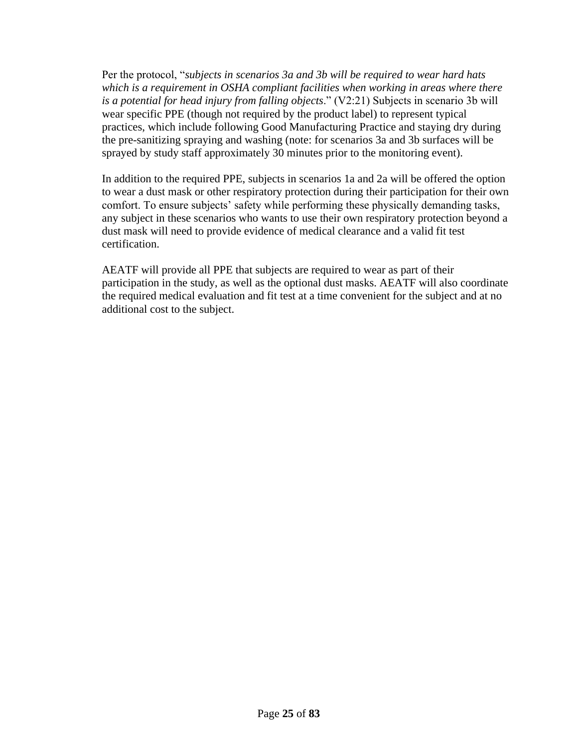Per the protocol, "*subjects in scenarios 3a and 3b will be required to wear hard hats*  which is a requirement in OSHA compliant facilities when working in areas where there *is a potential for head injury from falling objects*." (V2:21) Subjects in scenario 3b will wear specific PPE (though not required by the product label) to represent typical practices, which include following Good Manufacturing Practice and staying dry during the pre-sanitizing spraying and washing (note: for scenarios 3a and 3b surfaces will be sprayed by study staff approximately 30 minutes prior to the monitoring event).

In addition to the required PPE, subjects in scenarios 1a and 2a will be offered the option to wear a dust mask or other respiratory protection during their participation for their own comfort. To ensure subjects' safety while performing these physically demanding tasks, any subject in these scenarios who wants to use their own respiratory protection beyond a dust mask will need to provide evidence of medical clearance and a valid fit test certification.

AEATF will provide all PPE that subjects are required to wear as part of their participation in the study, as well as the optional dust masks. AEATF will also coordinate the required medical evaluation and fit test at a time convenient for the subject and at no additional cost to the subject.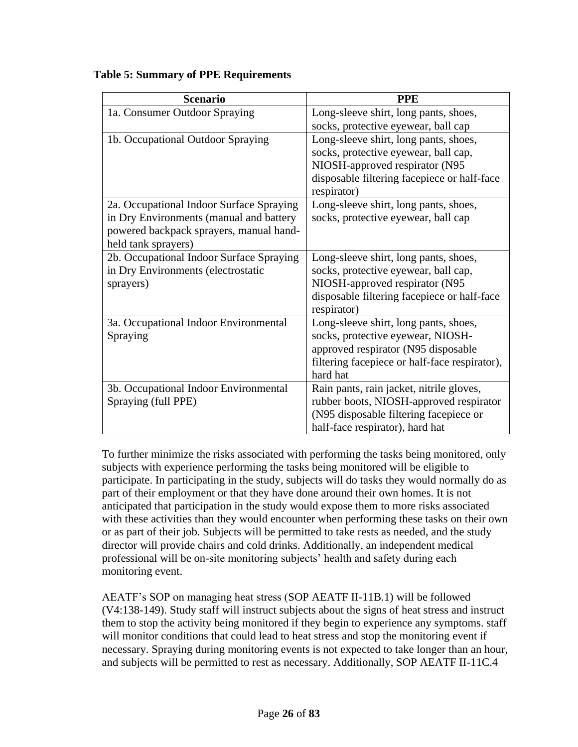| <b>Scenario</b>                                                                                                                                       | <b>PPE</b>                                                                                                                                                                     |
|-------------------------------------------------------------------------------------------------------------------------------------------------------|--------------------------------------------------------------------------------------------------------------------------------------------------------------------------------|
| 1a. Consumer Outdoor Spraying                                                                                                                         | Long-sleeve shirt, long pants, shoes,<br>socks, protective eyewear, ball cap                                                                                                   |
| 1b. Occupational Outdoor Spraying                                                                                                                     | Long-sleeve shirt, long pants, shoes,<br>socks, protective eyewear, ball cap,<br>NIOSH-approved respirator (N95<br>disposable filtering facepiece or half-face<br>respirator)  |
| 2a. Occupational Indoor Surface Spraying<br>in Dry Environments (manual and battery<br>powered backpack sprayers, manual hand-<br>held tank sprayers) | Long-sleeve shirt, long pants, shoes,<br>socks, protective eyewear, ball cap                                                                                                   |
| 2b. Occupational Indoor Surface Spraying<br>in Dry Environments (electrostatic<br>sprayers)                                                           | Long-sleeve shirt, long pants, shoes,<br>socks, protective eyewear, ball cap,<br>NIOSH-approved respirator (N95<br>disposable filtering facepiece or half-face<br>respirator)  |
| 3a. Occupational Indoor Environmental<br>Spraying                                                                                                     | Long-sleeve shirt, long pants, shoes,<br>socks, protective eyewear, NIOSH-<br>approved respirator (N95 disposable<br>filtering facepiece or half-face respirator),<br>hard hat |
| 3b. Occupational Indoor Environmental<br>Spraying (full PPE)                                                                                          | Rain pants, rain jacket, nitrile gloves,<br>rubber boots, NIOSH-approved respirator<br>(N95 disposable filtering facepiece or<br>half-face respirator), hard hat               |

**Table 5: Summary of PPE Requirements** 

To further minimize the risks associated with performing the tasks being monitored, only subjects with experience performing the tasks being monitored will be eligible to participate. In participating in the study, subjects will do tasks they would normally do as part of their employment or that they have done around their own homes. It is not anticipated that participation in the study would expose them to more risks associated with these activities than they would encounter when performing these tasks on their own or as part of their job. Subjects will be permitted to take rests as needed, and the study director will provide chairs and cold drinks. Additionally, an independent medical professional will be on-site monitoring subjects' health and safety during each monitoring event.

AEATF's SOP on managing heat stress (SOP AEATF II-11B.1) will be followed (V4:138-149). Study staff will instruct subjects about the signs of heat stress and instruct them to stop the activity being monitored if they begin to experience any symptoms. staff will monitor conditions that could lead to heat stress and stop the monitoring event if necessary. Spraying during monitoring events is not expected to take longer than an hour, and subjects will be permitted to rest as necessary. Additionally, SOP AEATF II-11C.4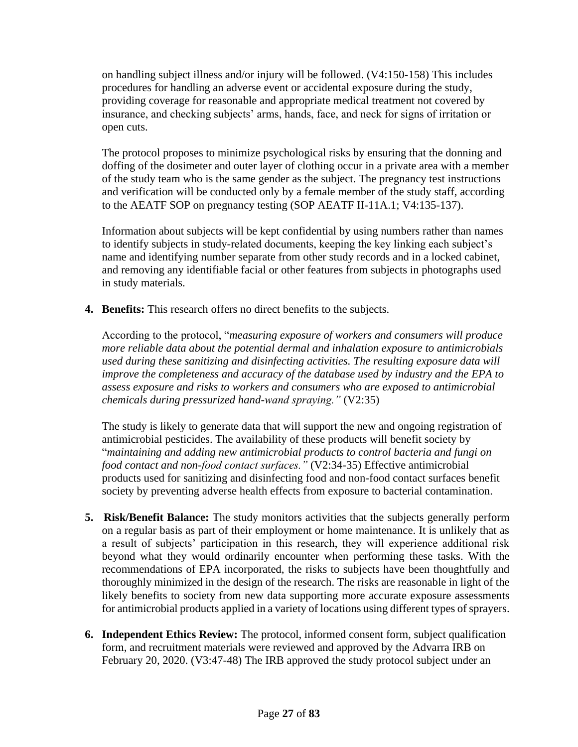on handling subject illness and/or injury will be followed. (V4:150-158) This includes procedures for handling an adverse event or accidental exposure during the study, providing coverage for reasonable and appropriate medical treatment not covered by insurance, and checking subjects' arms, hands, face, and neck for signs of irritation or open cuts.

The protocol proposes to minimize psychological risks by ensuring that the donning and doffing of the dosimeter and outer layer of clothing occur in a private area with a member of the study team who is the same gender as the subject. The pregnancy test instructions and verification will be conducted only by a female member of the study staff, according to the AEATF SOP on pregnancy testing (SOP AEATF II-11A.1; V4:135-137).

Information about subjects will be kept confidential by using numbers rather than names to identify subjects in study-related documents, keeping the key linking each subject's name and identifying number separate from other study records and in a locked cabinet, and removing any identifiable facial or other features from subjects in photographs used in study materials.

**4. Benefits:** This research offers no direct benefits to the subjects.

According to the protocol, "*measuring exposure of workers and consumers will produce more reliable data about the potential dermal and inhalation exposure to antimicrobials used during these sanitizing and disinfecting activities. The resulting exposure data will improve the completeness and accuracy of the database used by industry and the EPA to assess exposure and risks to workers and consumers who are exposed to antimicrobial chemicals during pressurized hand-wand spraying."* (V2:35)

The study is likely to generate data that will support the new and ongoing registration of antimicrobial pesticides. The availability of these products will benefit society by "*maintaining and adding new antimicrobial products to control bacteria and fungi on food contact and non-food contact surfaces."* (V2:34-35) Effective antimicrobial products used for sanitizing and disinfecting food and non-food contact surfaces benefit society by preventing adverse health effects from exposure to bacterial contamination.

- **5. Risk/Benefit Balance:** The study monitors activities that the subjects generally perform on a regular basis as part of their employment or home maintenance. It is unlikely that as a result of subjects' participation in this research, they will experience additional risk beyond what they would ordinarily encounter when performing these tasks. With the recommendations of EPA incorporated, the risks to subjects have been thoughtfully and thoroughly minimized in the design of the research. The risks are reasonable in light of the likely benefits to society from new data supporting more accurate exposure assessments for antimicrobial products applied in a variety of locations using different types of sprayers.
- **6. Independent Ethics Review:** The protocol, informed consent form, subject qualification form, and recruitment materials were reviewed and approved by the Advarra IRB on February 20, 2020. (V3:47-48) The IRB approved the study protocol subject under an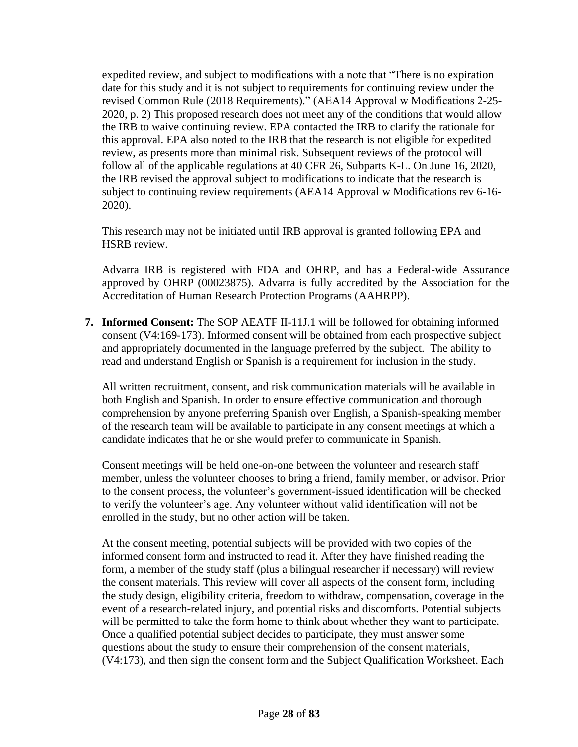expedited review, and subject to modifications with a note that "There is no expiration date for this study and it is not subject to requirements for continuing review under the revised Common Rule (2018 Requirements)." (AEA14 Approval w Modifications 2-25- 2020, p. 2) This proposed research does not meet any of the conditions that would allow the IRB to waive continuing review. EPA contacted the IRB to clarify the rationale for this approval. EPA also noted to the IRB that the research is not eligible for expedited review, as presents more than minimal risk. Subsequent reviews of the protocol will follow all of the applicable regulations at 40 CFR 26, Subparts K-L. On June 16, 2020, the IRB revised the approval subject to modifications to indicate that the research is subject to continuing review requirements (AEA14 Approval w Modifications rev 6-16- 2020).

This research may not be initiated until IRB approval is granted following EPA and HSRB review.

Advarra IRB is registered with FDA and OHRP, and has a Federal-wide Assurance approved by OHRP (00023875). Advarra is fully accredited by the Association for the Accreditation of Human Research Protection Programs (AAHRPP).

**7. Informed Consent:** The SOP AEATF II-11J.1 will be followed for obtaining informed consent (V4:169-173). Informed consent will be obtained from each prospective subject and appropriately documented in the language preferred by the subject. The ability to read and understand English or Spanish is a requirement for inclusion in the study.

All written recruitment, consent, and risk communication materials will be available in both English and Spanish. In order to ensure effective communication and thorough comprehension by anyone preferring Spanish over English, a Spanish-speaking member of the research team will be available to participate in any consent meetings at which a candidate indicates that he or she would prefer to communicate in Spanish.

Consent meetings will be held one-on-one between the volunteer and research staff member, unless the volunteer chooses to bring a friend, family member, or advisor. Prior to the consent process, the volunteer's government-issued identification will be checked to verify the volunteer's age. Any volunteer without valid identification will not be enrolled in the study, but no other action will be taken.

At the consent meeting, potential subjects will be provided with two copies of the informed consent form and instructed to read it. After they have finished reading the form, a member of the study staff (plus a bilingual researcher if necessary) will review the consent materials. This review will cover all aspects of the consent form, including the study design, eligibility criteria, freedom to withdraw, compensation, coverage in the event of a research-related injury, and potential risks and discomforts. Potential subjects will be permitted to take the form home to think about whether they want to participate. Once a qualified potential subject decides to participate, they must answer some questions about the study to ensure their comprehension of the consent materials, (V4:173), and then sign the consent form and the Subject Qualification Worksheet. Each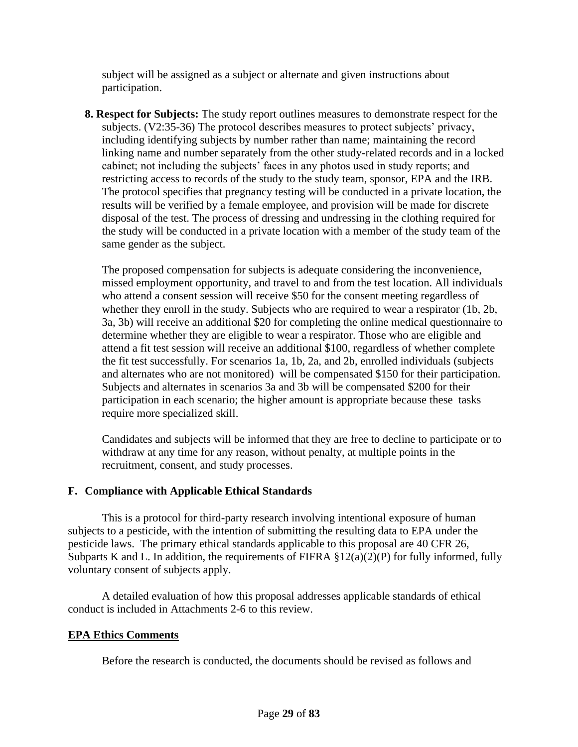subject will be assigned as a subject or alternate and given instructions about participation.

**8. Respect for Subjects:** The study report outlines measures to demonstrate respect for the subjects. (V2:35-36) The protocol describes measures to protect subjects' privacy, including identifying subjects by number rather than name; maintaining the record linking name and number separately from the other study-related records and in a locked cabinet; not including the subjects' faces in any photos used in study reports; and restricting access to records of the study to the study team, sponsor, EPA and the IRB. The protocol specifies that pregnancy testing will be conducted in a private location, the results will be verified by a female employee, and provision will be made for discrete disposal of the test. The process of dressing and undressing in the clothing required for the study will be conducted in a private location with a member of the study team of the same gender as the subject.

The proposed compensation for subjects is adequate considering the inconvenience, missed employment opportunity, and travel to and from the test location. All individuals who attend a consent session will receive \$50 for the consent meeting regardless of whether they enroll in the study. Subjects who are required to wear a respirator (1b, 2b, 3a, 3b) will receive an additional \$20 for completing the online medical questionnaire to determine whether they are eligible to wear a respirator. Those who are eligible and attend a fit test session will receive an additional \$100, regardless of whether complete the fit test successfully. For scenarios 1a, 1b, 2a, and 2b, enrolled individuals (subjects and alternates who are not monitored) will be compensated \$150 for their participation. Subjects and alternates in scenarios 3a and 3b will be compensated \$200 for their participation in each scenario; the higher amount is appropriate because these tasks require more specialized skill.

Candidates and subjects will be informed that they are free to decline to participate or to withdraw at any time for any reason, without penalty, at multiple points in the recruitment, consent, and study processes.

## **F. Compliance with Applicable Ethical Standards**

This is a protocol for third-party research involving intentional exposure of human subjects to a pesticide, with the intention of submitting the resulting data to EPA under the pesticide laws. The primary ethical standards applicable to this proposal are 40 CFR 26, Subparts K and L. In addition, the requirements of FIFRA  $\S 12(a)(2)(P)$  for fully informed, fully voluntary consent of subjects apply.

A detailed evaluation of how this proposal addresses applicable standards of ethical conduct is included in Attachments 2-6 to this review.

### **EPA Ethics Comments**

Before the research is conducted, the documents should be revised as follows and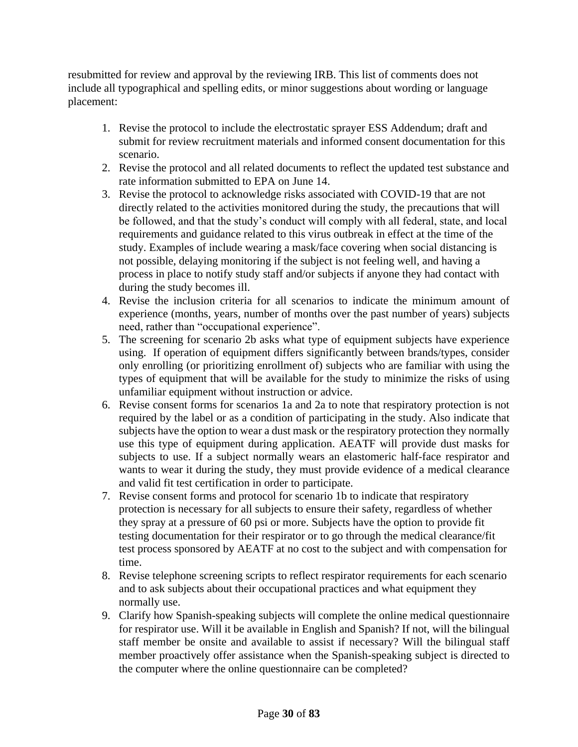resubmitted for review and approval by the reviewing IRB. This list of comments does not include all typographical and spelling edits, or minor suggestions about wording or language placement:

- 1. Revise the protocol to include the electrostatic sprayer ESS Addendum; draft and submit for review recruitment materials and informed consent documentation for this scenario.
- 2. Revise the protocol and all related documents to reflect the updated test substance and rate information submitted to EPA on June 14.
- 3. Revise the protocol to acknowledge risks associated with COVID-19 that are not directly related to the activities monitored during the study, the precautions that will be followed, and that the study's conduct will comply with all federal, state, and local requirements and guidance related to this virus outbreak in effect at the time of the study. Examples of include wearing a mask/face covering when social distancing is not possible, delaying monitoring if the subject is not feeling well, and having a process in place to notify study staff and/or subjects if anyone they had contact with during the study becomes ill.
- 4. Revise the inclusion criteria for all scenarios to indicate the minimum amount of experience (months, years, number of months over the past number of years) subjects need, rather than "occupational experience".
- 5. The screening for scenario 2b asks what type of equipment subjects have experience using. If operation of equipment differs significantly between brands/types, consider only enrolling (or prioritizing enrollment of) subjects who are familiar with using the types of equipment that will be available for the study to minimize the risks of using unfamiliar equipment without instruction or advice.
- 6. Revise consent forms for scenarios 1a and 2a to note that respiratory protection is not required by the label or as a condition of participating in the study. Also indicate that subjects have the option to wear a dust mask or the respiratory protection they normally use this type of equipment during application. AEATF will provide dust masks for subjects to use. If a subject normally wears an elastomeric half-face respirator and wants to wear it during the study, they must provide evidence of a medical clearance and valid fit test certification in order to participate.
- 7. Revise consent forms and protocol for scenario 1b to indicate that respiratory protection is necessary for all subjects to ensure their safety, regardless of whether they spray at a pressure of 60 psi or more. Subjects have the option to provide fit testing documentation for their respirator or to go through the medical clearance/fit test process sponsored by AEATF at no cost to the subject and with compensation for time.
- 8. Revise telephone screening scripts to reflect respirator requirements for each scenario and to ask subjects about their occupational practices and what equipment they normally use.
- 9. Clarify how Spanish-speaking subjects will complete the online medical questionnaire for respirator use. Will it be available in English and Spanish? If not, will the bilingual staff member be onsite and available to assist if necessary? Will the bilingual staff member proactively offer assistance when the Spanish-speaking subject is directed to the computer where the online questionnaire can be completed?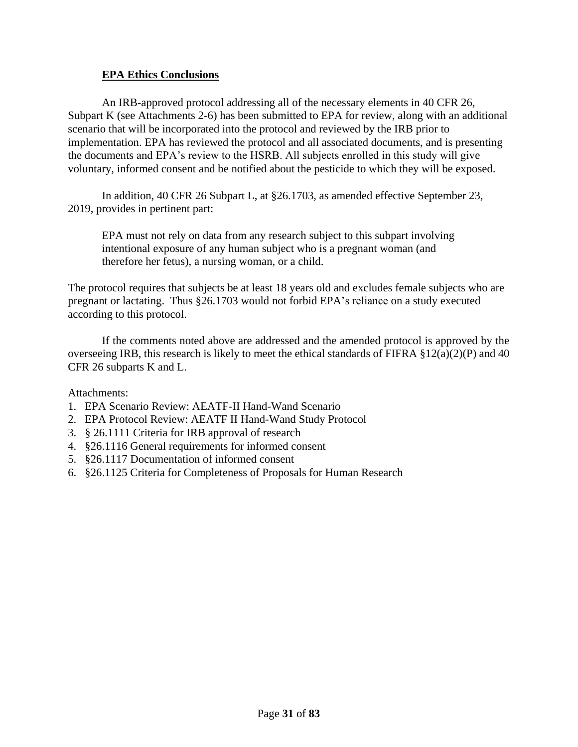## **EPA Ethics Conclusions**

An IRB-approved protocol addressing all of the necessary elements in 40 CFR 26, Subpart K (see Attachments 2-6) has been submitted to EPA for review, along with an additional scenario that will be incorporated into the protocol and reviewed by the IRB prior to implementation. EPA has reviewed the protocol and all associated documents, and is presenting the documents and EPA's review to the HSRB. All subjects enrolled in this study will give voluntary, informed consent and be notified about the pesticide to which they will be exposed.

In addition, 40 CFR 26 Subpart L, at §26.1703, as amended effective September 23, 2019, provides in pertinent part:

EPA must not rely on data from any research subject to this subpart involving intentional exposure of any human subject who is a pregnant woman (and therefore her fetus), a nursing woman, or a child.

The protocol requires that subjects be at least 18 years old and excludes female subjects who are pregnant or lactating. Thus §26.1703 would not forbid EPA's reliance on a study executed according to this protocol.

If the comments noted above are addressed and the amended protocol is approved by the overseeing IRB, this research is likely to meet the ethical standards of FIFRA §12(a)(2)(P) and 40 CFR 26 subparts K and L.

Attachments:

- 1. EPA Scenario Review: AEATF-II Hand-Wand Scenario
- 2. EPA Protocol Review: AEATF II Hand-Wand Study Protocol
- 3. § 26.1111 Criteria for IRB approval of research
- 4. §26.1116 General requirements for informed consent
- 5. §26.1117 Documentation of informed consent
- 6. §26.1125 Criteria for Completeness of Proposals for Human Research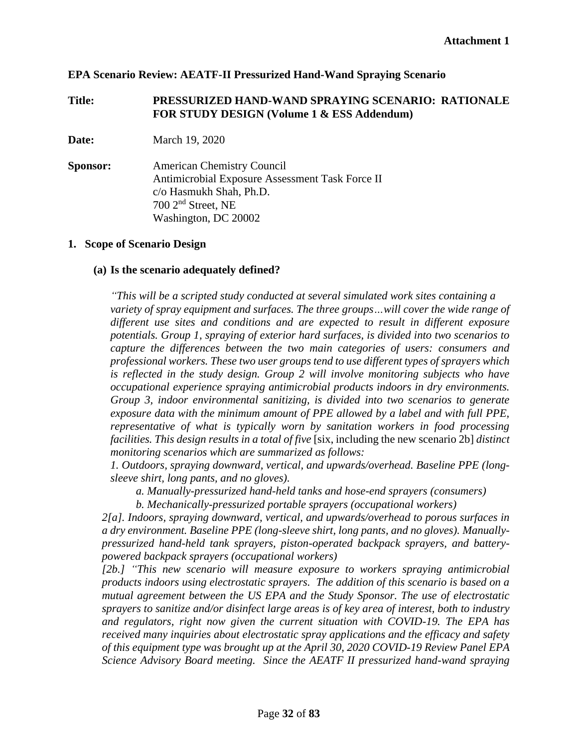### **EPA Scenario Review: AEATF-II Pressurized Hand-Wand Spraying Scenario**

### **Title: PRESSURIZED HAND-WAND SPRAYING SCENARIO: RATIONALE FOR STUDY DESIGN (Volume 1 & ESS Addendum)**

**Date:** March 19, 2020

**Sponsor:** American Chemistry Council Antimicrobial Exposure Assessment Task Force II c/o Hasmukh Shah, Ph.D. 700 2nd Street, NE Washington, DC 20002

### **1. Scope of Scenario Design**

### **(a) Is the scenario adequately defined?**

*"This will be a scripted study conducted at several simulated work sites containing a variety of spray equipment and surfaces. The three groups…will cover the wide range of different use sites and conditions and are expected to result in different exposure potentials. Group 1, spraying of exterior hard surfaces, is divided into two scenarios to capture the differences between the two main categories of users: consumers and professional workers. These two user groups tend to use different types of sprayers which is reflected in the study design. Group 2 will involve monitoring subjects who have occupational experience spraying antimicrobial products indoors in dry environments. Group 3, indoor environmental sanitizing, is divided into two scenarios to generate exposure data with the minimum amount of PPE allowed by a label and with full PPE, representative of what is typically worn by sanitation workers in food processing facilities. This design results in a total of five* [six, including the new scenario 2b] *distinct monitoring scenarios which are summarized as follows:*

*1. Outdoors, spraying downward, vertical, and upwards/overhead. Baseline PPE (longsleeve shirt, long pants, and no gloves).*

*a. Manually-pressurized hand-held tanks and hose-end sprayers (consumers)*

*b. Mechanically-pressurized portable sprayers (occupational workers)*

*2[a]. Indoors, spraying downward, vertical, and upwards/overhead to porous surfaces in a dry environment. Baseline PPE (long-sleeve shirt, long pants, and no gloves). Manuallypressurized hand-held tank sprayers, piston-operated backpack sprayers, and batterypowered backpack sprayers (occupational workers)*

*[2b.] "This new scenario will measure exposure to workers spraying antimicrobial products indoors using electrostatic sprayers. The addition of this scenario is based on a mutual agreement between the US EPA and the Study Sponsor. The use of electrostatic sprayers to sanitize and/or disinfect large areas is of key area of interest, both to industry and regulators, right now given the current situation with COVID-19. The EPA has received many inquiries about electrostatic spray applications and the efficacy and safety of this equipment type was brought up at the April 30, 2020 COVID-19 Review Panel EPA Science Advisory Board meeting. Since the AEATF II pressurized hand-wand spraying*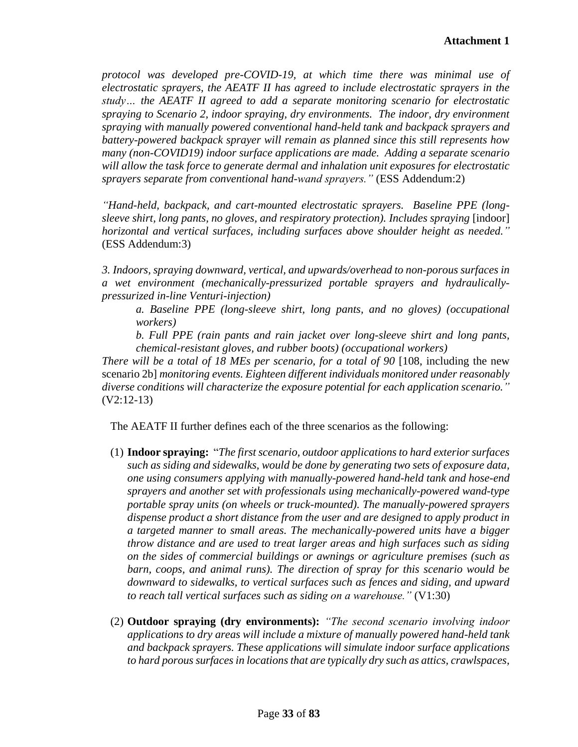*protocol was developed pre-COVID-19, at which time there was minimal use of electrostatic sprayers, the AEATF II has agreed to include electrostatic sprayers in the study… the AEATF II agreed to add a separate monitoring scenario for electrostatic spraying to Scenario 2, indoor spraying, dry environments. The indoor, dry environment spraying with manually powered conventional hand-held tank and backpack sprayers and battery-powered backpack sprayer will remain as planned since this still represents how many (non-COVID19) indoor surface applications are made. Adding a separate scenario will allow the task force to generate dermal and inhalation unit exposures for electrostatic sprayers separate from conventional hand-wand sprayers."* (ESS Addendum:2)

*"Hand-held, backpack, and cart-mounted electrostatic sprayers. Baseline PPE (longsleeve shirt, long pants, no gloves, and respiratory protection). Includes spraying* [indoor] *horizontal and vertical surfaces, including surfaces above shoulder height as needed."*  (ESS Addendum:3)

*3. Indoors, spraying downward, vertical, and upwards/overhead to non-porous surfaces in a wet environment (mechanically-pressurized portable sprayers and hydraulicallypressurized in-line Venturi-injection)*

*a. Baseline PPE (long-sleeve shirt, long pants, and no gloves) (occupational workers)*

*b. Full PPE (rain pants and rain jacket over long-sleeve shirt and long pants, chemical-resistant gloves, and rubber boots) (occupational workers)*

*There will be a total of 18 MEs per scenario, for a total of 90 [108, including the new* scenario 2b] *monitoring events. Eighteen different individuals monitored under reasonably diverse conditions will characterize the exposure potential for each application scenario."*  (V2:12-13)

The AEATF II further defines each of the three scenarios as the following:

- (1) **Indoor spraying:** "*The first scenario, outdoor applications to hard exterior surfaces such as siding and sidewalks, would be done by generating two sets of exposure data, one using consumers applying with manually-powered hand-held tank and hose-end sprayers and another set with professionals using mechanically-powered wand-type portable spray units (on wheels or truck-mounted). The manually-powered sprayers dispense product a short distance from the user and are designed to apply product in a targeted manner to small areas. The mechanically-powered units have a bigger throw distance and are used to treat larger areas and high surfaces such as siding on the sides of commercial buildings or awnings or agriculture premises (such as barn, coops, and animal runs). The direction of spray for this scenario would be downward to sidewalks, to vertical surfaces such as fences and siding, and upward to reach tall vertical surfaces such as siding on a warehouse."* (V1:30)
- (2) **Outdoor spraying (dry environments):** *"The second scenario involving indoor applications to dry areas will include a mixture of manually powered hand-held tank and backpack sprayers. These applications will simulate indoor surface applications to hard porous surfaces in locations that are typically dry such as attics, crawlspaces,*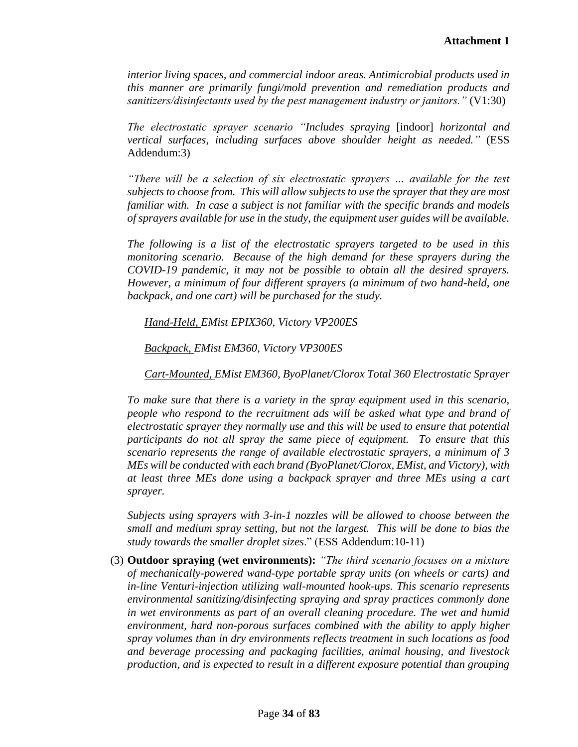*interior living spaces, and commercial indoor areas. Antimicrobial products used in this manner are primarily fungi/mold prevention and remediation products and sanitizers/disinfectants used by the pest management industry or janitors."* (V1:30)

*The electrostatic sprayer scenario "Includes spraying* [indoor] *horizontal and vertical surfaces, including surfaces above shoulder height as needed."* (ESS Addendum:3)

*"There will be a selection of six electrostatic sprayers … available for the test subjects to choose from. This will allow subjects to use the sprayer that they are most familiar with. In case a subject is not familiar with the specific brands and models of sprayers available for use in the study, the equipment user guides will be available.*

*The following is a list of the electrostatic sprayers targeted to be used in this monitoring scenario. Because of the high demand for these sprayers during the COVID-19 pandemic, it may not be possible to obtain all the desired sprayers. However, a minimum of four different sprayers (a minimum of two hand-held, one backpack, and one cart) will be purchased for the study.*

*Hand-Held, EMist EPIX360, Victory VP200ES* 

*Backpack, EMist EM360, Victory VP300ES* 

*Cart-Mounted, EMist EM360, ByoPlanet/Clorox Total 360 Electrostatic Sprayer* 

*To make sure that there is a variety in the spray equipment used in this scenario, people who respond to the recruitment ads will be asked what type and brand of electrostatic sprayer they normally use and this will be used to ensure that potential participants do not all spray the same piece of equipment. To ensure that this scenario represents the range of available electrostatic sprayers, a minimum of 3 MEs will be conducted with each brand (ByoPlanet/Clorox, EMist, and Victory), with at least three MEs done using a backpack sprayer and three MEs using a cart sprayer.* 

*Subjects using sprayers with 3-in-1 nozzles will be allowed to choose between the small and medium spray setting, but not the largest. This will be done to bias the study towards the smaller droplet sizes*." (ESS Addendum:10-11)

(3) **Outdoor spraying (wet environments):** *"The third scenario focuses on a mixture of mechanically-powered wand-type portable spray units (on wheels or carts) and in-line Venturi-injection utilizing wall-mounted hook-ups. This scenario represents environmental sanitizing/disinfecting spraying and spray practices commonly done in wet environments as part of an overall cleaning procedure. The wet and humid environment, hard non-porous surfaces combined with the ability to apply higher spray volumes than in dry environments reflects treatment in such locations as food and beverage processing and packaging facilities, animal housing, and livestock production, and is expected to result in a different exposure potential than grouping*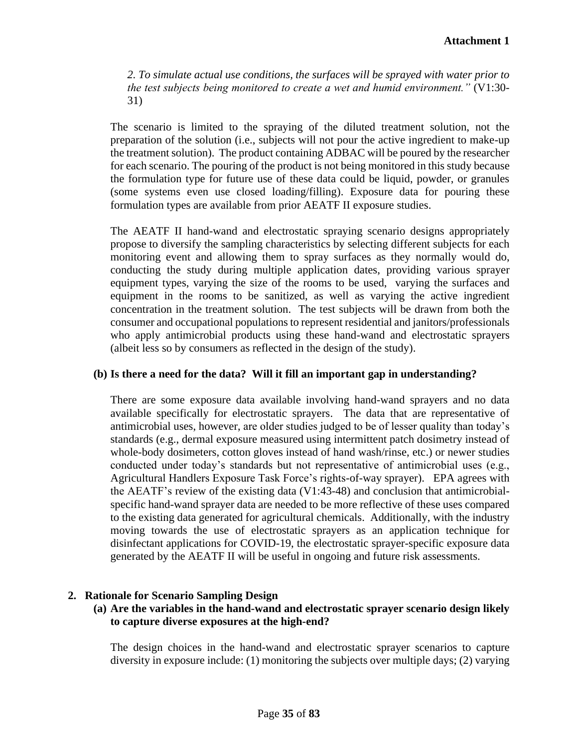*2. To simulate actual use conditions, the surfaces will be sprayed with water prior to the test subjects being monitored to create a wet and humid environment."* (V1:30- 31)

The scenario is limited to the spraying of the diluted treatment solution, not the preparation of the solution (i.e., subjects will not pour the active ingredient to make-up the treatment solution). The product containing ADBAC will be poured by the researcher for each scenario. The pouring of the product is not being monitored in this study because the formulation type for future use of these data could be liquid, powder, or granules (some systems even use closed loading/filling). Exposure data for pouring these formulation types are available from prior AEATF II exposure studies.

The AEATF II hand-wand and electrostatic spraying scenario designs appropriately propose to diversify the sampling characteristics by selecting different subjects for each monitoring event and allowing them to spray surfaces as they normally would do, conducting the study during multiple application dates, providing various sprayer equipment types, varying the size of the rooms to be used, varying the surfaces and equipment in the rooms to be sanitized, as well as varying the active ingredient concentration in the treatment solution. The test subjects will be drawn from both the consumer and occupational populations to represent residential and janitors/professionals who apply antimicrobial products using these hand-wand and electrostatic sprayers (albeit less so by consumers as reflected in the design of the study).

## **(b) Is there a need for the data? Will it fill an important gap in understanding?**

There are some exposure data available involving hand-wand sprayers and no data available specifically for electrostatic sprayers. The data that are representative of antimicrobial uses, however, are older studies judged to be of lesser quality than today's standards (e.g., dermal exposure measured using intermittent patch dosimetry instead of whole-body dosimeters, cotton gloves instead of hand wash/rinse, etc.) or newer studies conducted under today's standards but not representative of antimicrobial uses (e.g., Agricultural Handlers Exposure Task Force's rights-of-way sprayer). EPA agrees with the AEATF's review of the existing data (V1:43-48) and conclusion that antimicrobialspecific hand-wand sprayer data are needed to be more reflective of these uses compared to the existing data generated for agricultural chemicals. Additionally, with the industry moving towards the use of electrostatic sprayers as an application technique for disinfectant applications for COVID-19, the electrostatic sprayer-specific exposure data generated by the AEATF II will be useful in ongoing and future risk assessments.

### **2. Rationale for Scenario Sampling Design**

**(a) Are the variables in the hand-wand and electrostatic sprayer scenario design likely to capture diverse exposures at the high-end?**

The design choices in the hand-wand and electrostatic sprayer scenarios to capture diversity in exposure include: (1) monitoring the subjects over multiple days; (2) varying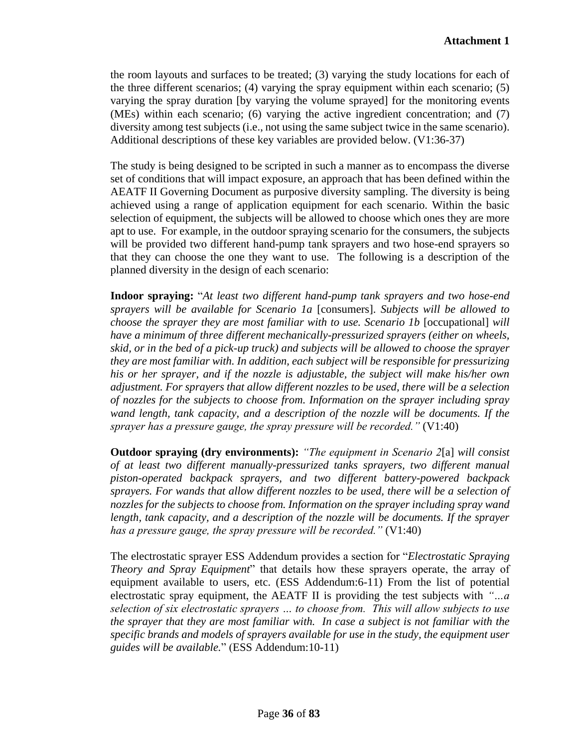the room layouts and surfaces to be treated; (3) varying the study locations for each of the three different scenarios; (4) varying the spray equipment within each scenario; (5) varying the spray duration [by varying the volume sprayed] for the monitoring events (MEs) within each scenario; (6) varying the active ingredient concentration; and (7) diversity among test subjects (i.e., not using the same subject twice in the same scenario). Additional descriptions of these key variables are provided below. (V1:36-37)

The study is being designed to be scripted in such a manner as to encompass the diverse set of conditions that will impact exposure, an approach that has been defined within the AEATF II Governing Document as purposive diversity sampling. The diversity is being achieved using a range of application equipment for each scenario. Within the basic selection of equipment, the subjects will be allowed to choose which ones they are more apt to use. For example, in the outdoor spraying scenario for the consumers, the subjects will be provided two different hand-pump tank sprayers and two hose-end sprayers so that they can choose the one they want to use. The following is a description of the planned diversity in the design of each scenario:

**Indoor spraying:** "*At least two different hand-pump tank sprayers and two hose-end sprayers will be available for Scenario 1a* [consumers]. *Subjects will be allowed to choose the sprayer they are most familiar with to use. Scenario 1b* [occupational] *will have a minimum of three different mechanically-pressurized sprayers (either on wheels, skid, or in the bed of a pick-up truck) and subjects will be allowed to choose the sprayer they are most familiar with. In addition, each subject will be responsible for pressurizing his or her sprayer, and if the nozzle is adjustable, the subject will make his/her own adjustment. For sprayers that allow different nozzles to be used, there will be a selection of nozzles for the subjects to choose from. Information on the sprayer including spray wand length, tank capacity, and a description of the nozzle will be documents. If the sprayer has a pressure gauge, the spray pressure will be recorded."* (V1:40)

**Outdoor spraying (dry environments):** *"The equipment in Scenario 2*[a] *will consist of at least two different manually-pressurized tanks sprayers, two different manual piston-operated backpack sprayers, and two different battery-powered backpack sprayers. For wands that allow different nozzles to be used, there will be a selection of nozzles for the subjects to choose from. Information on the sprayer including spray wand length, tank capacity, and a description of the nozzle will be documents. If the sprayer has a pressure gauge, the spray pressure will be recorded."* (V1:40)

The electrostatic sprayer ESS Addendum provides a section for "*Electrostatic Spraying Theory and Spray Equipment*" that details how these sprayers operate, the array of equipment available to users, etc. (ESS Addendum:6-11) From the list of potential electrostatic spray equipment, the AEATF II is providing the test subjects with *"…a selection of six electrostatic sprayers … to choose from. This will allow subjects to use the sprayer that they are most familiar with. In case a subject is not familiar with the specific brands and models of sprayers available for use in the study, the equipment user guides will be available.*" (ESS Addendum:10-11)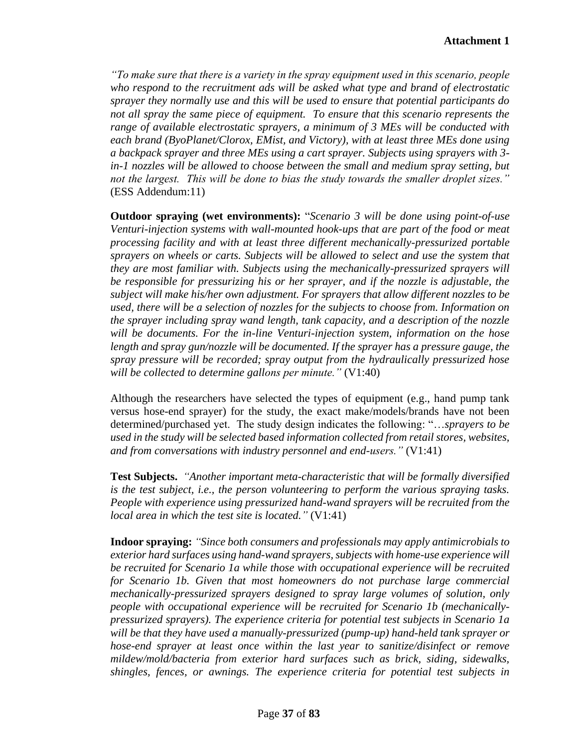*"To make sure that there is a variety in the spray equipment used in this scenario, people who respond to the recruitment ads will be asked what type and brand of electrostatic sprayer they normally use and this will be used to ensure that potential participants do not all spray the same piece of equipment. To ensure that this scenario represents the range of available electrostatic sprayers, a minimum of 3 MEs will be conducted with each brand (ByoPlanet/Clorox, EMist, and Victory), with at least three MEs done using a backpack sprayer and three MEs using a cart sprayer. Subjects using sprayers with 3 in-1 nozzles will be allowed to choose between the small and medium spray setting, but not the largest. This will be done to bias the study towards the smaller droplet sizes."* (ESS Addendum:11)

**Outdoor spraying (wet environments):** "*Scenario 3 will be done using point-of-use Venturi-injection systems with wall-mounted hook-ups that are part of the food or meat processing facility and with at least three different mechanically-pressurized portable sprayers on wheels or carts. Subjects will be allowed to select and use the system that they are most familiar with. Subjects using the mechanically-pressurized sprayers will be responsible for pressurizing his or her sprayer, and if the nozzle is adjustable, the subject will make his/her own adjustment. For sprayers that allow different nozzles to be used, there will be a selection of nozzles for the subjects to choose from. Information on the sprayer including spray wand length, tank capacity, and a description of the nozzle will be documents. For the in-line Venturi-injection system, information on the hose length and spray gun/nozzle will be documented. If the sprayer has a pressure gauge, the spray pressure will be recorded; spray output from the hydraulically pressurized hose will be collected to determine gallons per minute."* (V1:40)

Although the researchers have selected the types of equipment (e.g., hand pump tank versus hose-end sprayer) for the study, the exact make/models/brands have not been determined/purchased yet. The study design indicates the following: "…*sprayers to be used in the study will be selected based information collected from retail stores, websites, and from conversations with industry personnel and end-users."* (V1:41)

**Test Subjects.** *"Another important meta-characteristic that will be formally diversified is the test subject, i.e., the person volunteering to perform the various spraying tasks. People with experience using pressurized hand-wand sprayers will be recruited from the local area in which the test site is located."* (V1:41)

**Indoor spraying:** *"Since both consumers and professionals may apply antimicrobials to exterior hard surfaces using hand-wand sprayers, subjects with home-use experience will be recruited for Scenario 1a while those with occupational experience will be recruited for Scenario 1b. Given that most homeowners do not purchase large commercial mechanically-pressurized sprayers designed to spray large volumes of solution, only people with occupational experience will be recruited for Scenario 1b (mechanicallypressurized sprayers). The experience criteria for potential test subjects in Scenario 1a will be that they have used a manually-pressurized (pump-up) hand-held tank sprayer or hose-end sprayer at least once within the last year to sanitize/disinfect or remove mildew/mold/bacteria from exterior hard surfaces such as brick, siding, sidewalks, shingles, fences, or awnings. The experience criteria for potential test subjects in*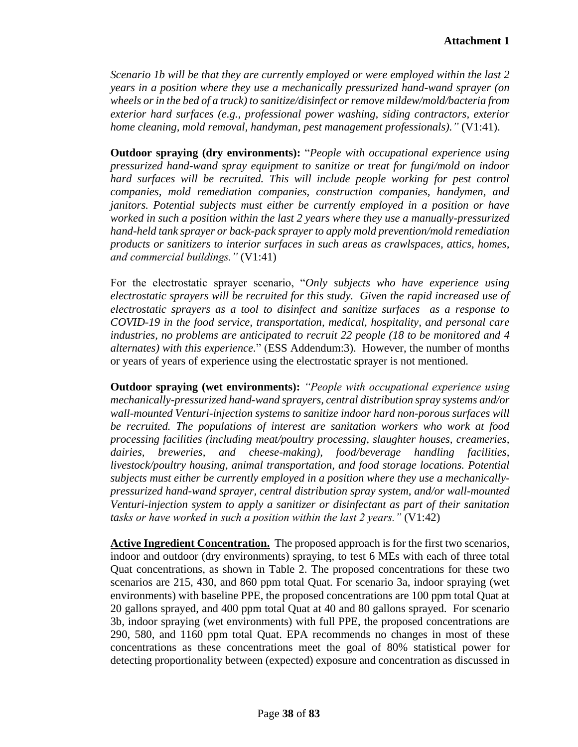*Scenario 1b will be that they are currently employed or were employed within the last 2 years in a position where they use a mechanically pressurized hand-wand sprayer (on wheels or in the bed of a truck) to sanitize/disinfect or remove mildew/mold/bacteria from exterior hard surfaces (e.g., professional power washing, siding contractors, exterior home cleaning, mold removal, handyman, pest management professionals)."* (V1:41).

**Outdoor spraying (dry environments):** "*People with occupational experience using pressurized hand-wand spray equipment to sanitize or treat for fungi/mold on indoor hard surfaces will be recruited. This will include people working for pest control companies, mold remediation companies, construction companies, handymen, and janitors. Potential subjects must either be currently employed in a position or have worked in such a position within the last 2 years where they use a manually-pressurized hand-held tank sprayer or back-pack sprayer to apply mold prevention/mold remediation products or sanitizers to interior surfaces in such areas as crawlspaces, attics, homes, and commercial buildings."* (V1:41)

For the electrostatic sprayer scenario, "*Only subjects who have experience using electrostatic sprayers will be recruited for this study. Given the rapid increased use of electrostatic sprayers as a tool to disinfect and sanitize surfaces as a response to COVID-19 in the food service, transportation, medical, hospitality, and personal care industries, no problems are anticipated to recruit 22 people (18 to be monitored and 4 alternates) with this experience.*" (ESS Addendum:3). However, the number of months or years of years of experience using the electrostatic sprayer is not mentioned.

**Outdoor spraying (wet environments):** *"People with occupational experience using mechanically-pressurized hand-wand sprayers, central distribution spray systems and/or wall-mounted Venturi-injection systems to sanitize indoor hard non-porous surfaces will be recruited. The populations of interest are sanitation workers who work at food processing facilities (including meat/poultry processing, slaughter houses, creameries, dairies, breweries, and cheese-making), food/beverage handling facilities, livestock/poultry housing, animal transportation, and food storage locations. Potential subjects must either be currently employed in a position where they use a mechanicallypressurized hand-wand sprayer, central distribution spray system, and/or wall-mounted Venturi-injection system to apply a sanitizer or disinfectant as part of their sanitation tasks or have worked in such a position within the last 2 years."* (V1:42)

**Active Ingredient Concentration.** The proposed approach is for the first two scenarios, indoor and outdoor (dry environments) spraying, to test 6 MEs with each of three total Quat concentrations, as shown in Table 2. The proposed concentrations for these two scenarios are 215, 430, and 860 ppm total Quat. For scenario 3a, indoor spraying (wet environments) with baseline PPE, the proposed concentrations are 100 ppm total Quat at 20 gallons sprayed, and 400 ppm total Quat at 40 and 80 gallons sprayed. For scenario 3b, indoor spraying (wet environments) with full PPE, the proposed concentrations are 290, 580, and 1160 ppm total Quat. EPA recommends no changes in most of these concentrations as these concentrations meet the goal of 80% statistical power for detecting proportionality between (expected) exposure and concentration as discussed in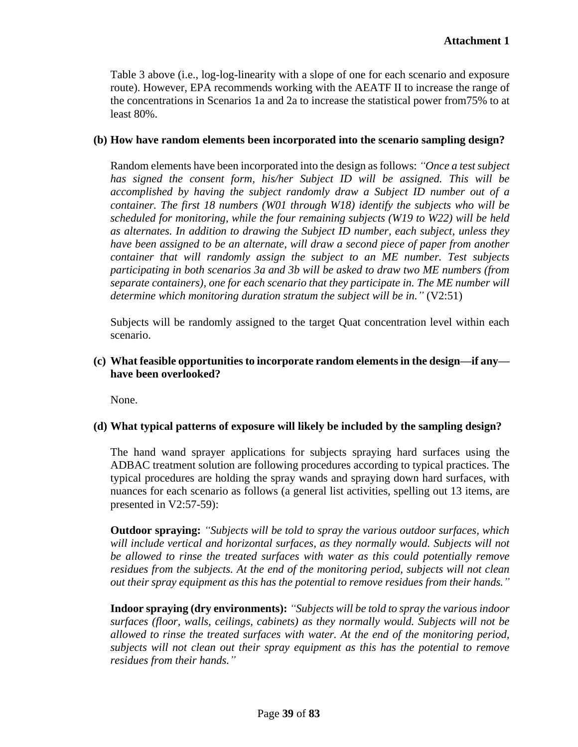Table 3 above (i.e., log-log-linearity with a slope of one for each scenario and exposure route). However, EPA recommends working with the AEATF II to increase the range of the concentrations in Scenarios 1a and 2a to increase the statistical power from75% to at least 80%.

### **(b) How have random elements been incorporated into the scenario sampling design?**

Random elements have been incorporated into the design as follows: *"Once a test subject has signed the consent form, his/her Subject ID will be assigned. This will be accomplished by having the subject randomly draw a Subject ID number out of a container. The first 18 numbers (W01 through W18) identify the subjects who will be scheduled for monitoring, while the four remaining subjects (W19 to W22) will be held as alternates. In addition to drawing the Subject ID number, each subject, unless they have been assigned to be an alternate, will draw a second piece of paper from another container that will randomly assign the subject to an ME number. Test subjects participating in both scenarios 3a and 3b will be asked to draw two ME numbers (from separate containers), one for each scenario that they participate in. The ME number will determine which monitoring duration stratum the subject will be in.*" (V2:51)

Subjects will be randomly assigned to the target Quat concentration level within each scenario.

### **(c) What feasible opportunities to incorporate random elements in the design—if any have been overlooked?**

None.

### **(d) What typical patterns of exposure will likely be included by the sampling design?**

The hand wand sprayer applications for subjects spraying hard surfaces using the ADBAC treatment solution are following procedures according to typical practices. The typical procedures are holding the spray wands and spraying down hard surfaces, with nuances for each scenario as follows (a general list activities, spelling out 13 items, are presented in V2:57-59):

**Outdoor spraying:** *"Subjects will be told to spray the various outdoor surfaces, which will include vertical and horizontal surfaces, as they normally would. Subjects will not be allowed to rinse the treated surfaces with water as this could potentially remove residues from the subjects. At the end of the monitoring period, subjects will not clean out their spray equipment as this has the potential to remove residues from their hands."* 

**Indoor spraying (dry environments):** *"Subjects will be told to spray the various indoor surfaces (floor, walls, ceilings, cabinets) as they normally would. Subjects will not be allowed to rinse the treated surfaces with water. At the end of the monitoring period, subjects will not clean out their spray equipment as this has the potential to remove residues from their hands."*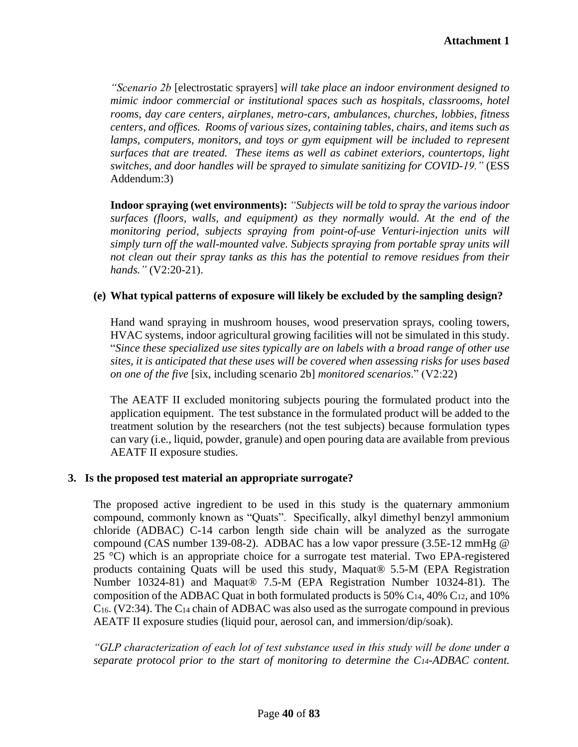*"Scenario 2b* [electrostatic sprayers] *will take place an indoor environment designed to mimic indoor commercial or institutional spaces such as hospitals, classrooms, hotel rooms, day care centers, airplanes, metro-cars, ambulances, churches, lobbies, fitness centers, and offices. Rooms of various sizes, containing tables, chairs, and items such as lamps, computers, monitors, and toys or gym equipment will be included to represent surfaces that are treated. These items as well as cabinet exteriors, countertops, light switches, and door handles will be sprayed to simulate sanitizing for COVID-19."* (ESS Addendum:3)

**Indoor spraying (wet environments):** *"Subjects will be told to spray the various indoor surfaces (floors, walls, and equipment) as they normally would. At the end of the monitoring period, subjects spraying from point-of-use Venturi-injection units will simply turn off the wall-mounted valve. Subjects spraying from portable spray units will not clean out their spray tanks as this has the potential to remove residues from their hands."* (V2:20-21).

### **(e) What typical patterns of exposure will likely be excluded by the sampling design?**

Hand wand spraying in mushroom houses, wood preservation sprays, cooling towers, HVAC systems, indoor agricultural growing facilities will not be simulated in this study. "*Since these specialized use sites typically are on labels with a broad range of other use sites, it is anticipated that these uses will be covered when assessing risks for uses based on one of the five* [six, including scenario 2b] *monitored scenarios*." (V2:22)

The AEATF II excluded monitoring subjects pouring the formulated product into the application equipment. The test substance in the formulated product will be added to the treatment solution by the researchers (not the test subjects) because formulation types can vary (i.e., liquid, powder, granule) and open pouring data are available from previous AEATF II exposure studies.

### **3. Is the proposed test material an appropriate surrogate?**

The proposed active ingredient to be used in this study is the quaternary ammonium compound, commonly known as "Quats". Specifically, alkyl dimethyl benzyl ammonium chloride (ADBAC) C-14 carbon length side chain will be analyzed as the surrogate compound (CAS number 139-08-2). ADBAC has a low vapor pressure (3.5E-12 mmHg @ 25 °C) which is an appropriate choice for a surrogate test material. Two EPA-registered products containing Quats will be used this study, Maquat® 5.5-M (EPA Registration Number 10324-81) and Maquat® 7.5-M (EPA Registration Number 10324-81). The composition of the ADBAC Quat in both formulated products is 50%  $C_{14}$ , 40%  $C_{12}$ , and 10% C16. (V2:34). The C<sup>14</sup> chain of ADBAC was also used as the surrogate compound in previous AEATF II exposure studies (liquid pour, aerosol can, and immersion/dip/soak).

*"GLP characterization of each lot of test substance used in this study will be done under a separate protocol prior to the start of monitoring to determine the C14-ADBAC content.*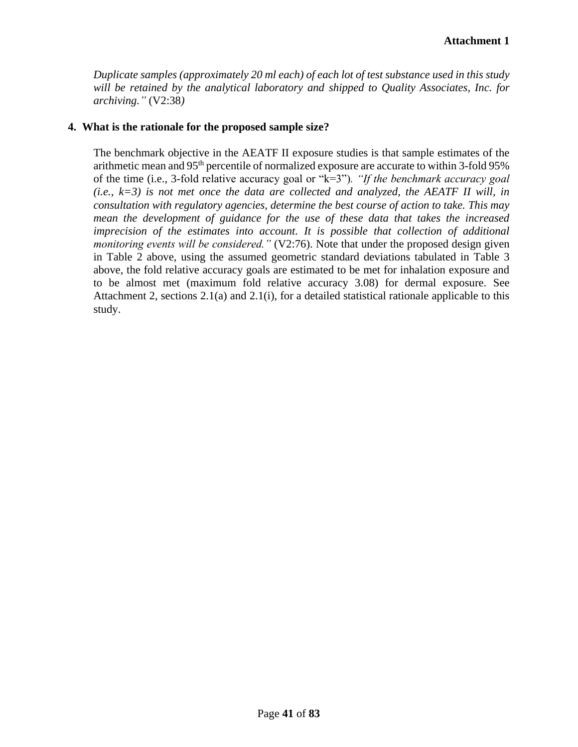*Duplicate samples (approximately 20 ml each) of each lot of test substance used in this study will be retained by the analytical laboratory and shipped to Quality Associates, Inc. for archiving."* (V2:38*)*

### **4. What is the rationale for the proposed sample size?**

The benchmark objective in the AEATF II exposure studies is that sample estimates of the arithmetic mean and 95th percentile of normalized exposure are accurate to within 3-fold 95% of the time (i.e., 3-fold relative accuracy goal or "k=3")*. "If the benchmark accuracy goal (i.e., k=3) is not met once the data are collected and analyzed, the AEATF II will, in consultation with regulatory agencies, determine the best course of action to take. This may mean the development of guidance for the use of these data that takes the increased imprecision of the estimates into account. It is possible that collection of additional monitoring events will be considered."* (V2:76). Note that under the proposed design given in Table 2 above, using the assumed geometric standard deviations tabulated in Table 3 above, the fold relative accuracy goals are estimated to be met for inhalation exposure and to be almost met (maximum fold relative accuracy 3.08) for dermal exposure. See Attachment 2, sections 2.1(a) and 2.1(i), for a detailed statistical rationale applicable to this study.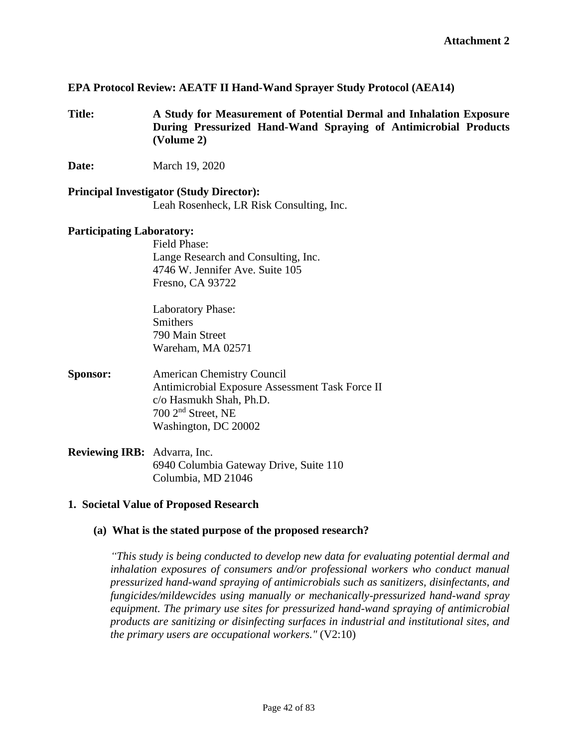### **EPA Protocol Review: AEATF II Hand-Wand Sprayer Study Protocol (AEA14)**

**Title: A Study for Measurement of Potential Dermal and Inhalation Exposure During Pressurized Hand-Wand Spraying of Antimicrobial Products (Volume 2)**

**Date:** March 19, 2020

**Principal Investigator (Study Director):** Leah Rosenheck, LR Risk Consulting, Inc.

#### **Participating Laboratory:**

Field Phase: Lange Research and Consulting, Inc. 4746 W. Jennifer Ave. Suite 105 Fresno, CA 93722

Laboratory Phase: **Smithers** 790 Main Street Wareham, MA 02571

- **Sponsor:** American Chemistry Council Antimicrobial Exposure Assessment Task Force II c/o Hasmukh Shah, Ph.D. 700 2nd Street, NE Washington, DC 20002
- **Reviewing IRB:** Advarra, Inc. 6940 Columbia Gateway Drive, Suite 110 Columbia, MD 21046

### **1. Societal Value of Proposed Research**

#### **(a) What is the stated purpose of the proposed research?**

*"This study is being conducted to develop new data for evaluating potential dermal and inhalation exposures of consumers and/or professional workers who conduct manual pressurized hand-wand spraying of antimicrobials such as sanitizers, disinfectants, and fungicides/mildewcides using manually or mechanically-pressurized hand-wand spray equipment. The primary use sites for pressurized hand-wand spraying of antimicrobial products are sanitizing or disinfecting surfaces in industrial and institutional sites, and the primary users are occupational workers."* (V2:10)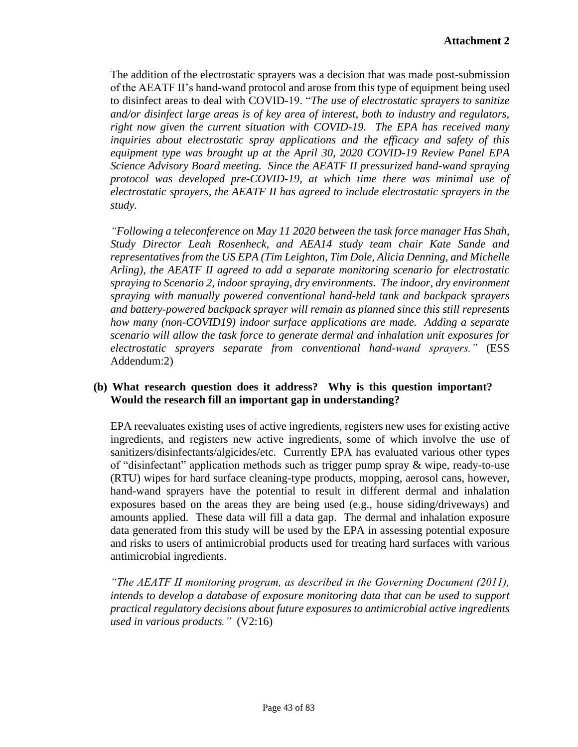The addition of the electrostatic sprayers was a decision that was made post-submission of the AEATF II's hand-wand protocol and arose from this type of equipment being used to disinfect areas to deal with COVID-19. "*The use of electrostatic sprayers to sanitize and/or disinfect large areas is of key area of interest, both to industry and regulators, right now given the current situation with COVID-19. The EPA has received many inquiries about electrostatic spray applications and the efficacy and safety of this equipment type was brought up at the April 30, 2020 COVID-19 Review Panel EPA Science Advisory Board meeting. Since the AEATF II pressurized hand-wand spraying protocol was developed pre-COVID-19, at which time there was minimal use of electrostatic sprayers, the AEATF II has agreed to include electrostatic sprayers in the study.* 

*"Following a teleconference on May 11 2020 between the task force manager Has Shah, Study Director Leah Rosenheck, and AEA14 study team chair Kate Sande and representatives from the US EPA (Tim Leighton, Tim Dole, Alicia Denning, and Michelle Arling), the AEATF II agreed to add a separate monitoring scenario for electrostatic spraying to Scenario 2, indoor spraying, dry environments. The indoor, dry environment spraying with manually powered conventional hand-held tank and backpack sprayers and battery-powered backpack sprayer will remain as planned since this still represents how many (non-COVID19) indoor surface applications are made. Adding a separate scenario will allow the task force to generate dermal and inhalation unit exposures for electrostatic sprayers separate from conventional hand-wand sprayers."* (ESS Addendum:2)

## **(b) What research question does it address? Why is this question important? Would the research fill an important gap in understanding?**

EPA reevaluates existing uses of active ingredients, registers new uses for existing active ingredients, and registers new active ingredients, some of which involve the use of sanitizers/disinfectants/algicides/etc. Currently EPA has evaluated various other types of "disinfectant" application methods such as trigger pump spray & wipe, ready-to-use (RTU) wipes for hard surface cleaning-type products, mopping, aerosol cans, however, hand-wand sprayers have the potential to result in different dermal and inhalation exposures based on the areas they are being used (e.g., house siding/driveways) and amounts applied. These data will fill a data gap. The dermal and inhalation exposure data generated from this study will be used by the EPA in assessing potential exposure and risks to users of antimicrobial products used for treating hard surfaces with various antimicrobial ingredients.

*"The AEATF II monitoring program, as described in the Governing Document (2011), intends to develop a database of exposure monitoring data that can be used to support practical regulatory decisions about future exposures to antimicrobial active ingredients used in various products."* (V2:16)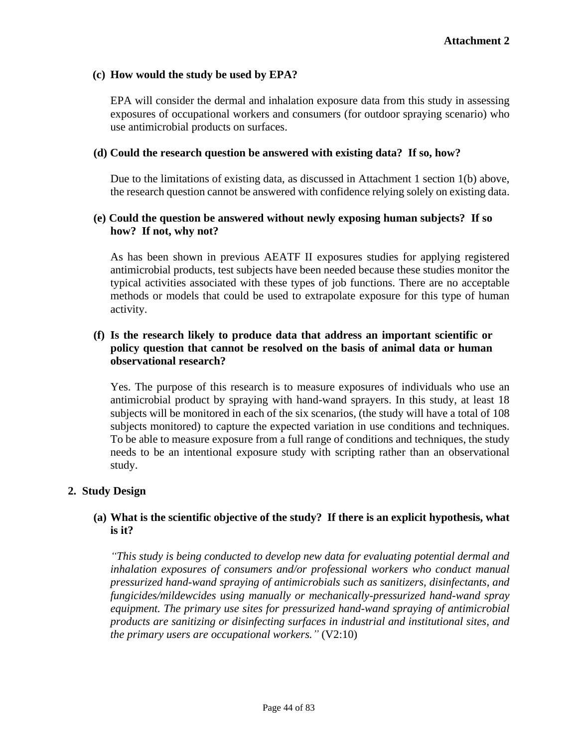### **(c) How would the study be used by EPA?**

EPA will consider the dermal and inhalation exposure data from this study in assessing exposures of occupational workers and consumers (for outdoor spraying scenario) who use antimicrobial products on surfaces.

#### **(d) Could the research question be answered with existing data? If so, how?**

Due to the limitations of existing data, as discussed in Attachment 1 section 1(b) above, the research question cannot be answered with confidence relying solely on existing data.

## **(e) Could the question be answered without newly exposing human subjects? If so how? If not, why not?**

As has been shown in previous AEATF II exposures studies for applying registered antimicrobial products, test subjects have been needed because these studies monitor the typical activities associated with these types of job functions. There are no acceptable methods or models that could be used to extrapolate exposure for this type of human activity.

## **(f) Is the research likely to produce data that address an important scientific or policy question that cannot be resolved on the basis of animal data or human observational research?**

Yes. The purpose of this research is to measure exposures of individuals who use an antimicrobial product by spraying with hand-wand sprayers. In this study, at least 18 subjects will be monitored in each of the six scenarios, (the study will have a total of 108 subjects monitored) to capture the expected variation in use conditions and techniques. To be able to measure exposure from a full range of conditions and techniques, the study needs to be an intentional exposure study with scripting rather than an observational study.

### **2. Study Design**

### **(a) What is the scientific objective of the study? If there is an explicit hypothesis, what is it?**

*"This study is being conducted to develop new data for evaluating potential dermal and inhalation exposures of consumers and/or professional workers who conduct manual pressurized hand-wand spraying of antimicrobials such as sanitizers, disinfectants, and fungicides/mildewcides using manually or mechanically-pressurized hand-wand spray equipment. The primary use sites for pressurized hand-wand spraying of antimicrobial products are sanitizing or disinfecting surfaces in industrial and institutional sites, and the primary users are occupational workers."* (V2:10)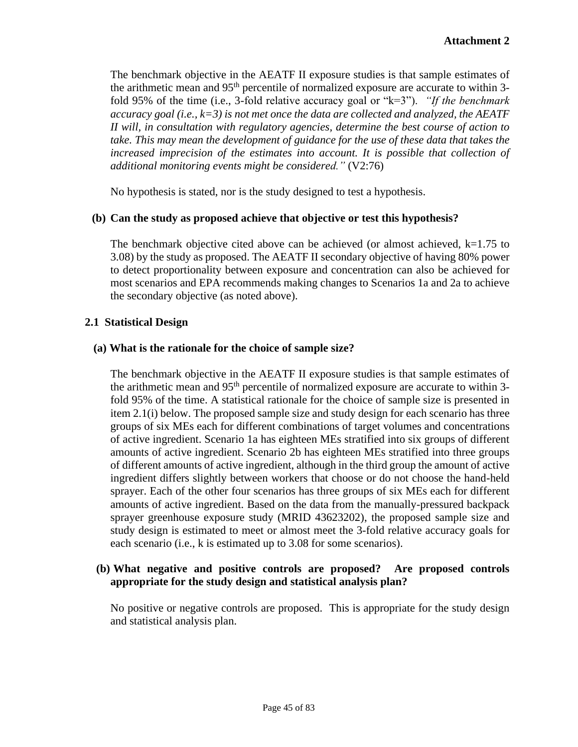The benchmark objective in the AEATF II exposure studies is that sample estimates of the arithmetic mean and 95<sup>th</sup> percentile of normalized exposure are accurate to within 3fold 95% of the time (i.e., 3-fold relative accuracy goal or "k=3"). *"If the benchmark accuracy goal (i.e., k=3) is not met once the data are collected and analyzed, the AEATF II will, in consultation with regulatory agencies, determine the best course of action to take. This may mean the development of guidance for the use of these data that takes the increased imprecision of the estimates into account. It is possible that collection of additional monitoring events might be considered."* (V2:76)

No hypothesis is stated, nor is the study designed to test a hypothesis.

## **(b) Can the study as proposed achieve that objective or test this hypothesis?**

The benchmark objective cited above can be achieved (or almost achieved,  $k=1.75$  to 3.08) by the study as proposed. The AEATF II secondary objective of having 80% power to detect proportionality between exposure and concentration can also be achieved for most scenarios and EPA recommends making changes to Scenarios 1a and 2a to achieve the secondary objective (as noted above).

## **2.1 Statistical Design**

### **(a) What is the rationale for the choice of sample size?**

The benchmark objective in the AEATF II exposure studies is that sample estimates of the arithmetic mean and 95<sup>th</sup> percentile of normalized exposure are accurate to within 3fold 95% of the time. A statistical rationale for the choice of sample size is presented in item 2.1(i) below. The proposed sample size and study design for each scenario has three groups of six MEs each for different combinations of target volumes and concentrations of active ingredient. Scenario 1a has eighteen MEs stratified into six groups of different amounts of active ingredient. Scenario 2b has eighteen MEs stratified into three groups of different amounts of active ingredient, although in the third group the amount of active ingredient differs slightly between workers that choose or do not choose the hand-held sprayer. Each of the other four scenarios has three groups of six MEs each for different amounts of active ingredient. Based on the data from the manually-pressured backpack sprayer greenhouse exposure study (MRID 43623202), the proposed sample size and study design is estimated to meet or almost meet the 3-fold relative accuracy goals for each scenario (i.e., k is estimated up to 3.08 for some scenarios).

## **(b) What negative and positive controls are proposed? Are proposed controls appropriate for the study design and statistical analysis plan?**

No positive or negative controls are proposed. This is appropriate for the study design and statistical analysis plan.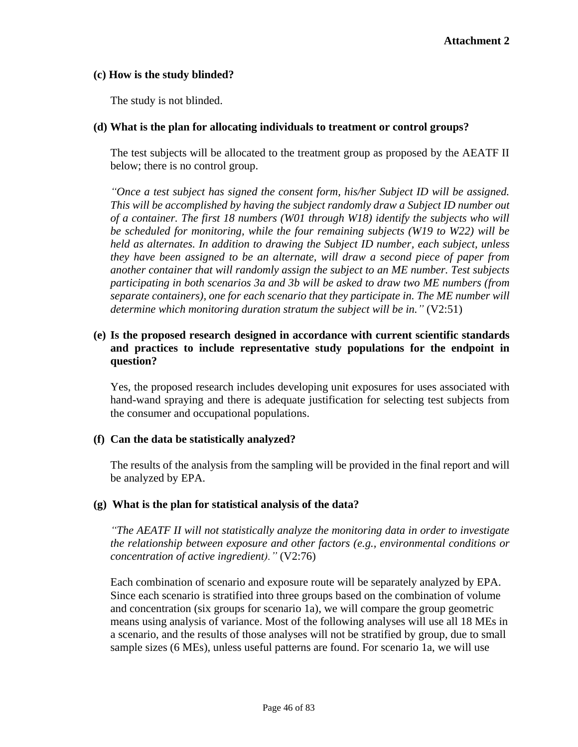## **(c) How is the study blinded?**

The study is not blinded.

## **(d) What is the plan for allocating individuals to treatment or control groups?**

The test subjects will be allocated to the treatment group as proposed by the AEATF II below; there is no control group.

*"Once a test subject has signed the consent form, his/her Subject ID will be assigned. This will be accomplished by having the subject randomly draw a Subject ID number out of a container. The first 18 numbers (W01 through W18) identify the subjects who will be scheduled for monitoring, while the four remaining subjects (W19 to W22) will be held as alternates. In addition to drawing the Subject ID number, each subject, unless they have been assigned to be an alternate, will draw a second piece of paper from another container that will randomly assign the subject to an ME number. Test subjects participating in both scenarios 3a and 3b will be asked to draw two ME numbers (from separate containers), one for each scenario that they participate in. The ME number will determine which monitoring duration stratum the subject will be in."* (V2:51)

## **(e) Is the proposed research designed in accordance with current scientific standards and practices to include representative study populations for the endpoint in question?**

Yes, the proposed research includes developing unit exposures for uses associated with hand-wand spraying and there is adequate justification for selecting test subjects from the consumer and occupational populations.

# **(f) Can the data be statistically analyzed?**

The results of the analysis from the sampling will be provided in the final report and will be analyzed by EPA.

### **(g) What is the plan for statistical analysis of the data?**

*"The AEATF II will not statistically analyze the monitoring data in order to investigate the relationship between exposure and other factors (e.g., environmental conditions or concentration of active ingredient)."* (V2:76)

Each combination of scenario and exposure route will be separately analyzed by EPA. Since each scenario is stratified into three groups based on the combination of volume and concentration (six groups for scenario 1a), we will compare the group geometric means using analysis of variance. Most of the following analyses will use all 18 MEs in a scenario, and the results of those analyses will not be stratified by group, due to small sample sizes (6 MEs), unless useful patterns are found. For scenario 1a, we will use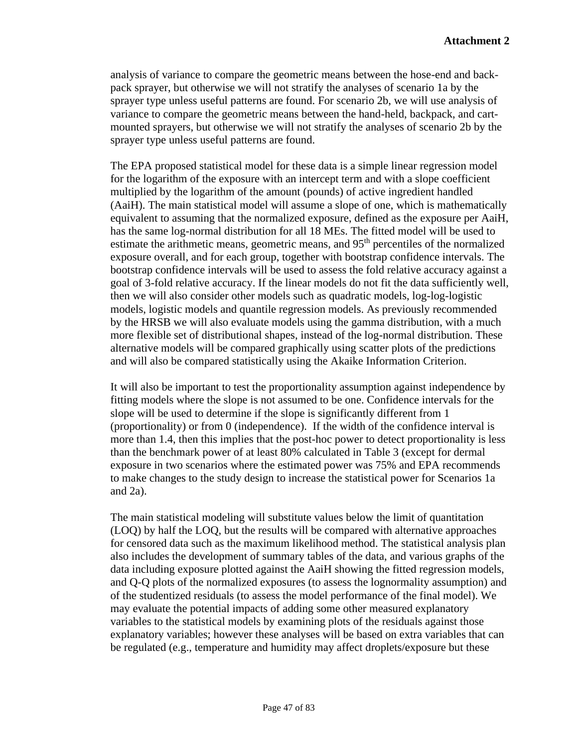analysis of variance to compare the geometric means between the hose-end and backpack sprayer, but otherwise we will not stratify the analyses of scenario 1a by the sprayer type unless useful patterns are found. For scenario 2b, we will use analysis of variance to compare the geometric means between the hand-held, backpack, and cartmounted sprayers, but otherwise we will not stratify the analyses of scenario 2b by the sprayer type unless useful patterns are found.

The EPA proposed statistical model for these data is a simple linear regression model for the logarithm of the exposure with an intercept term and with a slope coefficient multiplied by the logarithm of the amount (pounds) of active ingredient handled (AaiH). The main statistical model will assume a slope of one, which is mathematically equivalent to assuming that the normalized exposure, defined as the exposure per AaiH, has the same log-normal distribution for all 18 MEs. The fitted model will be used to estimate the arithmetic means, geometric means, and  $95<sup>th</sup>$  percentiles of the normalized exposure overall, and for each group, together with bootstrap confidence intervals. The bootstrap confidence intervals will be used to assess the fold relative accuracy against a goal of 3-fold relative accuracy. If the linear models do not fit the data sufficiently well, then we will also consider other models such as quadratic models, log-log-logistic models, logistic models and quantile regression models. As previously recommended by the HRSB we will also evaluate models using the gamma distribution, with a much more flexible set of distributional shapes, instead of the log-normal distribution. These alternative models will be compared graphically using scatter plots of the predictions and will also be compared statistically using the Akaike Information Criterion.

It will also be important to test the proportionality assumption against independence by fitting models where the slope is not assumed to be one. Confidence intervals for the slope will be used to determine if the slope is significantly different from 1 (proportionality) or from 0 (independence). If the width of the confidence interval is more than 1.4, then this implies that the post-hoc power to detect proportionality is less than the benchmark power of at least 80% calculated in Table 3 (except for dermal exposure in two scenarios where the estimated power was 75% and EPA recommends to make changes to the study design to increase the statistical power for Scenarios 1a and 2a).

The main statistical modeling will substitute values below the limit of quantitation (LOQ) by half the LOQ, but the results will be compared with alternative approaches for censored data such as the maximum likelihood method. The statistical analysis plan also includes the development of summary tables of the data, and various graphs of the data including exposure plotted against the AaiH showing the fitted regression models, and Q-Q plots of the normalized exposures (to assess the lognormality assumption) and of the studentized residuals (to assess the model performance of the final model). We may evaluate the potential impacts of adding some other measured explanatory variables to the statistical models by examining plots of the residuals against those explanatory variables; however these analyses will be based on extra variables that can be regulated (e.g., temperature and humidity may affect droplets/exposure but these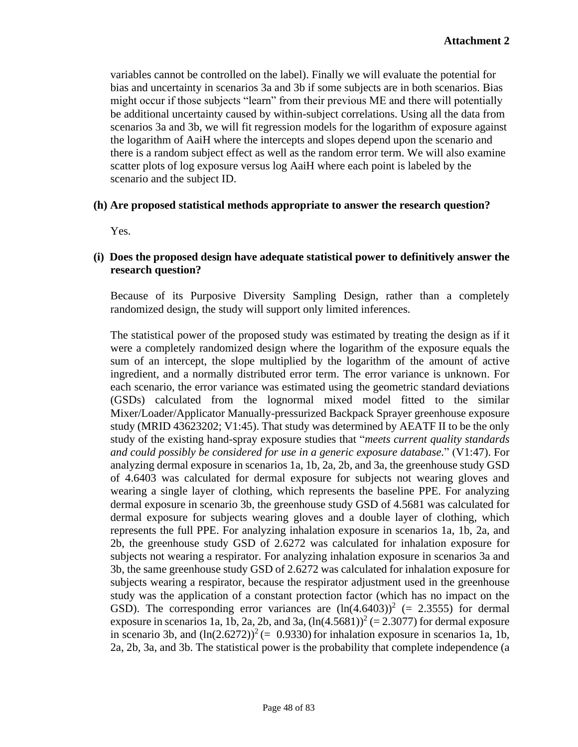variables cannot be controlled on the label). Finally we will evaluate the potential for bias and uncertainty in scenarios 3a and 3b if some subjects are in both scenarios. Bias might occur if those subjects "learn" from their previous ME and there will potentially be additional uncertainty caused by within-subject correlations. Using all the data from scenarios 3a and 3b, we will fit regression models for the logarithm of exposure against the logarithm of AaiH where the intercepts and slopes depend upon the scenario and there is a random subject effect as well as the random error term. We will also examine scatter plots of log exposure versus log AaiH where each point is labeled by the scenario and the subject ID.

### **(h) Are proposed statistical methods appropriate to answer the research question?**

Yes.

### **(i) Does the proposed design have adequate statistical power to definitively answer the research question?**

Because of its Purposive Diversity Sampling Design, rather than a completely randomized design, the study will support only limited inferences.

The statistical power of the proposed study was estimated by treating the design as if it were a completely randomized design where the logarithm of the exposure equals the sum of an intercept, the slope multiplied by the logarithm of the amount of active ingredient, and a normally distributed error term. The error variance is unknown. For each scenario, the error variance was estimated using the geometric standard deviations (GSDs) calculated from the lognormal mixed model fitted to the similar Mixer/Loader/Applicator Manually-pressurized Backpack Sprayer greenhouse exposure study (MRID 43623202; V1:45). That study was determined by AEATF II to be the only study of the existing hand-spray exposure studies that "*meets current quality standards and could possibly be considered for use in a generic exposure database.*" (V1:47). For analyzing dermal exposure in scenarios 1a, 1b, 2a, 2b, and 3a, the greenhouse study GSD of 4.6403 was calculated for dermal exposure for subjects not wearing gloves and wearing a single layer of clothing, which represents the baseline PPE. For analyzing dermal exposure in scenario 3b, the greenhouse study GSD of 4.5681 was calculated for dermal exposure for subjects wearing gloves and a double layer of clothing, which represents the full PPE. For analyzing inhalation exposure in scenarios 1a, 1b, 2a, and 2b, the greenhouse study GSD of 2.6272 was calculated for inhalation exposure for subjects not wearing a respirator. For analyzing inhalation exposure in scenarios 3a and 3b, the same greenhouse study GSD of 2.6272 was calculated for inhalation exposure for subjects wearing a respirator, because the respirator adjustment used in the greenhouse study was the application of a constant protection factor (which has no impact on the GSD). The corresponding error variances are  $(ln(4.6403))^2$  (= 2.3555) for dermal exposure in scenarios 1a, 1b, 2a, 2b, and 3a,  $(ln(4.5681))^2 (= 2.3077)$  for dermal exposure in scenario 3b, and  $(ln(2.6272))^2$  (= 0.9330) for inhalation exposure in scenarios 1a, 1b, 2a, 2b, 3a, and 3b. The statistical power is the probability that complete independence (a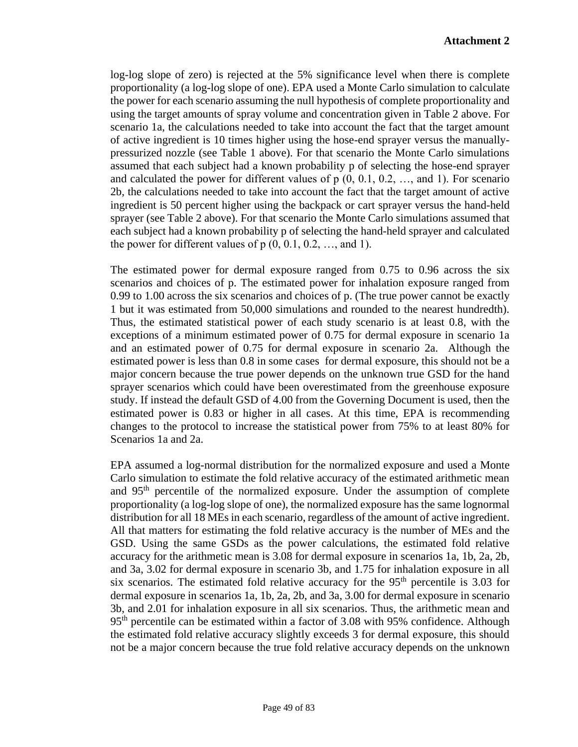log-log slope of zero) is rejected at the 5% significance level when there is complete proportionality (a log-log slope of one). EPA used a Monte Carlo simulation to calculate the power for each scenario assuming the null hypothesis of complete proportionality and using the target amounts of spray volume and concentration given in Table 2 above. For scenario 1a, the calculations needed to take into account the fact that the target amount of active ingredient is 10 times higher using the hose-end sprayer versus the manuallypressurized nozzle (see Table 1 above). For that scenario the Monte Carlo simulations assumed that each subject had a known probability p of selecting the hose-end sprayer and calculated the power for different values of  $p(0, 0.1, 0.2, \ldots,$  and 1). For scenario 2b, the calculations needed to take into account the fact that the target amount of active ingredient is 50 percent higher using the backpack or cart sprayer versus the hand-held sprayer (see Table 2 above). For that scenario the Monte Carlo simulations assumed that each subject had a known probability p of selecting the hand-held sprayer and calculated the power for different values of  $p(0, 0.1, 0.2, ...,$  and 1).

The estimated power for dermal exposure ranged from 0.75 to 0.96 across the six scenarios and choices of p. The estimated power for inhalation exposure ranged from 0.99 to 1.00 across the six scenarios and choices of p. (The true power cannot be exactly 1 but it was estimated from 50,000 simulations and rounded to the nearest hundredth). Thus, the estimated statistical power of each study scenario is at least 0.8, with the exceptions of a minimum estimated power of 0.75 for dermal exposure in scenario 1a and an estimated power of 0.75 for dermal exposure in scenario 2a. Although the estimated power is less than 0.8 in some cases for dermal exposure, this should not be a major concern because the true power depends on the unknown true GSD for the hand sprayer scenarios which could have been overestimated from the greenhouse exposure study. If instead the default GSD of 4.00 from the Governing Document is used, then the estimated power is 0.83 or higher in all cases. At this time, EPA is recommending changes to the protocol to increase the statistical power from 75% to at least 80% for Scenarios 1a and 2a.

EPA assumed a log-normal distribution for the normalized exposure and used a Monte Carlo simulation to estimate the fold relative accuracy of the estimated arithmetic mean and 95th percentile of the normalized exposure. Under the assumption of complete proportionality (a log-log slope of one), the normalized exposure has the same lognormal distribution for all 18 MEs in each scenario, regardless of the amount of active ingredient. All that matters for estimating the fold relative accuracy is the number of MEs and the GSD. Using the same GSDs as the power calculations, the estimated fold relative accuracy for the arithmetic mean is 3.08 for dermal exposure in scenarios 1a, 1b, 2a, 2b, and 3a, 3.02 for dermal exposure in scenario 3b, and 1.75 for inhalation exposure in all six scenarios. The estimated fold relative accuracy for the  $95<sup>th</sup>$  percentile is 3.03 for dermal exposure in scenarios 1a, 1b, 2a, 2b, and 3a, 3.00 for dermal exposure in scenario 3b, and 2.01 for inhalation exposure in all six scenarios. Thus, the arithmetic mean and 95<sup>th</sup> percentile can be estimated within a factor of 3.08 with 95% confidence. Although the estimated fold relative accuracy slightly exceeds 3 for dermal exposure, this should not be a major concern because the true fold relative accuracy depends on the unknown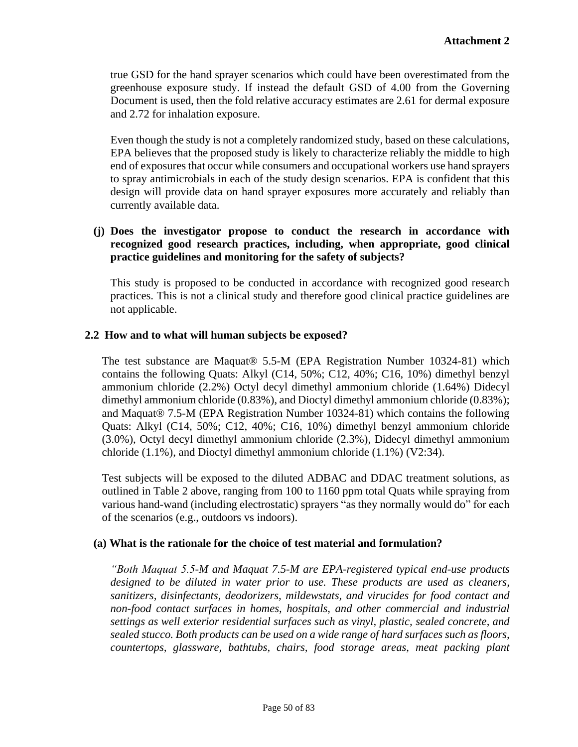true GSD for the hand sprayer scenarios which could have been overestimated from the greenhouse exposure study. If instead the default GSD of 4.00 from the Governing Document is used, then the fold relative accuracy estimates are 2.61 for dermal exposure and 2.72 for inhalation exposure.

Even though the study is not a completely randomized study, based on these calculations, EPA believes that the proposed study is likely to characterize reliably the middle to high end of exposures that occur while consumers and occupational workers use hand sprayers to spray antimicrobials in each of the study design scenarios. EPA is confident that this design will provide data on hand sprayer exposures more accurately and reliably than currently available data.

## **(j) Does the investigator propose to conduct the research in accordance with recognized good research practices, including, when appropriate, good clinical practice guidelines and monitoring for the safety of subjects?**

This study is proposed to be conducted in accordance with recognized good research practices. This is not a clinical study and therefore good clinical practice guidelines are not applicable.

## **2.2 How and to what will human subjects be exposed?**

The test substance are Maquat® 5.5-M (EPA Registration Number 10324-81) which contains the following Quats: Alkyl (C14, 50%; C12, 40%; C16, 10%) dimethyl benzyl ammonium chloride (2.2%) Octyl decyl dimethyl ammonium chloride (1.64%) Didecyl dimethyl ammonium chloride (0.83%), and Dioctyl dimethyl ammonium chloride (0.83%); and Maquat® 7.5-M (EPA Registration Number 10324-81) which contains the following Quats: Alkyl (C14, 50%; C12, 40%; C16, 10%) dimethyl benzyl ammonium chloride (3.0%), Octyl decyl dimethyl ammonium chloride (2.3%), Didecyl dimethyl ammonium chloride (1.1%), and Dioctyl dimethyl ammonium chloride (1.1%) (V2:34).

Test subjects will be exposed to the diluted ADBAC and DDAC treatment solutions, as outlined in Table 2 above, ranging from 100 to 1160 ppm total Quats while spraying from various hand-wand (including electrostatic) sprayers "as they normally would do" for each of the scenarios (e.g., outdoors vs indoors).

### **(a) What is the rationale for the choice of test material and formulation?**

*"Both Maquat 5.5-M and Maquat 7.5-M are EPA-registered typical end-use products designed to be diluted in water prior to use. These products are used as cleaners, sanitizers, disinfectants, deodorizers, mildewstats, and virucides for food contact and non-food contact surfaces in homes, hospitals, and other commercial and industrial settings as well exterior residential surfaces such as vinyl, plastic, sealed concrete, and sealed stucco. Both products can be used on a wide range of hard surfaces such as floors, countertops, glassware, bathtubs, chairs, food storage areas, meat packing plant*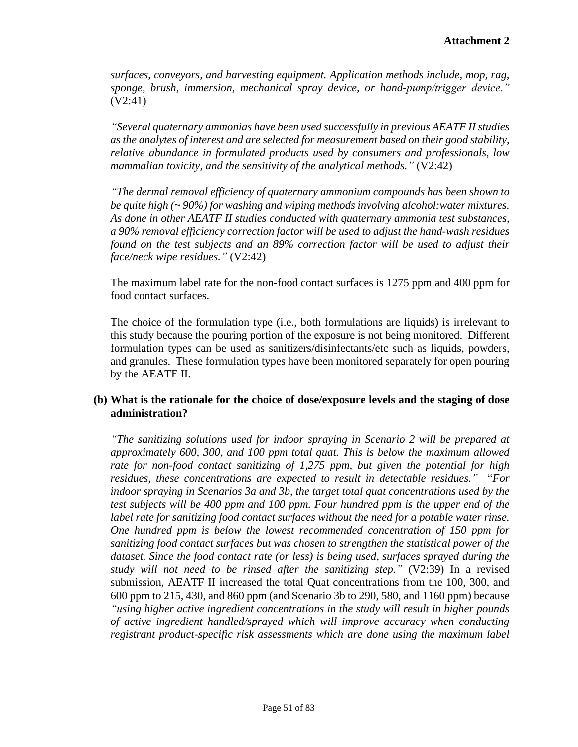*surfaces, conveyors, and harvesting equipment. Application methods include, mop, rag, sponge, brush, immersion, mechanical spray device, or hand-pump/trigger device."* (V2:41)

*"Several quaternary ammonias have been used successfully in previous AEATF II studies as the analytes of interest and are selected for measurement based on their good stability, relative abundance in formulated products used by consumers and professionals, low mammalian toxicity, and the sensitivity of the analytical methods."* (V2:42)

*"The dermal removal efficiency of quaternary ammonium compounds has been shown to be quite high (~ 90%) for washing and wiping methods involving alcohol:water mixtures. As done in other AEATF II studies conducted with quaternary ammonia test substances, a 90% removal efficiency correction factor will be used to adjust the hand-wash residues found on the test subjects and an 89% correction factor will be used to adjust their face/neck wipe residues."* (V2:42)

The maximum label rate for the non-food contact surfaces is 1275 ppm and 400 ppm for food contact surfaces.

The choice of the formulation type (i.e., both formulations are liquids) is irrelevant to this study because the pouring portion of the exposure is not being monitored. Different formulation types can be used as sanitizers/disinfectants/etc such as liquids, powders, and granules. These formulation types have been monitored separately for open pouring by the AEATF II.

## **(b) What is the rationale for the choice of dose/exposure levels and the staging of dose administration?**

*"The sanitizing solutions used for indoor spraying in Scenario 2 will be prepared at approximately 600, 300, and 100 ppm total quat. This is below the maximum allowed rate for non-food contact sanitizing of 1,275 ppm, but given the potential for high residues, these concentrations are expected to result in detectable residues."* "*For indoor spraying in Scenarios 3a and 3b, the target total quat concentrations used by the test subjects will be 400 ppm and 100 ppm. Four hundred ppm is the upper end of the label rate for sanitizing food contact surfaces without the need for a potable water rinse. One hundred ppm is below the lowest recommended concentration of 150 ppm for sanitizing food contact surfaces but was chosen to strengthen the statistical power of the dataset. Since the food contact rate (or less) is being used, surfaces sprayed during the study will not need to be rinsed after the sanitizing step."* (V2:39) In a revised submission, AEATF II increased the total Quat concentrations from the 100, 300, and 600 ppm to 215, 430, and 860 ppm (and Scenario 3b to 290, 580, and 1160 ppm) because *"using higher active ingredient concentrations in the study will result in higher pounds of active ingredient handled/sprayed which will improve accuracy when conducting registrant product-specific risk assessments which are done using the maximum label*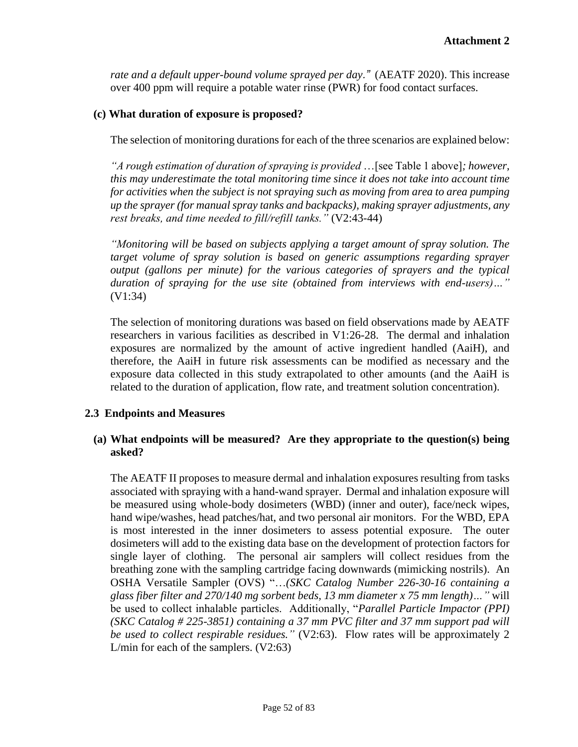*rate and a default upper-bound volume sprayed per day."* (AEATF 2020). This increase over 400 ppm will require a potable water rinse (PWR) for food contact surfaces.

## **(c) What duration of exposure is proposed?**

The selection of monitoring durations for each of the three scenarios are explained below:

*"A rough estimation of duration of spraying is provided* …[see Table 1 above]*; however, this may underestimate the total monitoring time since it does not take into account time for activities when the subject is not spraying such as moving from area to area pumping up the sprayer (for manual spray tanks and backpacks), making sprayer adjustments, any rest breaks, and time needed to fill/refill tanks."* (V2:43-44)

*"Monitoring will be based on subjects applying a target amount of spray solution. The target volume of spray solution is based on generic assumptions regarding sprayer output (gallons per minute) for the various categories of sprayers and the typical duration of spraying for the use site (obtained from interviews with end-users)…"* (V1:34)

The selection of monitoring durations was based on field observations made by AEATF researchers in various facilities as described in V1:26-28. The dermal and inhalation exposures are normalized by the amount of active ingredient handled (AaiH), and therefore, the AaiH in future risk assessments can be modified as necessary and the exposure data collected in this study extrapolated to other amounts (and the AaiH is related to the duration of application, flow rate, and treatment solution concentration).

### **2.3 Endpoints and Measures**

# **(a) What endpoints will be measured? Are they appropriate to the question(s) being asked?**

 The AEATF II proposes to measure dermal and inhalation exposures resulting from tasks associated with spraying with a hand-wand sprayer. Dermal and inhalation exposure will be measured using whole-body dosimeters (WBD) (inner and outer), face/neck wipes, hand wipe/washes, head patches/hat, and two personal air monitors. For the WBD, EPA is most interested in the inner dosimeters to assess potential exposure. The outer dosimeters will add to the existing data base on the development of protection factors for single layer of clothing. The personal air samplers will collect residues from the breathing zone with the sampling cartridge facing downwards (mimicking nostrils). An OSHA Versatile Sampler (OVS) "…*(SKC Catalog Number 226-30-16 containing a glass fiber filter and 270/140 mg sorbent beds, 13 mm diameter x 75 mm length)…"* will be used to collect inhalable particles. Additionally, "*Parallel Particle Impactor (PPI) (SKC Catalog # 225-3851) containing a 37 mm PVC filter and 37 mm support pad will be used to collect respirable residues."* (V2:63). Flow rates will be approximately 2 L/min for each of the samplers. (V2:63)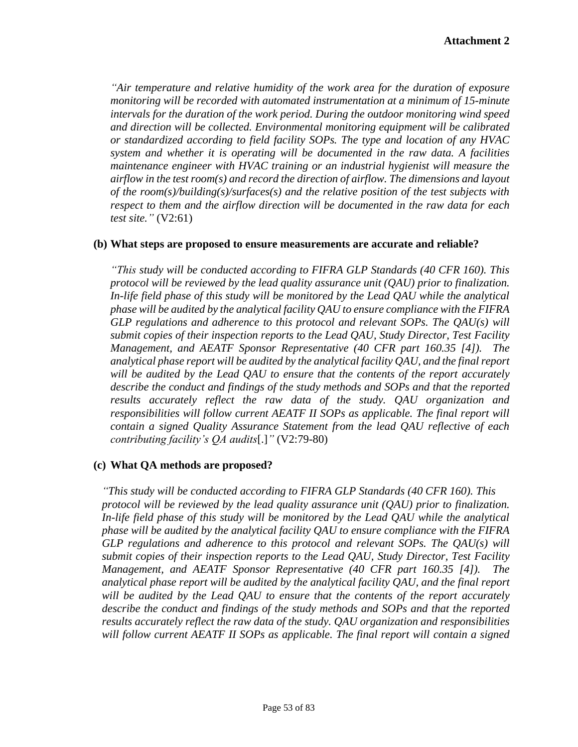*"Air temperature and relative humidity of the work area for the duration of exposure monitoring will be recorded with automated instrumentation at a minimum of 15-minute intervals for the duration of the work period. During the outdoor monitoring wind speed and direction will be collected. Environmental monitoring equipment will be calibrated or standardized according to field facility SOPs. The type and location of any HVAC system and whether it is operating will be documented in the raw data. A facilities maintenance engineer with HVAC training or an industrial hygienist will measure the airflow in the test room(s) and record the direction of airflow. The dimensions and layout of the room(s)/building(s)/surfaces(s) and the relative position of the test subjects with respect to them and the airflow direction will be documented in the raw data for each test site."* (V2:61)

### **(b) What steps are proposed to ensure measurements are accurate and reliable?**

*"This study will be conducted according to FIFRA GLP Standards (40 CFR 160). This protocol will be reviewed by the lead quality assurance unit (QAU) prior to finalization. In-life field phase of this study will be monitored by the Lead QAU while the analytical phase will be audited by the analytical facility QAU to ensure compliance with the FIFRA GLP regulations and adherence to this protocol and relevant SOPs. The QAU(s) will submit copies of their inspection reports to the Lead QAU, Study Director, Test Facility Management, and AEATF Sponsor Representative (40 CFR part 160.35 [4]). The analytical phase report will be audited by the analytical facility QAU, and the final report will be audited by the Lead QAU to ensure that the contents of the report accurately describe the conduct and findings of the study methods and SOPs and that the reported results accurately reflect the raw data of the study. QAU organization and responsibilities will follow current AEATF II SOPs as applicable. The final report will contain a signed Quality Assurance Statement from the lead QAU reflective of each contributing facility's QA audits*[.]*"* (V2:79-80)

### **(c) What QA methods are proposed?**

*"This study will be conducted according to FIFRA GLP Standards (40 CFR 160). This protocol will be reviewed by the lead quality assurance unit (QAU) prior to finalization. In-life field phase of this study will be monitored by the Lead QAU while the analytical phase will be audited by the analytical facility QAU to ensure compliance with the FIFRA GLP regulations and adherence to this protocol and relevant SOPs. The QAU(s) will submit copies of their inspection reports to the Lead QAU, Study Director, Test Facility Management, and AEATF Sponsor Representative (40 CFR part 160.35 [4]). The analytical phase report will be audited by the analytical facility QAU, and the final report will be audited by the Lead QAU to ensure that the contents of the report accurately describe the conduct and findings of the study methods and SOPs and that the reported results accurately reflect the raw data of the study. QAU organization and responsibilities will follow current AEATF II SOPs as applicable. The final report will contain a signed*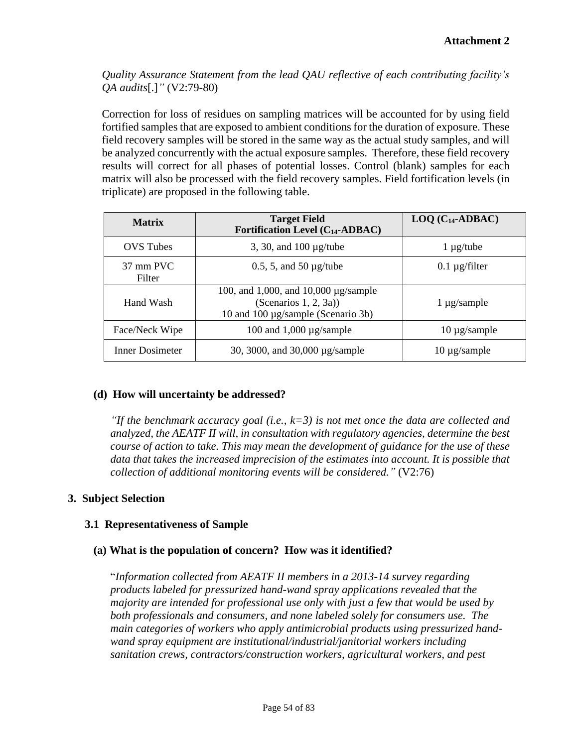*Quality Assurance Statement from the lead QAU reflective of each contributing facility's QA audits*[.]*"* (V2:79-80)

Correction for loss of residues on sampling matrices will be accounted for by using field fortified samples that are exposed to ambient conditions for the duration of exposure. These field recovery samples will be stored in the same way as the actual study samples, and will be analyzed concurrently with the actual exposure samples. Therefore, these field recovery results will correct for all phases of potential losses. Control (blank) samples for each matrix will also be processed with the field recovery samples. Field fortification levels (in triplicate) are proposed in the following table.

| <b>Matrix</b>                 | <b>Target Field</b><br>Fortification Level $(C_{14}$ -ADBAC)                                             | $LOQ$ ( $C_{14}$ -ADBAC) |
|-------------------------------|----------------------------------------------------------------------------------------------------------|--------------------------|
| <b>OVS</b> Tubes              | 3, 30, and $100 \mu$ g/tube                                                                              | $1 \mu g$ /tube          |
| $37 \text{ mm}$ PVC<br>Filter | $0.5$ , 5, and 50 $\mu$ g/tube                                                                           | $0.1 \mu g$ filter       |
| Hand Wash                     | 100, and 1,000, and 10,000 $\mu$ g/sample<br>(Scenarios 1, 2, 3a))<br>10 and 100 µg/sample (Scenario 3b) | $1 \mu$ g/sample         |
| Face/Neck Wipe                | 100 and 1,000 $\mu$ g/sample                                                                             | $10 \mu$ g/sample        |
| Inner Dosimeter               | 30, 3000, and 30,000 µg/sample                                                                           | $10 \mu$ g/sample        |

### **(d) How will uncertainty be addressed?**

*"If the benchmark accuracy goal (i.e., k=3) is not met once the data are collected and analyzed, the AEATF II will, in consultation with regulatory agencies, determine the best course of action to take. This may mean the development of guidance for the use of these data that takes the increased imprecision of the estimates into account. It is possible that collection of additional monitoring events will be considered."* (V2:76)

### **3. Subject Selection**

### **3.1 Representativeness of Sample**

# **(a) What is the population of concern? How was it identified?**

"*Information collected from AEATF II members in a 2013-14 survey regarding products labeled for pressurized hand-wand spray applications revealed that the majority are intended for professional use only with just a few that would be used by both professionals and consumers, and none labeled solely for consumers use. The main categories of workers who apply antimicrobial products using pressurized handwand spray equipment are institutional/industrial/janitorial workers including sanitation crews, contractors/construction workers, agricultural workers, and pest*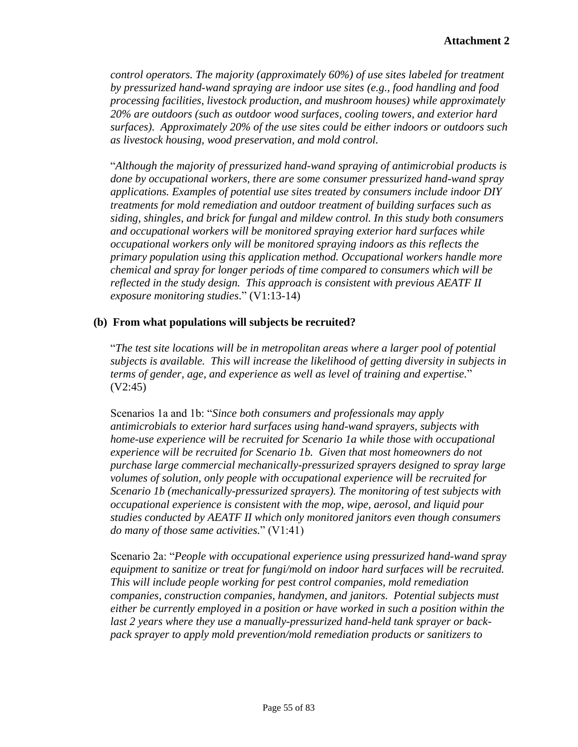*control operators. The majority (approximately 60%) of use sites labeled for treatment by pressurized hand-wand spraying are indoor use sites (e.g., food handling and food processing facilities, livestock production, and mushroom houses) while approximately 20% are outdoors (such as outdoor wood surfaces, cooling towers, and exterior hard surfaces). Approximately 20% of the use sites could be either indoors or outdoors such as livestock housing, wood preservation, and mold control.*

"*Although the majority of pressurized hand-wand spraying of antimicrobial products is done by occupational workers, there are some consumer pressurized hand-wand spray applications. Examples of potential use sites treated by consumers include indoor DIY treatments for mold remediation and outdoor treatment of building surfaces such as siding, shingles, and brick for fungal and mildew control. In this study both consumers and occupational workers will be monitored spraying exterior hard surfaces while occupational workers only will be monitored spraying indoors as this reflects the primary population using this application method. Occupational workers handle more chemical and spray for longer periods of time compared to consumers which will be reflected in the study design. This approach is consistent with previous AEATF II exposure monitoring studies*." (V1:13-14)

# **(b) From what populations will subjects be recruited?**

"*The test site locations will be in metropolitan areas where a larger pool of potential subjects is available. This will increase the likelihood of getting diversity in subjects in terms of gender, age, and experience as well as level of training and expertise.*" (V2:45)

Scenarios 1a and 1b: "*Since both consumers and professionals may apply antimicrobials to exterior hard surfaces using hand-wand sprayers, subjects with home-use experience will be recruited for Scenario 1a while those with occupational experience will be recruited for Scenario 1b. Given that most homeowners do not purchase large commercial mechanically-pressurized sprayers designed to spray large volumes of solution, only people with occupational experience will be recruited for Scenario 1b (mechanically-pressurized sprayers). The monitoring of test subjects with occupational experience is consistent with the mop, wipe, aerosol, and liquid pour studies conducted by AEATF II which only monitored janitors even though consumers do many of those same activities.*" (V1:41)

Scenario 2a: "*People with occupational experience using pressurized hand-wand spray equipment to sanitize or treat for fungi/mold on indoor hard surfaces will be recruited. This will include people working for pest control companies, mold remediation companies, construction companies, handymen, and janitors. Potential subjects must either be currently employed in a position or have worked in such a position within the last 2 years where they use a manually-pressurized hand-held tank sprayer or backpack sprayer to apply mold prevention/mold remediation products or sanitizers to*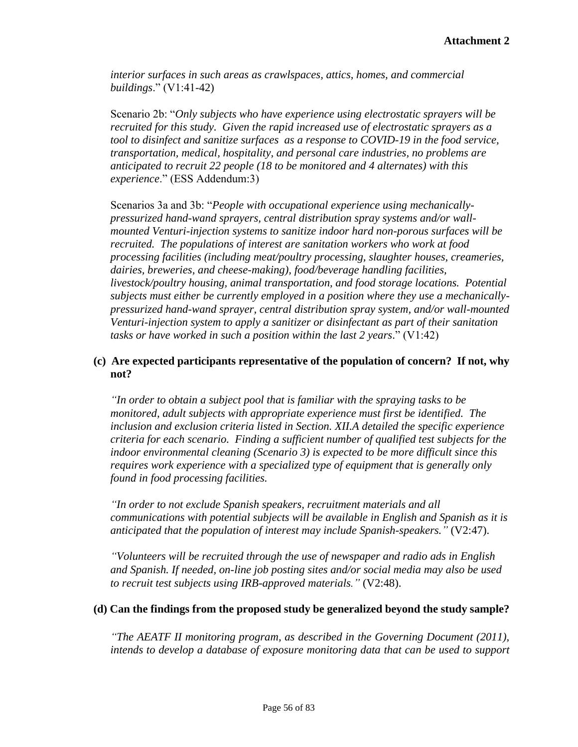*interior surfaces in such areas as crawlspaces, attics, homes, and commercial buildings*." (V1:41-42)

Scenario 2b: "*Only subjects who have experience using electrostatic sprayers will be recruited for this study. Given the rapid increased use of electrostatic sprayers as a tool to disinfect and sanitize surfaces as a response to COVID-19 in the food service, transportation, medical, hospitality, and personal care industries, no problems are anticipated to recruit 22 people (18 to be monitored and 4 alternates) with this experience*." (ESS Addendum:3)

Scenarios 3a and 3b: "*People with occupational experience using mechanicallypressurized hand-wand sprayers, central distribution spray systems and/or wallmounted Venturi-injection systems to sanitize indoor hard non-porous surfaces will be recruited. The populations of interest are sanitation workers who work at food processing facilities (including meat/poultry processing, slaughter houses, creameries, dairies, breweries, and cheese-making), food/beverage handling facilities, livestock/poultry housing, animal transportation, and food storage locations. Potential subjects must either be currently employed in a position where they use a mechanicallypressurized hand-wand sprayer, central distribution spray system, and/or wall-mounted Venturi-injection system to apply a sanitizer or disinfectant as part of their sanitation tasks or have worked in such a position within the last 2 years*." (V1:42)

## **(c) Are expected participants representative of the population of concern? If not, why not?**

*"In order to obtain a subject pool that is familiar with the spraying tasks to be monitored, adult subjects with appropriate experience must first be identified. The inclusion and exclusion criteria listed in Section. XII.A detailed the specific experience criteria for each scenario. Finding a sufficient number of qualified test subjects for the indoor environmental cleaning (Scenario 3) is expected to be more difficult since this requires work experience with a specialized type of equipment that is generally only found in food processing facilities.* 

*"In order to not exclude Spanish speakers, recruitment materials and all communications with potential subjects will be available in English and Spanish as it is anticipated that the population of interest may include Spanish-speakers."* (V2:47).

*"Volunteers will be recruited through the use of newspaper and radio ads in English and Spanish. If needed, on-line job posting sites and/or social media may also be used to recruit test subjects using IRB-approved materials."* (V2:48).

### **(d) Can the findings from the proposed study be generalized beyond the study sample?**

*"The AEATF II monitoring program, as described in the Governing Document (2011), intends to develop a database of exposure monitoring data that can be used to support*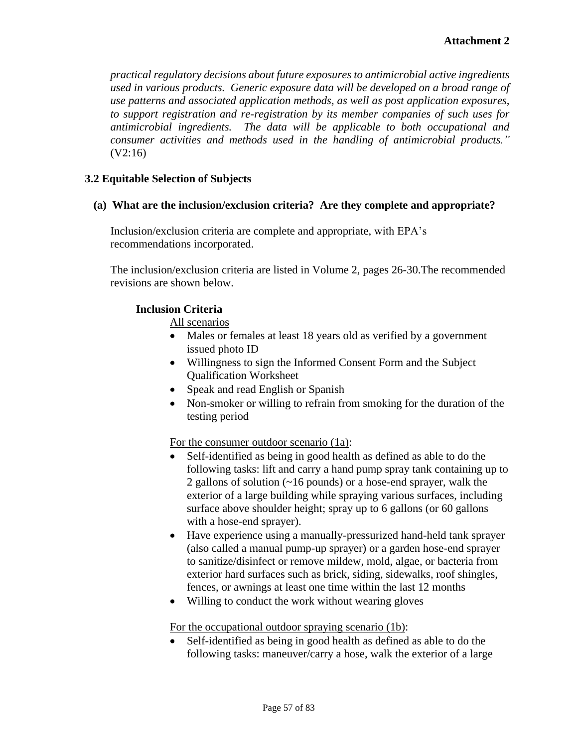*practical regulatory decisions about future exposures to antimicrobial active ingredients used in various products. Generic exposure data will be developed on a broad range of use patterns and associated application methods, as well as post application exposures, to support registration and re-registration by its member companies of such uses for antimicrobial ingredients. The data will be applicable to both occupational and consumer activities and methods used in the handling of antimicrobial products."*  (V2:16)

## **3.2 Equitable Selection of Subjects**

### **(a) What are the inclusion/exclusion criteria? Are they complete and appropriate?**

Inclusion/exclusion criteria are complete and appropriate, with EPA's recommendations incorporated.

The inclusion/exclusion criteria are listed in Volume 2, pages 26-30.The recommended revisions are shown below.

#### **Inclusion Criteria**

All scenarios

- Males or females at least 18 years old as verified by a government issued photo ID
- Willingness to sign the Informed Consent Form and the Subject Qualification Worksheet
- Speak and read English or Spanish
- Non-smoker or willing to refrain from smoking for the duration of the testing period

For the consumer outdoor scenario (1a):

- Self-identified as being in good health as defined as able to do the following tasks: lift and carry a hand pump spray tank containing up to 2 gallons of solution (~16 pounds) or a hose-end sprayer, walk the exterior of a large building while spraying various surfaces, including surface above shoulder height; spray up to 6 gallons (or 60 gallons with a hose-end sprayer).
- Have experience using a manually-pressurized hand-held tank sprayer (also called a manual pump-up sprayer) or a garden hose-end sprayer to sanitize/disinfect or remove mildew, mold, algae, or bacteria from exterior hard surfaces such as brick, siding, sidewalks, roof shingles, fences, or awnings at least one time within the last 12 months
- Willing to conduct the work without wearing gloves

For the occupational outdoor spraying scenario (1b):

• Self-identified as being in good health as defined as able to do the following tasks: maneuver/carry a hose, walk the exterior of a large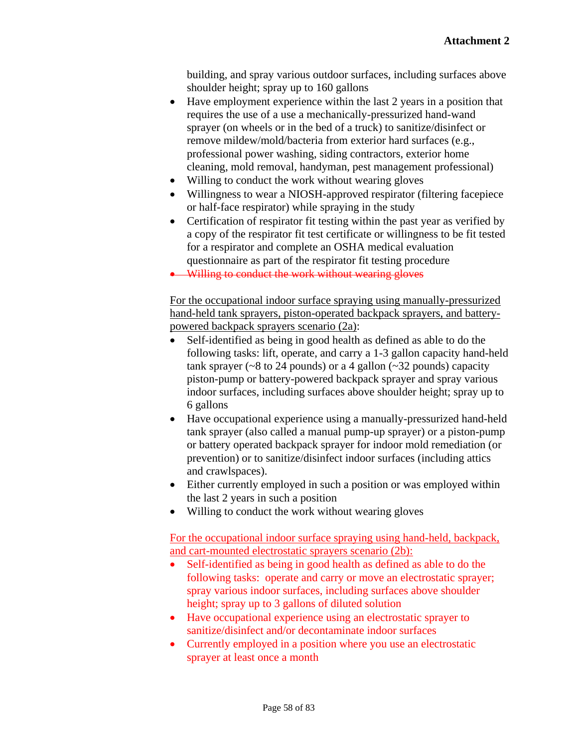building, and spray various outdoor surfaces, including surfaces above shoulder height; spray up to 160 gallons

- Have employment experience within the last 2 years in a position that requires the use of a use a mechanically-pressurized hand-wand sprayer (on wheels or in the bed of a truck) to sanitize/disinfect or remove mildew/mold/bacteria from exterior hard surfaces (e.g., professional power washing, siding contractors, exterior home cleaning, mold removal, handyman, pest management professional)
- Willing to conduct the work without wearing gloves
- Willingness to wear a NIOSH-approved respirator (filtering facepiece or half-face respirator) while spraying in the study
- Certification of respirator fit testing within the past year as verified by a copy of the respirator fit test certificate or willingness to be fit tested for a respirator and complete an OSHA medical evaluation questionnaire as part of the respirator fit testing procedure

• Willing to conduct the work without wearing gloves

For the occupational indoor surface spraying using manually-pressurized hand-held tank sprayers, piston-operated backpack sprayers, and batterypowered backpack sprayers scenario (2a):

- Self-identified as being in good health as defined as able to do the following tasks: lift, operate, and carry a 1-3 gallon capacity hand-held tank sprayer ( $\sim$ 8 to 24 pounds) or a 4 gallon ( $\sim$ 32 pounds) capacity piston-pump or battery-powered backpack sprayer and spray various indoor surfaces, including surfaces above shoulder height; spray up to 6 gallons
- Have occupational experience using a manually-pressurized hand-held tank sprayer (also called a manual pump-up sprayer) or a piston-pump or battery operated backpack sprayer for indoor mold remediation (or prevention) or to sanitize/disinfect indoor surfaces (including attics and crawlspaces).
- Either currently employed in such a position or was employed within the last 2 years in such a position
- Willing to conduct the work without wearing gloves

For the occupational indoor surface spraying using hand-held, backpack, and cart-mounted electrostatic sprayers scenario (2b):

- Self-identified as being in good health as defined as able to do the following tasks: operate and carry or move an electrostatic sprayer; spray various indoor surfaces, including surfaces above shoulder height; spray up to 3 gallons of diluted solution
- Have occupational experience using an electrostatic sprayer to sanitize/disinfect and/or decontaminate indoor surfaces
- Currently employed in a position where you use an electrostatic sprayer at least once a month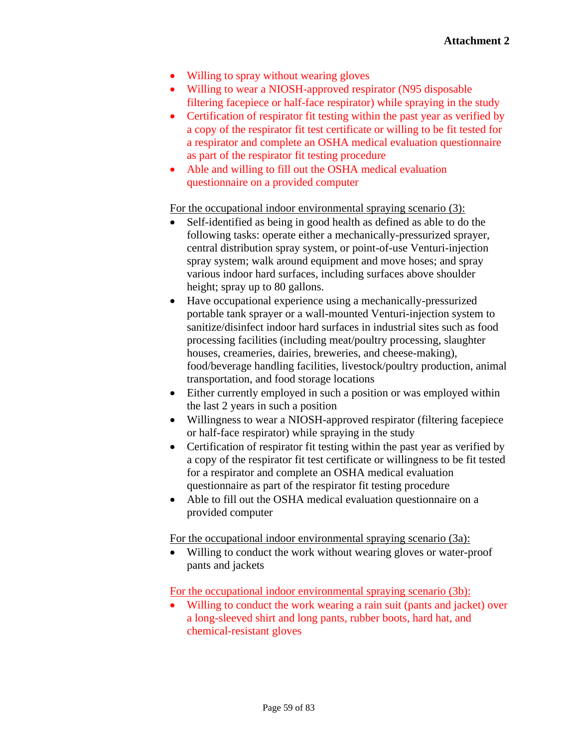- Willing to spray without wearing gloves
- Willing to wear a NIOSH-approved respirator (N95 disposable filtering facepiece or half-face respirator) while spraying in the study
- Certification of respirator fit testing within the past year as verified by a copy of the respirator fit test certificate or willing to be fit tested for a respirator and complete an OSHA medical evaluation questionnaire as part of the respirator fit testing procedure
- Able and willing to fill out the OSHA medical evaluation questionnaire on a provided computer

For the occupational indoor environmental spraying scenario (3):

- Self-identified as being in good health as defined as able to do the following tasks: operate either a mechanically-pressurized sprayer, central distribution spray system, or point-of-use Venturi-injection spray system; walk around equipment and move hoses; and spray various indoor hard surfaces, including surfaces above shoulder height; spray up to 80 gallons.
- Have occupational experience using a mechanically-pressurized portable tank sprayer or a wall-mounted Venturi-injection system to sanitize/disinfect indoor hard surfaces in industrial sites such as food processing facilities (including meat/poultry processing, slaughter houses, creameries, dairies, breweries, and cheese-making), food/beverage handling facilities, livestock/poultry production, animal transportation, and food storage locations
- Either currently employed in such a position or was employed within the last 2 years in such a position
- Willingness to wear a NIOSH-approved respirator (filtering facepiece or half-face respirator) while spraying in the study
- Certification of respirator fit testing within the past year as verified by a copy of the respirator fit test certificate or willingness to be fit tested for a respirator and complete an OSHA medical evaluation questionnaire as part of the respirator fit testing procedure
- Able to fill out the OSHA medical evaluation questionnaire on a provided computer

For the occupational indoor environmental spraying scenario (3a):

• Willing to conduct the work without wearing gloves or water-proof pants and jackets

For the occupational indoor environmental spraying scenario (3b):

Willing to conduct the work wearing a rain suit (pants and jacket) over a long-sleeved shirt and long pants, rubber boots, hard hat, and chemical-resistant gloves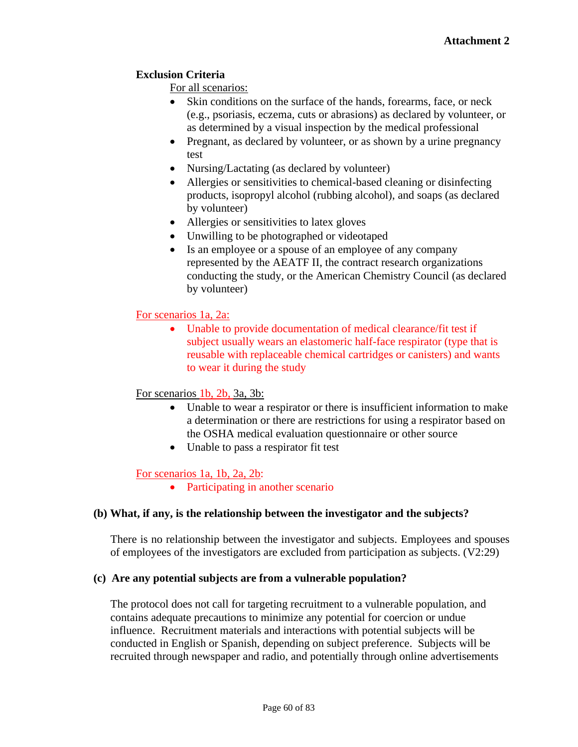## **Exclusion Criteria**

For all scenarios:

- Skin conditions on the surface of the hands, forearms, face, or neck (e.g., psoriasis, eczema, cuts or abrasions) as declared by volunteer, or as determined by a visual inspection by the medical professional
- Pregnant, as declared by volunteer, or as shown by a urine pregnancy test
- Nursing/Lactating (as declared by volunteer)
- Allergies or sensitivities to chemical-based cleaning or disinfecting products, isopropyl alcohol (rubbing alcohol), and soaps (as declared by volunteer)
- Allergies or sensitivities to latex gloves
- Unwilling to be photographed or videotaped
- Is an employee or a spouse of an employee of any company represented by the AEATF II, the contract research organizations conducting the study, or the American Chemistry Council (as declared by volunteer)

## For scenarios 1a, 2a:

• Unable to provide documentation of medical clearance/fit test if subject usually wears an elastomeric half-face respirator (type that is reusable with replaceable chemical cartridges or canisters) and wants to wear it during the study

### For scenarios 1b, 2b, 3a, 3b:

- Unable to wear a respirator or there is insufficient information to make a determination or there are restrictions for using a respirator based on the OSHA medical evaluation questionnaire or other source
- Unable to pass a respirator fit test

### For scenarios 1a, 1b, 2a, 2b:

• Participating in another scenario

### **(b) What, if any, is the relationship between the investigator and the subjects?**

There is no relationship between the investigator and subjects. Employees and spouses of employees of the investigators are excluded from participation as subjects. (V2:29)

### **(c) Are any potential subjects are from a vulnerable population?**

The protocol does not call for targeting recruitment to a vulnerable population, and contains adequate precautions to minimize any potential for coercion or undue influence. Recruitment materials and interactions with potential subjects will be conducted in English or Spanish, depending on subject preference. Subjects will be recruited through newspaper and radio, and potentially through online advertisements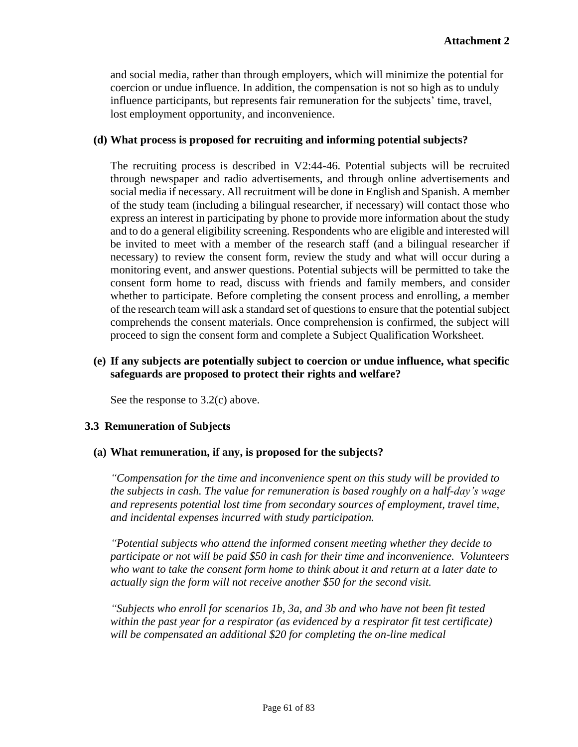and social media, rather than through employers, which will minimize the potential for coercion or undue influence. In addition, the compensation is not so high as to unduly influence participants, but represents fair remuneration for the subjects' time, travel, lost employment opportunity, and inconvenience.

### **(d) What process is proposed for recruiting and informing potential subjects?**

The recruiting process is described in V2:44-46. Potential subjects will be recruited through newspaper and radio advertisements, and through online advertisements and social media if necessary. All recruitment will be done in English and Spanish. A member of the study team (including a bilingual researcher, if necessary) will contact those who express an interest in participating by phone to provide more information about the study and to do a general eligibility screening. Respondents who are eligible and interested will be invited to meet with a member of the research staff (and a bilingual researcher if necessary) to review the consent form, review the study and what will occur during a monitoring event, and answer questions. Potential subjects will be permitted to take the consent form home to read, discuss with friends and family members, and consider whether to participate. Before completing the consent process and enrolling, a member of the research team will ask a standard set of questions to ensure that the potential subject comprehends the consent materials. Once comprehension is confirmed, the subject will proceed to sign the consent form and complete a Subject Qualification Worksheet.

## **(e) If any subjects are potentially subject to coercion or undue influence, what specific safeguards are proposed to protect their rights and welfare?**

See the response to 3.2(c) above.

# **3.3 Remuneration of Subjects**

### **(a) What remuneration, if any, is proposed for the subjects?**

*"Compensation for the time and inconvenience spent on this study will be provided to the subjects in cash. The value for remuneration is based roughly on a half-day's wage and represents potential lost time from secondary sources of employment, travel time, and incidental expenses incurred with study participation.* 

*"Potential subjects who attend the informed consent meeting whether they decide to participate or not will be paid \$50 in cash for their time and inconvenience. Volunteers who want to take the consent form home to think about it and return at a later date to actually sign the form will not receive another \$50 for the second visit.* 

*"Subjects who enroll for scenarios 1b, 3a, and 3b and who have not been fit tested within the past year for a respirator (as evidenced by a respirator fit test certificate) will be compensated an additional \$20 for completing the on-line medical*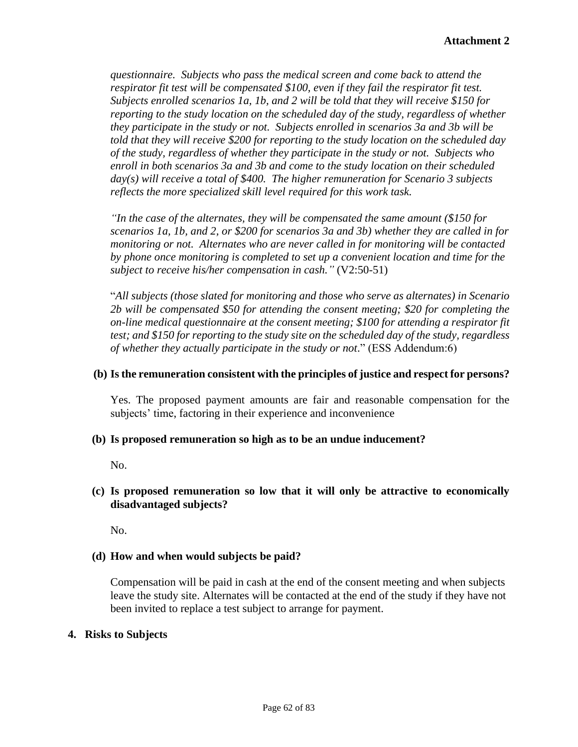*questionnaire. Subjects who pass the medical screen and come back to attend the respirator fit test will be compensated \$100, even if they fail the respirator fit test. Subjects enrolled scenarios 1a, 1b, and 2 will be told that they will receive \$150 for reporting to the study location on the scheduled day of the study, regardless of whether they participate in the study or not. Subjects enrolled in scenarios 3a and 3b will be told that they will receive \$200 for reporting to the study location on the scheduled day of the study, regardless of whether they participate in the study or not. Subjects who enroll in both scenarios 3a and 3b and come to the study location on their scheduled day(s) will receive a total of \$400. The higher remuneration for Scenario 3 subjects reflects the more specialized skill level required for this work task.* 

*"In the case of the alternates, they will be compensated the same amount (\$150 for scenarios 1a, 1b, and 2, or \$200 for scenarios 3a and 3b) whether they are called in for monitoring or not. Alternates who are never called in for monitoring will be contacted by phone once monitoring is completed to set up a convenient location and time for the subject to receive his/her compensation in cash."* (V2:50-51)

"*All subjects (those slated for monitoring and those who serve as alternates) in Scenario 2b will be compensated \$50 for attending the consent meeting; \$20 for completing the on-line medical questionnaire at the consent meeting; \$100 for attending a respirator fit test; and \$150 for reporting to the study site on the scheduled day of the study, regardless of whether they actually participate in the study or not*." (ESS Addendum:6)

### **(b) Is the remuneration consistent with the principles of justice and respect for persons?**

Yes. The proposed payment amounts are fair and reasonable compensation for the subjects' time, factoring in their experience and inconvenience

### **(b) Is proposed remuneration so high as to be an undue inducement?**

No.

## **(c) Is proposed remuneration so low that it will only be attractive to economically disadvantaged subjects?**

No.

# **(d) How and when would subjects be paid?**

Compensation will be paid in cash at the end of the consent meeting and when subjects leave the study site. Alternates will be contacted at the end of the study if they have not been invited to replace a test subject to arrange for payment.

### **4. Risks to Subjects**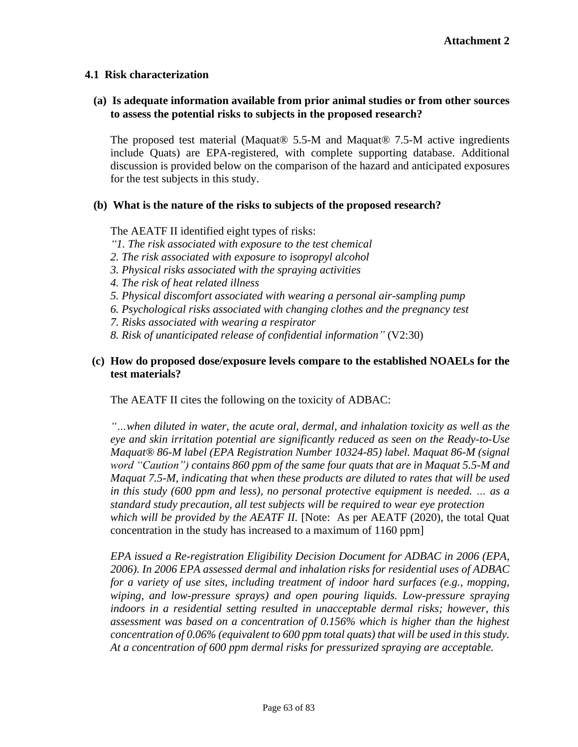### **4.1 Risk characterization**

### **(a) Is adequate information available from prior animal studies or from other sources to assess the potential risks to subjects in the proposed research?**

The proposed test material (Maquat® 5.5-M and Maquat® 7.5-M active ingredients include Quats) are EPA-registered, with complete supporting database. Additional discussion is provided below on the comparison of the hazard and anticipated exposures for the test subjects in this study.

#### **(b) What is the nature of the risks to subjects of the proposed research?**

The AEATF II identified eight types of risks:

- *"1. The risk associated with exposure to the test chemical*
- *2. The risk associated with exposure to isopropyl alcohol*
- *3. Physical risks associated with the spraying activities*
- *4. The risk of heat related illness*
- *5. Physical discomfort associated with wearing a personal air-sampling pump*
- *6. Psychological risks associated with changing clothes and the pregnancy test*
- *7. Risks associated with wearing a respirator*
- *8. Risk of unanticipated release of confidential information"* (V2:30)

## **(c) How do proposed dose/exposure levels compare to the established NOAELs for the test materials?**

The AEATF II cites the following on the toxicity of ADBAC:

*"…when diluted in water, the acute oral, dermal, and inhalation toxicity as well as the eye and skin irritation potential are significantly reduced as seen on the Ready-to-Use Maquat® 86-M label (EPA Registration Number 10324-85) label. Maquat 86-M (signal word "Caution") contains 860 ppm of the same four quats that are in Maquat 5.5-M and Maquat 7.5-M, indicating that when these products are diluted to rates that will be used in this study (600 ppm and less), no personal protective equipment is needed. … as a standard study precaution, all test subjects will be required to wear eye protection which will be provided by the AEATF II.* [Note: As per AEATF (2020), the total Quat concentration in the study has increased to a maximum of 1160 ppm]

*EPA issued a Re-registration Eligibility Decision Document for ADBAC in 2006 (EPA, 2006). In 2006 EPA assessed dermal and inhalation risks for residential uses of ADBAC for a variety of use sites, including treatment of indoor hard surfaces (e.g., mopping, wiping, and low-pressure sprays) and open pouring liquids. Low-pressure spraying indoors in a residential setting resulted in unacceptable dermal risks; however, this assessment was based on a concentration of 0.156% which is higher than the highest concentration of 0.06% (equivalent to 600 ppm total quats) that will be used in this study. At a concentration of 600 ppm dermal risks for pressurized spraying are acceptable.*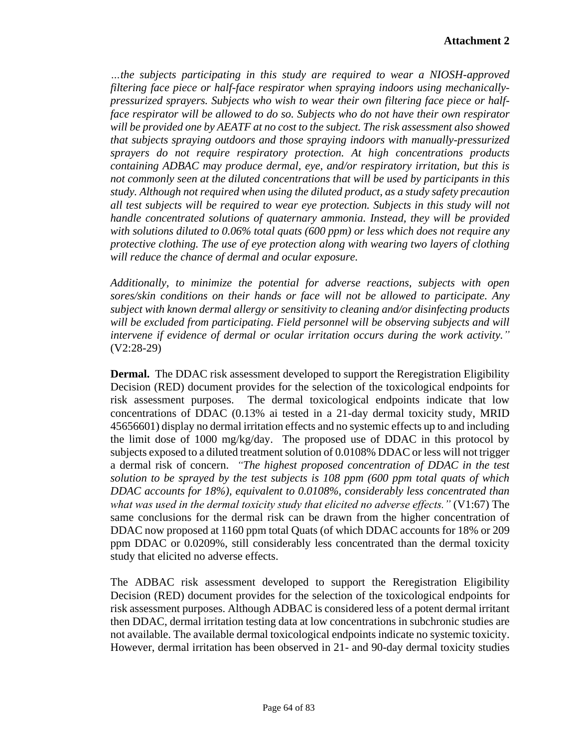*…the subjects participating in this study are required to wear a NIOSH-approved filtering face piece or half-face respirator when spraying indoors using mechanicallypressurized sprayers. Subjects who wish to wear their own filtering face piece or halfface respirator will be allowed to do so. Subjects who do not have their own respirator will be provided one by AEATF at no cost to the subject. The risk assessment also showed that subjects spraying outdoors and those spraying indoors with manually-pressurized sprayers do not require respiratory protection. At high concentrations products containing ADBAC may produce dermal, eye, and/or respiratory irritation, but this is not commonly seen at the diluted concentrations that will be used by participants in this study. Although not required when using the diluted product, as a study safety precaution all test subjects will be required to wear eye protection. Subjects in this study will not handle concentrated solutions of quaternary ammonia. Instead, they will be provided with solutions diluted to 0.06% total quats (600 ppm) or less which does not require any protective clothing. The use of eye protection along with wearing two layers of clothing will reduce the chance of dermal and ocular exposure.*

*Additionally, to minimize the potential for adverse reactions, subjects with open sores/skin conditions on their hands or face will not be allowed to participate. Any subject with known dermal allergy or sensitivity to cleaning and/or disinfecting products will be excluded from participating. Field personnel will be observing subjects and will intervene if evidence of dermal or ocular irritation occurs during the work activity."*  (V2:28-29)

**Dermal.** The DDAC risk assessment developed to support the Reregistration Eligibility Decision (RED) document provides for the selection of the toxicological endpoints for risk assessment purposes. The dermal toxicological endpoints indicate that low concentrations of DDAC (0.13% ai tested in a 21-day dermal toxicity study, MRID 45656601) display no dermal irritation effects and no systemic effects up to and including the limit dose of 1000 mg/kg/day. The proposed use of DDAC in this protocol by subjects exposed to a diluted treatment solution of 0.0108% DDAC or less will not trigger a dermal risk of concern. *"The highest proposed concentration of DDAC in the test solution to be sprayed by the test subjects is 108 ppm (600 ppm total quats of which DDAC accounts for 18%), equivalent to 0.0108%, considerably less concentrated than what was used in the dermal toxicity study that elicited no adverse effects."* (V1:67) The same conclusions for the dermal risk can be drawn from the higher concentration of DDAC now proposed at 1160 ppm total Quats (of which DDAC accounts for 18% or 209 ppm DDAC or 0.0209%, still considerably less concentrated than the dermal toxicity study that elicited no adverse effects.

The ADBAC risk assessment developed to support the Reregistration Eligibility Decision (RED) document provides for the selection of the toxicological endpoints for risk assessment purposes. Although ADBAC is considered less of a potent dermal irritant then DDAC, dermal irritation testing data at low concentrations in subchronic studies are not available. The available dermal toxicological endpoints indicate no systemic toxicity. However, dermal irritation has been observed in 21- and 90-day dermal toxicity studies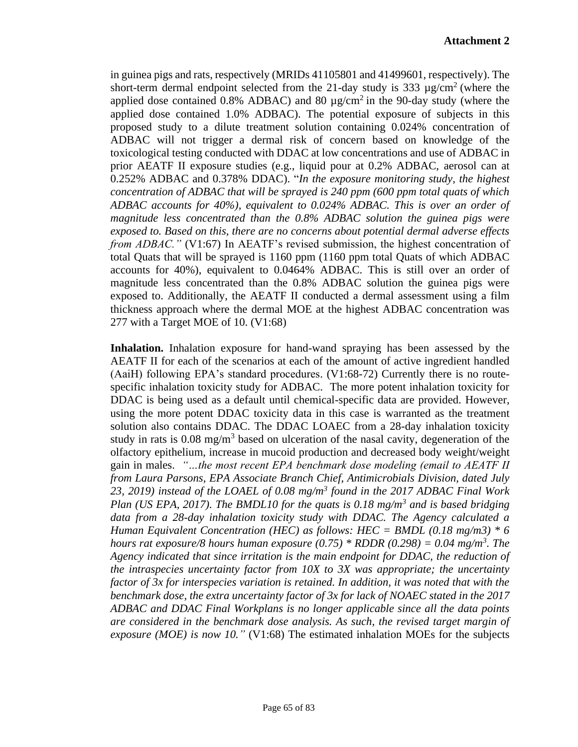in guinea pigs and rats, respectively (MRIDs 41105801 and 41499601, respectively). The short-term dermal endpoint selected from the 21-day study is 333  $\mu$ g/cm<sup>2</sup> (where the applied dose contained 0.8% ADBAC) and 80  $\mu$ g/cm<sup>2</sup> in the 90-day study (where the applied dose contained 1.0% ADBAC). The potential exposure of subjects in this proposed study to a dilute treatment solution containing 0.024% concentration of ADBAC will not trigger a dermal risk of concern based on knowledge of the toxicological testing conducted with DDAC at low concentrations and use of ADBAC in prior AEATF II exposure studies (e.g., liquid pour at 0.2% ADBAC, aerosol can at 0.252% ADBAC and 0.378% DDAC). "*In the exposure monitoring study, the highest concentration of ADBAC that will be sprayed is 240 ppm (600 ppm total quats of which ADBAC accounts for 40%), equivalent to 0.024% ADBAC. This is over an order of magnitude less concentrated than the 0.8% ADBAC solution the guinea pigs were exposed to. Based on this, there are no concerns about potential dermal adverse effects from ADBAC."* (V1:67) In AEATF's revised submission, the highest concentration of total Quats that will be sprayed is 1160 ppm (1160 ppm total Quats of which ADBAC accounts for 40%), equivalent to 0.0464% ADBAC. This is still over an order of magnitude less concentrated than the 0.8% ADBAC solution the guinea pigs were exposed to. Additionally, the AEATF II conducted a dermal assessment using a film thickness approach where the dermal MOE at the highest ADBAC concentration was 277 with a Target MOE of 10. (V1:68)

**Inhalation.** Inhalation exposure for hand-wand spraying has been assessed by the AEATF II for each of the scenarios at each of the amount of active ingredient handled (AaiH) following EPA's standard procedures. (V1:68-72) Currently there is no routespecific inhalation toxicity study for ADBAC. The more potent inhalation toxicity for DDAC is being used as a default until chemical-specific data are provided. However, using the more potent DDAC toxicity data in this case is warranted as the treatment solution also contains DDAC. The DDAC LOAEC from a 28-day inhalation toxicity study in rats is  $0.08 \text{ mg/m}^3$  based on ulceration of the nasal cavity, degeneration of the olfactory epithelium, increase in mucoid production and decreased body weight/weight gain in males. *"…the most recent EPA benchmark dose modeling (email to AEATF II from Laura Parsons, EPA Associate Branch Chief, Antimicrobials Division, dated July 23, 2019) instead of the LOAEL of 0.08 mg/m<sup>3</sup> found in the 2017 ADBAC Final Work Plan (US EPA, 2017). The BMDL10 for the quats is 0.18 mg/m<sup>3</sup> and is based bridging data from a 28-day inhalation toxicity study with DDAC. The Agency calculated a Human Equivalent Concentration (HEC) as follows: HEC = BMDL (0.18 mg/m3) \* 6 hours rat exposure/8 hours human exposure (0.75) \* RDDR (0.298) = 0.04 mg/m<sup>3</sup> . The Agency indicated that since irritation is the main endpoint for DDAC, the reduction of the intraspecies uncertainty factor from 10X to 3X was appropriate; the uncertainty factor of 3x for interspecies variation is retained. In addition, it was noted that with the benchmark dose, the extra uncertainty factor of 3x for lack of NOAEC stated in the 2017 ADBAC and DDAC Final Workplans is no longer applicable since all the data points are considered in the benchmark dose analysis. As such, the revised target margin of exposure (MOE) is now 10."* (V1:68) The estimated inhalation MOEs for the subjects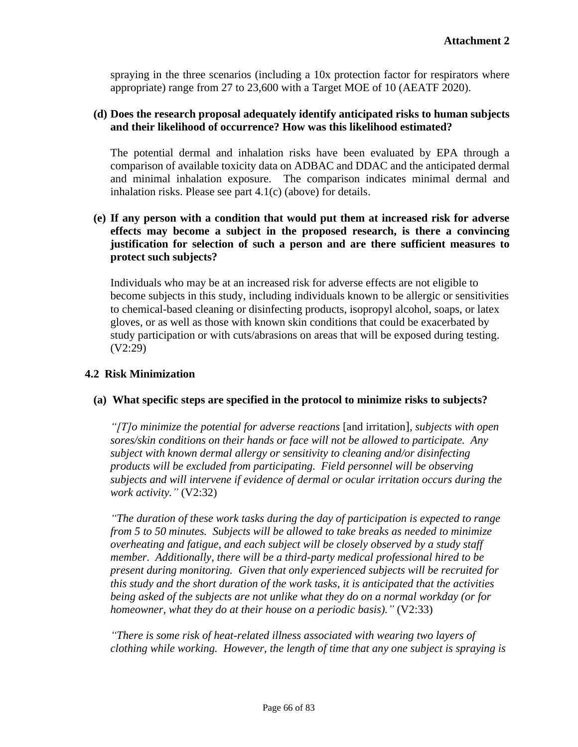spraying in the three scenarios (including a 10x protection factor for respirators where appropriate) range from 27 to 23,600 with a Target MOE of 10 (AEATF 2020).

### **(d) Does the research proposal adequately identify anticipated risks to human subjects and their likelihood of occurrence? How was this likelihood estimated?**

The potential dermal and inhalation risks have been evaluated by EPA through a comparison of available toxicity data on ADBAC and DDAC and the anticipated dermal and minimal inhalation exposure. The comparison indicates minimal dermal and inhalation risks. Please see part 4.1(c) (above) for details.

## **(e) If any person with a condition that would put them at increased risk for adverse effects may become a subject in the proposed research, is there a convincing justification for selection of such a person and are there sufficient measures to protect such subjects?**

Individuals who may be at an increased risk for adverse effects are not eligible to become subjects in this study, including individuals known to be allergic or sensitivities to chemical-based cleaning or disinfecting products, isopropyl alcohol, soaps, or latex gloves, or as well as those with known skin conditions that could be exacerbated by study participation or with cuts/abrasions on areas that will be exposed during testing. (V2:29)

### **4.2 Risk Minimization**

### **(a) What specific steps are specified in the protocol to minimize risks to subjects?**

*"[T]o minimize the potential for adverse reactions* [and irritation]*, subjects with open sores/skin conditions on their hands or face will not be allowed to participate. Any subject with known dermal allergy or sensitivity to cleaning and/or disinfecting products will be excluded from participating. Field personnel will be observing subjects and will intervene if evidence of dermal or ocular irritation occurs during the work activity."* (V2:32)

*"The duration of these work tasks during the day of participation is expected to range from 5 to 50 minutes. Subjects will be allowed to take breaks as needed to minimize overheating and fatigue, and each subject will be closely observed by a study staff member. Additionally, there will be a third-party medical professional hired to be present during monitoring. Given that only experienced subjects will be recruited for this study and the short duration of the work tasks, it is anticipated that the activities being asked of the subjects are not unlike what they do on a normal workday (or for homeowner, what they do at their house on a periodic basis)."* (V2:33)

*"There is some risk of heat-related illness associated with wearing two layers of clothing while working. However, the length of time that any one subject is spraying is*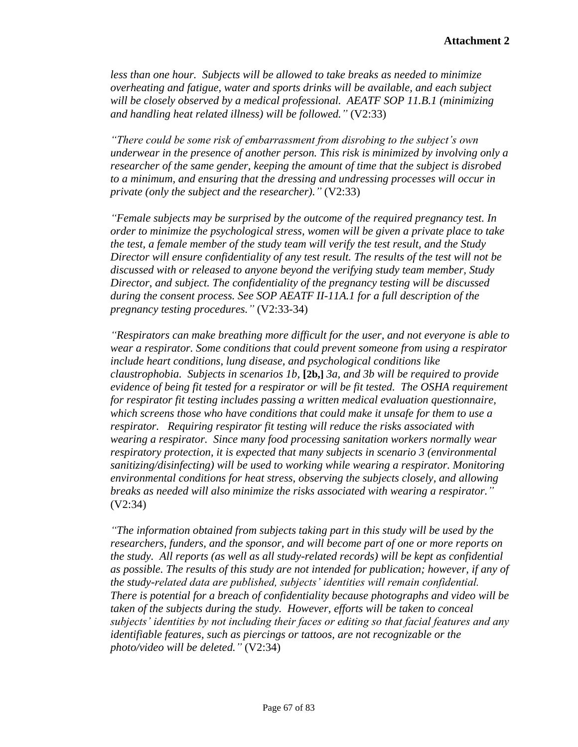*less than one hour. Subjects will be allowed to take breaks as needed to minimize overheating and fatigue, water and sports drinks will be available, and each subject will be closely observed by a medical professional. AEATF SOP 11.B.1 (minimizing and handling heat related illness) will be followed."* (V2:33)

*"There could be some risk of embarrassment from disrobing to the subject's own underwear in the presence of another person. This risk is minimized by involving only a researcher of the same gender, keeping the amount of time that the subject is disrobed to a minimum, and ensuring that the dressing and undressing processes will occur in private (only the subject and the researcher)."* (V2:33)

*"Female subjects may be surprised by the outcome of the required pregnancy test. In order to minimize the psychological stress, women will be given a private place to take the test, a female member of the study team will verify the test result, and the Study Director will ensure confidentiality of any test result. The results of the test will not be discussed with or released to anyone beyond the verifying study team member, Study Director, and subject. The confidentiality of the pregnancy testing will be discussed during the consent process. See SOP AEATF II-11A.1 for a full description of the pregnancy testing procedures."* (V2:33-34)

*"Respirators can make breathing more difficult for the user, and not everyone is able to wear a respirator. Some conditions that could prevent someone from using a respirator include heart conditions, lung disease, and psychological conditions like claustrophobia. Subjects in scenarios 1b,* **[2b,]** *3a, and 3b will be required to provide evidence of being fit tested for a respirator or will be fit tested. The OSHA requirement for respirator fit testing includes passing a written medical evaluation questionnaire, which screens those who have conditions that could make it unsafe for them to use a respirator. Requiring respirator fit testing will reduce the risks associated with wearing a respirator. Since many food processing sanitation workers normally wear respiratory protection, it is expected that many subjects in scenario 3 (environmental sanitizing/disinfecting) will be used to working while wearing a respirator. Monitoring environmental conditions for heat stress, observing the subjects closely, and allowing breaks as needed will also minimize the risks associated with wearing a respirator."*  (V2:34)

*"The information obtained from subjects taking part in this study will be used by the researchers, funders, and the sponsor, and will become part of one or more reports on the study. All reports (as well as all study-related records) will be kept as confidential as possible. The results of this study are not intended for publication; however, if any of the study-related data are published, subjects' identities will remain confidential. There is potential for a breach of confidentiality because photographs and video will be taken of the subjects during the study. However, efforts will be taken to conceal subjects' identities by not including their faces or editing so that facial features and any identifiable features, such as piercings or tattoos, are not recognizable or the photo/video will be deleted."* (V2:34)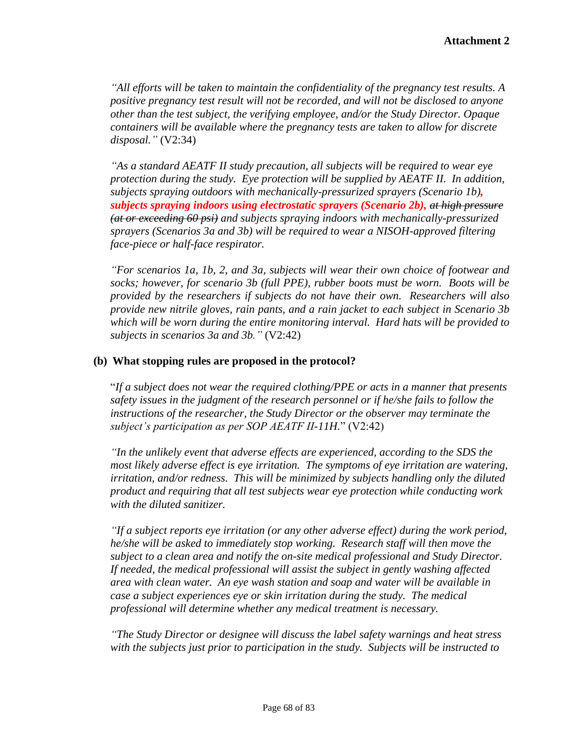*"All efforts will be taken to maintain the confidentiality of the pregnancy test results. A positive pregnancy test result will not be recorded, and will not be disclosed to anyone other than the test subject, the verifying employee, and/or the Study Director. Opaque containers will be available where the pregnancy tests are taken to allow for discrete disposal."* (V2:34)

*"As a standard AEATF II study precaution, all subjects will be required to wear eye protection during the study. Eye protection will be supplied by AEATF II. In addition, subjects spraying outdoors with mechanically-pressurized sprayers (Scenario 1b), subjects spraying indoors using electrostatic sprayers (Scenario 2b), at high pressure (at or exceeding 60 psi) and subjects spraying indoors with mechanically-pressurized sprayers (Scenarios 3a and 3b) will be required to wear a NISOH-approved filtering face-piece or half-face respirator.* 

*"For scenarios 1a, 1b, 2, and 3a, subjects will wear their own choice of footwear and socks; however, for scenario 3b (full PPE), rubber boots must be worn. Boots will be provided by the researchers if subjects do not have their own. Researchers will also provide new nitrile gloves, rain pants, and a rain jacket to each subject in Scenario 3b which will be worn during the entire monitoring interval. Hard hats will be provided to subjects in scenarios 3a and 3b."* (V2:42)

### **(b) What stopping rules are proposed in the protocol?**

"*If a subject does not wear the required clothing/PPE or acts in a manner that presents safety issues in the judgment of the research personnel or if he/she fails to follow the instructions of the researcher, the Study Director or the observer may terminate the subject's participation as per SOP AEATF II-11H.*" (V2:42)

*"In the unlikely event that adverse effects are experienced, according to the SDS the most likely adverse effect is eye irritation. The symptoms of eye irritation are watering, irritation, and/or redness. This will be minimized by subjects handling only the diluted product and requiring that all test subjects wear eye protection while conducting work with the diluted sanitizer.* 

*"If a subject reports eye irritation (or any other adverse effect) during the work period, he/she will be asked to immediately stop working. Research staff will then move the subject to a clean area and notify the on-site medical professional and Study Director. If needed, the medical professional will assist the subject in gently washing affected area with clean water. An eye wash station and soap and water will be available in case a subject experiences eye or skin irritation during the study. The medical professional will determine whether any medical treatment is necessary.* 

*"The Study Director or designee will discuss the label safety warnings and heat stress with the subjects just prior to participation in the study. Subjects will be instructed to*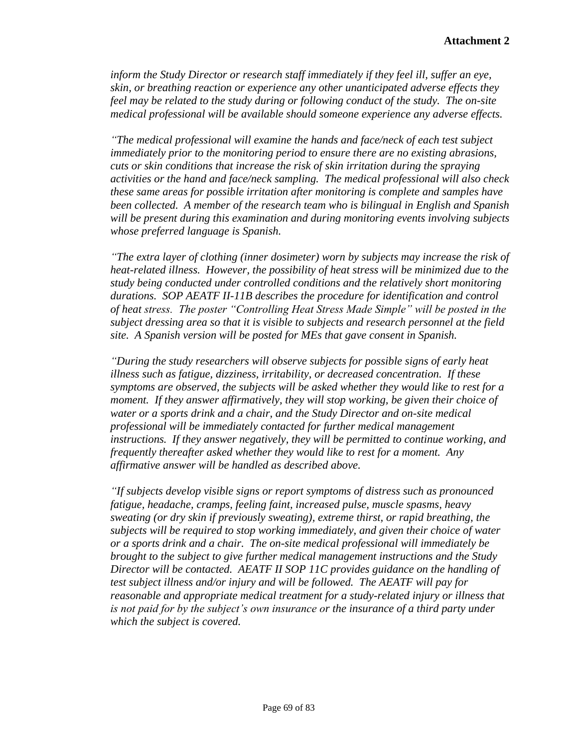*inform the Study Director or research staff immediately if they feel ill, suffer an eye, skin, or breathing reaction or experience any other unanticipated adverse effects they feel may be related to the study during or following conduct of the study. The on-site medical professional will be available should someone experience any adverse effects.* 

*"The medical professional will examine the hands and face/neck of each test subject immediately prior to the monitoring period to ensure there are no existing abrasions, cuts or skin conditions that increase the risk of skin irritation during the spraying activities or the hand and face/neck sampling. The medical professional will also check these same areas for possible irritation after monitoring is complete and samples have been collected. A member of the research team who is bilingual in English and Spanish will be present during this examination and during monitoring events involving subjects whose preferred language is Spanish.* 

*"The extra layer of clothing (inner dosimeter) worn by subjects may increase the risk of heat-related illness. However, the possibility of heat stress will be minimized due to the study being conducted under controlled conditions and the relatively short monitoring durations. SOP AEATF II-11B describes the procedure for identification and control of heat stress. The poster "Controlling Heat Stress Made Simple" will be posted in the subject dressing area so that it is visible to subjects and research personnel at the field site. A Spanish version will be posted for MEs that gave consent in Spanish.* 

*"During the study researchers will observe subjects for possible signs of early heat illness such as fatigue, dizziness, irritability, or decreased concentration. If these symptoms are observed, the subjects will be asked whether they would like to rest for a moment. If they answer affirmatively, they will stop working, be given their choice of water or a sports drink and a chair, and the Study Director and on-site medical professional will be immediately contacted for further medical management instructions. If they answer negatively, they will be permitted to continue working, and frequently thereafter asked whether they would like to rest for a moment. Any affirmative answer will be handled as described above.* 

*"If subjects develop visible signs or report symptoms of distress such as pronounced fatigue, headache, cramps, feeling faint, increased pulse, muscle spasms, heavy sweating (or dry skin if previously sweating), extreme thirst, or rapid breathing, the subjects will be required to stop working immediately, and given their choice of water or a sports drink and a chair. The on-site medical professional will immediately be brought to the subject to give further medical management instructions and the Study Director will be contacted. AEATF II SOP 11C provides guidance on the handling of test subject illness and/or injury and will be followed. The AEATF will pay for reasonable and appropriate medical treatment for a study-related injury or illness that is not paid for by the subject's own insurance or the insurance of a third party under which the subject is covered.*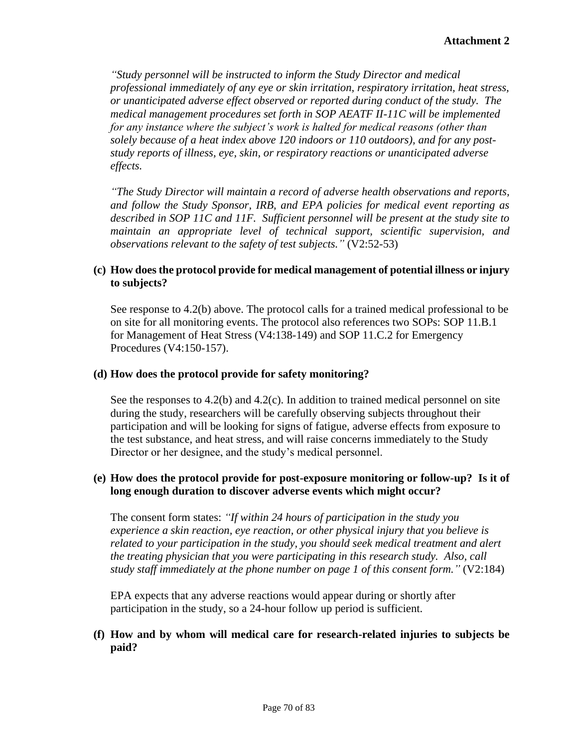*"Study personnel will be instructed to inform the Study Director and medical professional immediately of any eye or skin irritation, respiratory irritation, heat stress, or unanticipated adverse effect observed or reported during conduct of the study. The medical management procedures set forth in SOP AEATF II-11C will be implemented for any instance where the subject's work is halted for medical reasons (other than solely because of a heat index above 120 indoors or 110 outdoors), and for any poststudy reports of illness, eye, skin, or respiratory reactions or unanticipated adverse effects.* 

*"The Study Director will maintain a record of adverse health observations and reports, and follow the Study Sponsor, IRB, and EPA policies for medical event reporting as described in SOP 11C and 11F. Sufficient personnel will be present at the study site to maintain an appropriate level of technical support, scientific supervision, and observations relevant to the safety of test subjects."* (V2:52-53)

## **(c) How does the protocol provide for medical management of potential illness or injury to subjects?**

See response to 4.2(b) above. The protocol calls for a trained medical professional to be on site for all monitoring events. The protocol also references two SOPs: SOP 11.B.1 for Management of Heat Stress (V4:138-149) and SOP 11.C.2 for Emergency Procedures (V4:150-157).

### **(d) How does the protocol provide for safety monitoring?**

See the responses to  $4.2(b)$  and  $4.2(c)$ . In addition to trained medical personnel on site during the study, researchers will be carefully observing subjects throughout their participation and will be looking for signs of fatigue, adverse effects from exposure to the test substance, and heat stress, and will raise concerns immediately to the Study Director or her designee, and the study's medical personnel.

# **(e) How does the protocol provide for post-exposure monitoring or follow-up? Is it of long enough duration to discover adverse events which might occur?**

The consent form states: *"If within 24 hours of participation in the study you experience a skin reaction, eye reaction, or other physical injury that you believe is related to your participation in the study, you should seek medical treatment and alert the treating physician that you were participating in this research study. Also, call study staff immediately at the phone number on page 1 of this consent form."* (V2:184)

EPA expects that any adverse reactions would appear during or shortly after participation in the study, so a 24-hour follow up period is sufficient.

## **(f) How and by whom will medical care for research-related injuries to subjects be paid?**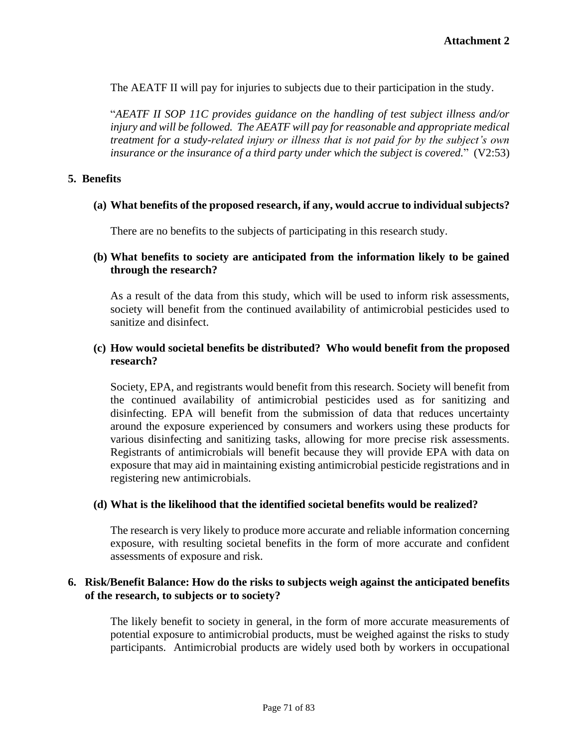The AEATF II will pay for injuries to subjects due to their participation in the study.

"*AEATF II SOP 11C provides guidance on the handling of test subject illness and/or injury and will be followed. The AEATF will pay for reasonable and appropriate medical treatment for a study-related injury or illness that is not paid for by the subject's own insurance or the insurance of a third party under which the subject is covered.*" (V2:53)

### **5. Benefits**

### **(a) What benefits of the proposed research, if any, would accrue to individual subjects?**

There are no benefits to the subjects of participating in this research study.

### **(b) What benefits to society are anticipated from the information likely to be gained through the research?**

As a result of the data from this study, which will be used to inform risk assessments, society will benefit from the continued availability of antimicrobial pesticides used to sanitize and disinfect.

### **(c) How would societal benefits be distributed? Who would benefit from the proposed research?**

Society, EPA, and registrants would benefit from this research. Society will benefit from the continued availability of antimicrobial pesticides used as for sanitizing and disinfecting. EPA will benefit from the submission of data that reduces uncertainty around the exposure experienced by consumers and workers using these products for various disinfecting and sanitizing tasks, allowing for more precise risk assessments. Registrants of antimicrobials will benefit because they will provide EPA with data on exposure that may aid in maintaining existing antimicrobial pesticide registrations and in registering new antimicrobials.

#### **(d) What is the likelihood that the identified societal benefits would be realized?**

The research is very likely to produce more accurate and reliable information concerning exposure, with resulting societal benefits in the form of more accurate and confident assessments of exposure and risk.

#### **6. Risk/Benefit Balance: How do the risks to subjects weigh against the anticipated benefits of the research, to subjects or to society?**

The likely benefit to society in general, in the form of more accurate measurements of potential exposure to antimicrobial products, must be weighed against the risks to study participants. Antimicrobial products are widely used both by workers in occupational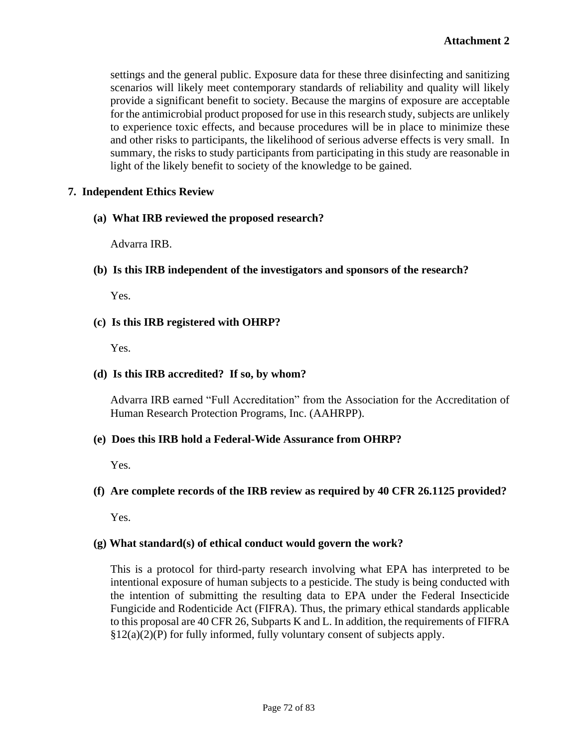settings and the general public. Exposure data for these three disinfecting and sanitizing scenarios will likely meet contemporary standards of reliability and quality will likely provide a significant benefit to society. Because the margins of exposure are acceptable for the antimicrobial product proposed for use in this research study, subjects are unlikely to experience toxic effects, and because procedures will be in place to minimize these and other risks to participants, the likelihood of serious adverse effects is very small. In summary, the risks to study participants from participating in this study are reasonable in light of the likely benefit to society of the knowledge to be gained.

## **7. Independent Ethics Review**

## **(a) What IRB reviewed the proposed research?**

Advarra IRB.

## **(b) Is this IRB independent of the investigators and sponsors of the research?**

Yes.

## **(c) Is this IRB registered with OHRP?**

Yes.

## **(d) Is this IRB accredited? If so, by whom?**

Advarra IRB earned "Full Accreditation" from the [Association for the Accreditation of](http://www.aahrpp.org/)  [Human Research Protection Programs, Inc.](http://www.aahrpp.org/) (AAHRPP).

### **(e) Does this IRB hold a Federal-Wide Assurance from OHRP?**

Yes.

# **(f) Are complete records of the IRB review as required by 40 CFR 26.1125 provided?**

Yes.

### **(g) What standard(s) of ethical conduct would govern the work?**

This is a protocol for third-party research involving what EPA has interpreted to be intentional exposure of human subjects to a pesticide. The study is being conducted with the intention of submitting the resulting data to EPA under the Federal Insecticide Fungicide and Rodenticide Act (FIFRA). Thus, the primary ethical standards applicable to this proposal are 40 CFR 26, Subparts K and L. In addition, the requirements of FIFRA  $\S 12(a)(2)(P)$  for fully informed, fully voluntary consent of subjects apply.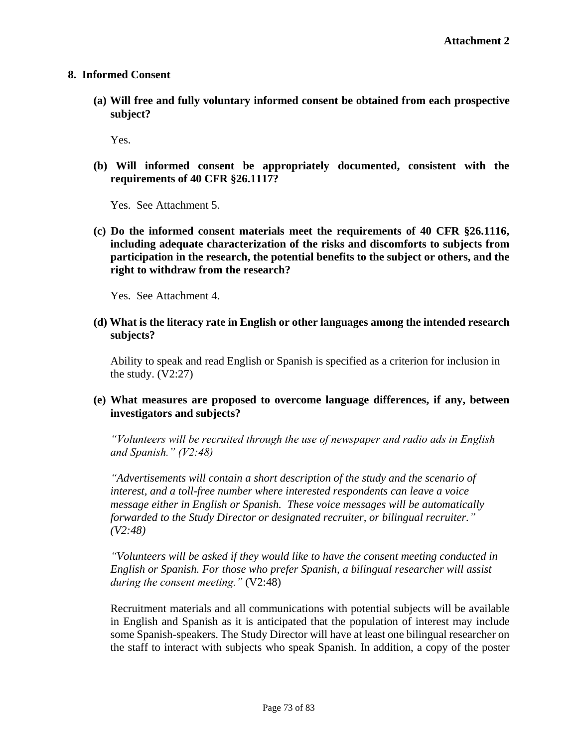#### **8. Informed Consent**

**(a) Will free and fully voluntary informed consent be obtained from each prospective subject?**

Yes.

**(b) Will informed consent be appropriately documented, consistent with the requirements of 40 CFR §26.1117?** 

Yes. See Attachment 5.

**(c) Do the informed consent materials meet the requirements of 40 CFR §26.1116, including adequate characterization of the risks and discomforts to subjects from participation in the research, the potential benefits to the subject or others, and the right to withdraw from the research?**

Yes. See Attachment 4.

**(d) What is the literacy rate in English or other languages among the intended research subjects?**

Ability to speak and read English or Spanish is specified as a criterion for inclusion in the study.  $(V2:27)$ 

## **(e) What measures are proposed to overcome language differences, if any, between investigators and subjects?**

*"Volunteers will be recruited through the use of newspaper and radio ads in English and Spanish." (V2:48)*

*"Advertisements will contain a short description of the study and the scenario of interest, and a toll-free number where interested respondents can leave a voice message either in English or Spanish. These voice messages will be automatically forwarded to the Study Director or designated recruiter, or bilingual recruiter." (V2:48)*

*"Volunteers will be asked if they would like to have the consent meeting conducted in English or Spanish. For those who prefer Spanish, a bilingual researcher will assist during the consent meeting."* (V2:48)

Recruitment materials and all communications with potential subjects will be available in English and Spanish as it is anticipated that the population of interest may include some Spanish-speakers. The Study Director will have at least one bilingual researcher on the staff to interact with subjects who speak Spanish. In addition, a copy of the poster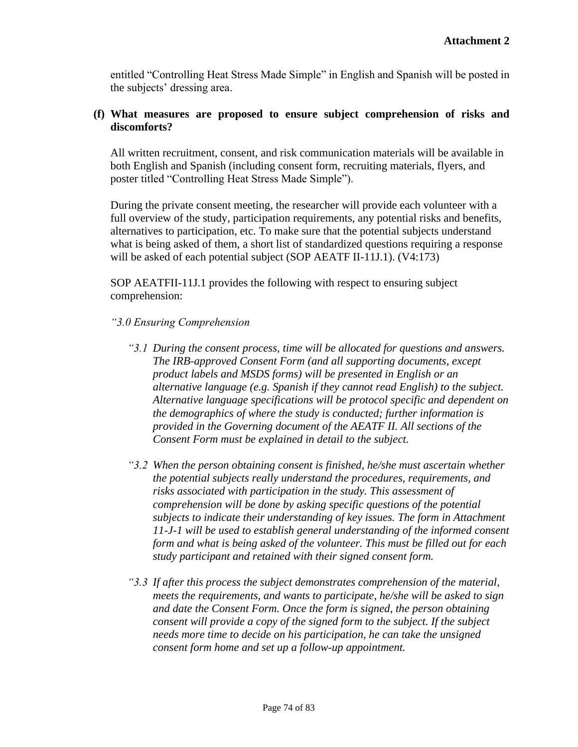entitled "Controlling Heat Stress Made Simple" in English and Spanish will be posted in the subjects' dressing area.

# **(f) What measures are proposed to ensure subject comprehension of risks and discomforts?**

All written recruitment, consent, and risk communication materials will be available in both English and Spanish (including consent form, recruiting materials, flyers, and poster titled "Controlling Heat Stress Made Simple").

During the private consent meeting, the researcher will provide each volunteer with a full overview of the study, participation requirements, any potential risks and benefits, alternatives to participation, etc. To make sure that the potential subjects understand what is being asked of them, a short list of standardized questions requiring a response will be asked of each potential subject (SOP AEATF II-11J.1). (V4:173)

SOP AEATFII-11J.1 provides the following with respect to ensuring subject comprehension:

## *"3.0 Ensuring Comprehension*

- *"3.1 During the consent process, time will be allocated for questions and answers. The IRB-approved Consent Form (and all supporting documents, except product labels and MSDS forms) will be presented in English or an alternative language (e.g. Spanish if they cannot read English) to the subject. Alternative language specifications will be protocol specific and dependent on the demographics of where the study is conducted; further information is provided in the Governing document of the AEATF II. All sections of the Consent Form must be explained in detail to the subject.*
- *"3.2 When the person obtaining consent is finished, he/she must ascertain whether the potential subjects really understand the procedures, requirements, and risks associated with participation in the study. This assessment of comprehension will be done by asking specific questions of the potential subjects to indicate their understanding of key issues. The form in Attachment 11-J-1 will be used to establish general understanding of the informed consent form and what is being asked of the volunteer. This must be filled out for each study participant and retained with their signed consent form.*
- *"3.3 If after this process the subject demonstrates comprehension of the material, meets the requirements, and wants to participate, he/she will be asked to sign and date the Consent Form. Once the form is signed, the person obtaining consent will provide a copy of the signed form to the subject. If the subject needs more time to decide on his participation, he can take the unsigned consent form home and set up a follow-up appointment.*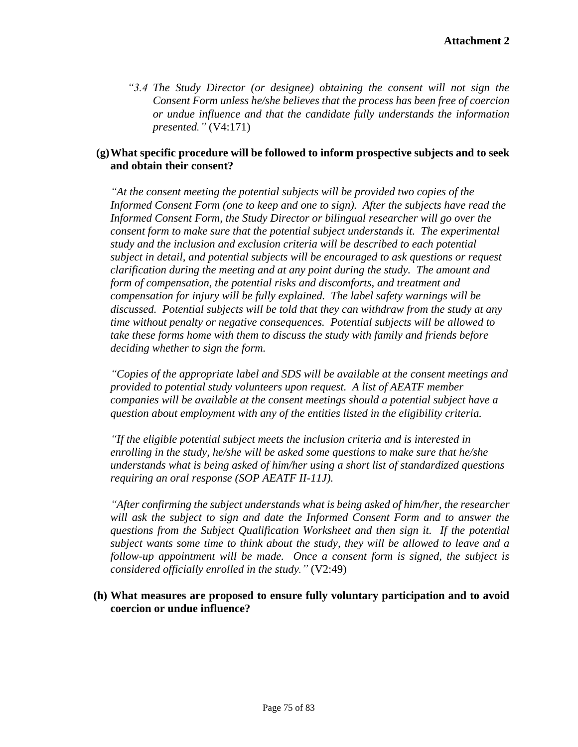*"3.4 The Study Director (or designee) obtaining the consent will not sign the Consent Form unless he/she believes that the process has been free of coercion or undue influence and that the candidate fully understands the information presented."* (V4:171)

## **(g)What specific procedure will be followed to inform prospective subjects and to seek and obtain their consent?**

*"At the consent meeting the potential subjects will be provided two copies of the Informed Consent Form (one to keep and one to sign). After the subjects have read the Informed Consent Form, the Study Director or bilingual researcher will go over the consent form to make sure that the potential subject understands it. The experimental study and the inclusion and exclusion criteria will be described to each potential subject in detail, and potential subjects will be encouraged to ask questions or request clarification during the meeting and at any point during the study. The amount and form of compensation, the potential risks and discomforts, and treatment and compensation for injury will be fully explained. The label safety warnings will be discussed. Potential subjects will be told that they can withdraw from the study at any time without penalty or negative consequences. Potential subjects will be allowed to take these forms home with them to discuss the study with family and friends before deciding whether to sign the form.* 

*"Copies of the appropriate label and SDS will be available at the consent meetings and provided to potential study volunteers upon request. A list of AEATF member companies will be available at the consent meetings should a potential subject have a question about employment with any of the entities listed in the eligibility criteria.* 

*"If the eligible potential subject meets the inclusion criteria and is interested in enrolling in the study, he/she will be asked some questions to make sure that he/she understands what is being asked of him/her using a short list of standardized questions requiring an oral response (SOP AEATF II-11J).* 

*"After confirming the subject understands what is being asked of him/her, the researcher will ask the subject to sign and date the Informed Consent Form and to answer the questions from the Subject Qualification Worksheet and then sign it. If the potential subject wants some time to think about the study, they will be allowed to leave and a follow-up appointment will be made. Once a consent form is signed, the subject is considered officially enrolled in the study."* (V2:49)

#### **(h) What measures are proposed to ensure fully voluntary participation and to avoid coercion or undue influence?**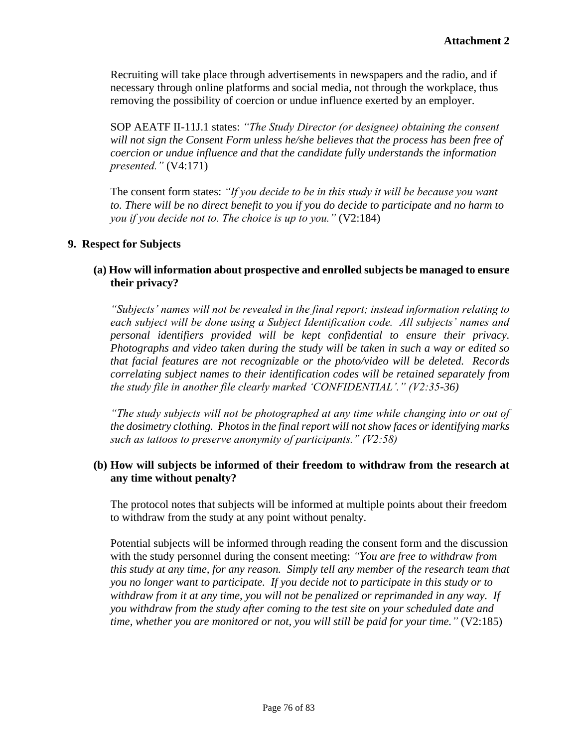Recruiting will take place through advertisements in newspapers and the radio, and if necessary through online platforms and social media, not through the workplace, thus removing the possibility of coercion or undue influence exerted by an employer.

SOP AEATF II-11J.1 states: *"The Study Director (or designee) obtaining the consent will not sign the Consent Form unless he/she believes that the process has been free of coercion or undue influence and that the candidate fully understands the information presented."* (V4:171)

The consent form states: *"If you decide to be in this study it will be because you want to. There will be no direct benefit to you if you do decide to participate and no harm to you if you decide not to. The choice is up to you."* (V2:184)

## **9. Respect for Subjects**

## **(a) How will information about prospective and enrolled subjects be managed to ensure their privacy?**

*"Subjects' names will not be revealed in the final report; instead information relating to each subject will be done using a Subject Identification code. All subjects' names and personal identifiers provided will be kept confidential to ensure their privacy. Photographs and video taken during the study will be taken in such a way or edited so that facial features are not recognizable or the photo/video will be deleted. Records correlating subject names to their identification codes will be retained separately from the study file in another file clearly marked 'CONFIDENTIAL'." (V2:35-36)*

*"The study subjects will not be photographed at any time while changing into or out of the dosimetry clothing. Photos in the final report will not show faces or identifying marks such as tattoos to preserve anonymity of participants." (V2:58)*

## **(b) How will subjects be informed of their freedom to withdraw from the research at any time without penalty?**

The protocol notes that subjects will be informed at multiple points about their freedom to withdraw from the study at any point without penalty.

Potential subjects will be informed through reading the consent form and the discussion with the study personnel during the consent meeting: *"You are free to withdraw from this study at any time, for any reason. Simply tell any member of the research team that you no longer want to participate. If you decide not to participate in this study or to withdraw from it at any time, you will not be penalized or reprimanded in any way. If you withdraw from the study after coming to the test site on your scheduled date and time, whether you are monitored or not, you will still be paid for your time."* (V2:185)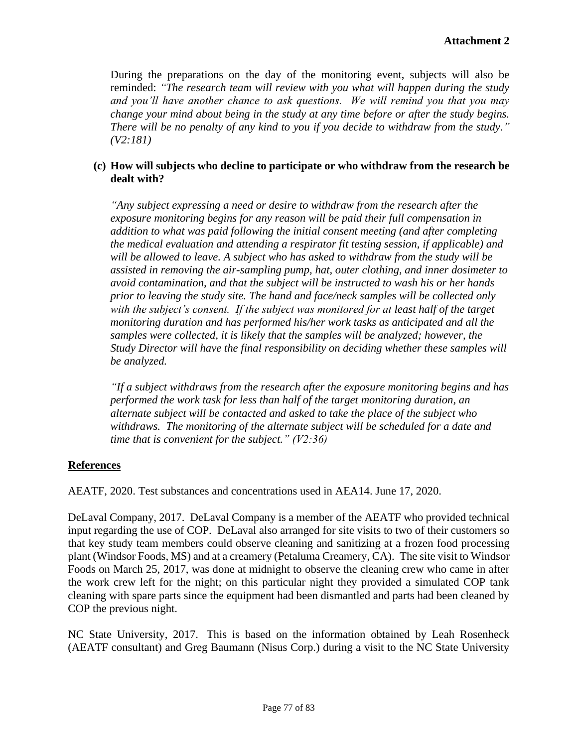During the preparations on the day of the monitoring event, subjects will also be reminded: *"The research team will review with you what will happen during the study and you'll have another chance to ask questions. We will remind you that you may change your mind about being in the study at any time before or after the study begins. There will be no penalty of any kind to you if you decide to withdraw from the study." (V2:181)*

## **(c) How will subjects who decline to participate or who withdraw from the research be dealt with?**

*"Any subject expressing a need or desire to withdraw from the research after the exposure monitoring begins for any reason will be paid their full compensation in addition to what was paid following the initial consent meeting (and after completing the medical evaluation and attending a respirator fit testing session, if applicable) and will be allowed to leave. A subject who has asked to withdraw from the study will be assisted in removing the air-sampling pump, hat, outer clothing, and inner dosimeter to avoid contamination, and that the subject will be instructed to wash his or her hands prior to leaving the study site. The hand and face/neck samples will be collected only with the subject's consent. If the subject was monitored for at least half of the target monitoring duration and has performed his/her work tasks as anticipated and all the samples were collected, it is likely that the samples will be analyzed; however, the Study Director will have the final responsibility on deciding whether these samples will be analyzed.* 

*"If a subject withdraws from the research after the exposure monitoring begins and has performed the work task for less than half of the target monitoring duration, an alternate subject will be contacted and asked to take the place of the subject who withdraws. The monitoring of the alternate subject will be scheduled for a date and time that is convenient for the subject." (V2:36)*

#### **References**

AEATF, 2020. Test substances and concentrations used in AEA14. June 17, 2020.

DeLaval Company, 2017. DeLaval Company is a member of the AEATF who provided technical input regarding the use of COP. DeLaval also arranged for site visits to two of their customers so that key study team members could observe cleaning and sanitizing at a frozen food processing plant (Windsor Foods, MS) and at a creamery (Petaluma Creamery, CA). The site visit to Windsor Foods on March 25, 2017, was done at midnight to observe the cleaning crew who came in after the work crew left for the night; on this particular night they provided a simulated COP tank cleaning with spare parts since the equipment had been dismantled and parts had been cleaned by COP the previous night.

NC State University, 2017. This is based on the information obtained by Leah Rosenheck (AEATF consultant) and Greg Baumann (Nisus Corp.) during a visit to the NC State University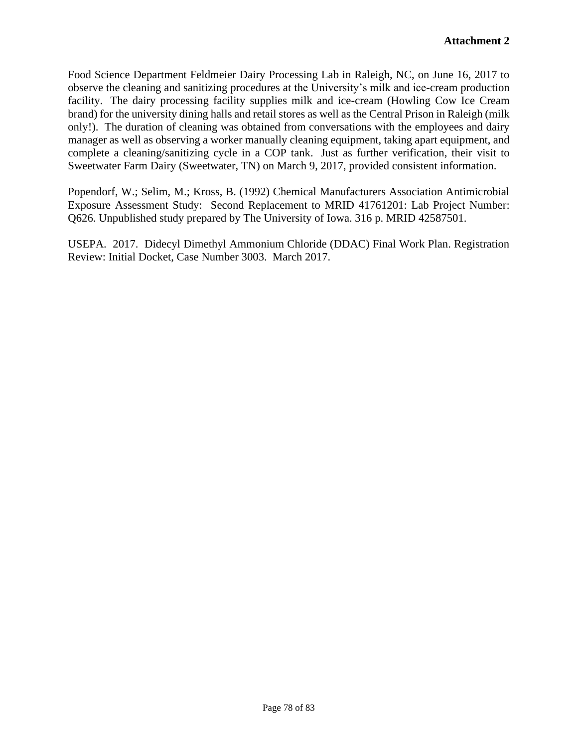Food Science Department Feldmeier Dairy Processing Lab in Raleigh, NC, on June 16, 2017 to observe the cleaning and sanitizing procedures at the University's milk and ice-cream production facility. The dairy processing facility supplies milk and ice-cream (Howling Cow Ice Cream brand) for the university dining halls and retail stores as well as the Central Prison in Raleigh (milk only!). The duration of cleaning was obtained from conversations with the employees and dairy manager as well as observing a worker manually cleaning equipment, taking apart equipment, and complete a cleaning/sanitizing cycle in a COP tank. Just as further verification, their visit to Sweetwater Farm Dairy (Sweetwater, TN) on March 9, 2017, provided consistent information.

Popendorf, W.; Selim, M.; Kross, B. (1992) Chemical Manufacturers Association Antimicrobial Exposure Assessment Study: Second Replacement to MRID 41761201: Lab Project Number: Q626. Unpublished study prepared by The University of Iowa. 316 p. MRID 42587501.

USEPA. 2017. Didecyl Dimethyl Ammonium Chloride (DDAC) Final Work Plan. Registration Review: Initial Docket, Case Number 3003. March 2017.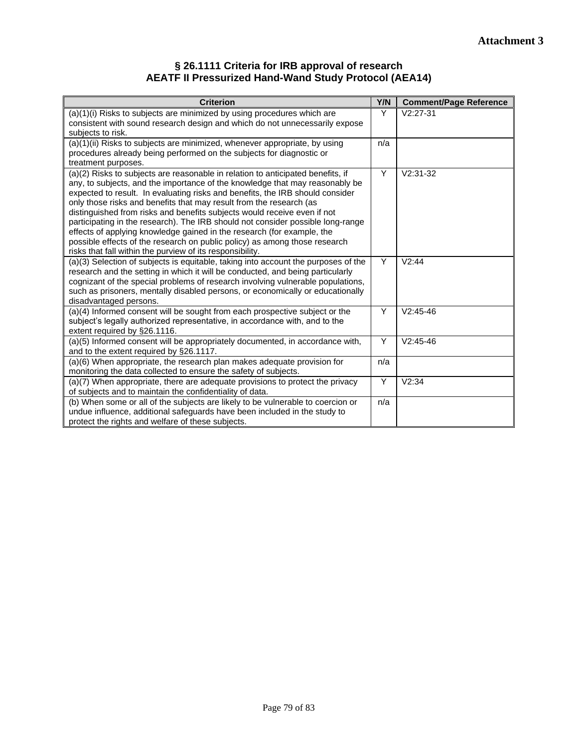#### **§ 26.1111 Criteria for IRB approval of research AEATF II Pressurized Hand-Wand Study Protocol (AEA14)**

| <b>Criterion</b>                                                                                                                                                                                                                                                                                                                                                                                                                                                                                                                                                                                                                                                                                                                                                                                                                                                                                                                                                                                                                                      | Y/N        | <b>Comment/Page Reference</b> |
|-------------------------------------------------------------------------------------------------------------------------------------------------------------------------------------------------------------------------------------------------------------------------------------------------------------------------------------------------------------------------------------------------------------------------------------------------------------------------------------------------------------------------------------------------------------------------------------------------------------------------------------------------------------------------------------------------------------------------------------------------------------------------------------------------------------------------------------------------------------------------------------------------------------------------------------------------------------------------------------------------------------------------------------------------------|------------|-------------------------------|
| (a)(1)(i) Risks to subjects are minimized by using procedures which are<br>consistent with sound research design and which do not unnecessarily expose                                                                                                                                                                                                                                                                                                                                                                                                                                                                                                                                                                                                                                                                                                                                                                                                                                                                                                | Y          | $V2:27-31$                    |
| subjects to risk.                                                                                                                                                                                                                                                                                                                                                                                                                                                                                                                                                                                                                                                                                                                                                                                                                                                                                                                                                                                                                                     |            |                               |
| (a)(1)(ii) Risks to subjects are minimized, whenever appropriate, by using                                                                                                                                                                                                                                                                                                                                                                                                                                                                                                                                                                                                                                                                                                                                                                                                                                                                                                                                                                            | n/a        |                               |
| procedures already being performed on the subjects for diagnostic or<br>treatment purposes.                                                                                                                                                                                                                                                                                                                                                                                                                                                                                                                                                                                                                                                                                                                                                                                                                                                                                                                                                           |            |                               |
| (a)(2) Risks to subjects are reasonable in relation to anticipated benefits, if                                                                                                                                                                                                                                                                                                                                                                                                                                                                                                                                                                                                                                                                                                                                                                                                                                                                                                                                                                       | Y          | $V2:31-32$                    |
| any, to subjects, and the importance of the knowledge that may reasonably be                                                                                                                                                                                                                                                                                                                                                                                                                                                                                                                                                                                                                                                                                                                                                                                                                                                                                                                                                                          |            |                               |
|                                                                                                                                                                                                                                                                                                                                                                                                                                                                                                                                                                                                                                                                                                                                                                                                                                                                                                                                                                                                                                                       |            |                               |
| distinguished from risks and benefits subjects would receive even if not                                                                                                                                                                                                                                                                                                                                                                                                                                                                                                                                                                                                                                                                                                                                                                                                                                                                                                                                                                              |            |                               |
| participating in the research). The IRB should not consider possible long-range                                                                                                                                                                                                                                                                                                                                                                                                                                                                                                                                                                                                                                                                                                                                                                                                                                                                                                                                                                       |            |                               |
|                                                                                                                                                                                                                                                                                                                                                                                                                                                                                                                                                                                                                                                                                                                                                                                                                                                                                                                                                                                                                                                       |            |                               |
| risks that fall within the purview of its responsibility.                                                                                                                                                                                                                                                                                                                                                                                                                                                                                                                                                                                                                                                                                                                                                                                                                                                                                                                                                                                             |            |                               |
| (a)(3) Selection of subjects is equitable, taking into account the purposes of the                                                                                                                                                                                                                                                                                                                                                                                                                                                                                                                                                                                                                                                                                                                                                                                                                                                                                                                                                                    | Y          | V2:44                         |
|                                                                                                                                                                                                                                                                                                                                                                                                                                                                                                                                                                                                                                                                                                                                                                                                                                                                                                                                                                                                                                                       |            |                               |
|                                                                                                                                                                                                                                                                                                                                                                                                                                                                                                                                                                                                                                                                                                                                                                                                                                                                                                                                                                                                                                                       |            |                               |
| disadvantaged persons.                                                                                                                                                                                                                                                                                                                                                                                                                                                                                                                                                                                                                                                                                                                                                                                                                                                                                                                                                                                                                                |            |                               |
| (a)(4) Informed consent will be sought from each prospective subject or the                                                                                                                                                                                                                                                                                                                                                                                                                                                                                                                                                                                                                                                                                                                                                                                                                                                                                                                                                                           | Y          | $V2:45-46$                    |
|                                                                                                                                                                                                                                                                                                                                                                                                                                                                                                                                                                                                                                                                                                                                                                                                                                                                                                                                                                                                                                                       |            |                               |
| (a)(5) Informed consent will be appropriately documented, in accordance with,                                                                                                                                                                                                                                                                                                                                                                                                                                                                                                                                                                                                                                                                                                                                                                                                                                                                                                                                                                         | Υ          | $V2:45-46$                    |
| and to the extent required by §26.1117.                                                                                                                                                                                                                                                                                                                                                                                                                                                                                                                                                                                                                                                                                                                                                                                                                                                                                                                                                                                                               |            |                               |
|                                                                                                                                                                                                                                                                                                                                                                                                                                                                                                                                                                                                                                                                                                                                                                                                                                                                                                                                                                                                                                                       |            |                               |
| (a)(7) When appropriate, there are adequate provisions to protect the privacy                                                                                                                                                                                                                                                                                                                                                                                                                                                                                                                                                                                                                                                                                                                                                                                                                                                                                                                                                                         | Υ          | V2:34                         |
| of subjects and to maintain the confidentiality of data.                                                                                                                                                                                                                                                                                                                                                                                                                                                                                                                                                                                                                                                                                                                                                                                                                                                                                                                                                                                              |            |                               |
|                                                                                                                                                                                                                                                                                                                                                                                                                                                                                                                                                                                                                                                                                                                                                                                                                                                                                                                                                                                                                                                       |            |                               |
|                                                                                                                                                                                                                                                                                                                                                                                                                                                                                                                                                                                                                                                                                                                                                                                                                                                                                                                                                                                                                                                       |            |                               |
| expected to result. In evaluating risks and benefits, the IRB should consider<br>only those risks and benefits that may result from the research (as<br>effects of applying knowledge gained in the research (for example, the<br>possible effects of the research on public policy) as among those research<br>research and the setting in which it will be conducted, and being particularly<br>cognizant of the special problems of research involving vulnerable populations,<br>such as prisoners, mentally disabled persons, or economically or educationally<br>subject's legally authorized representative, in accordance with, and to the<br>extent required by §26.1116.<br>(a)(6) When appropriate, the research plan makes adequate provision for<br>monitoring the data collected to ensure the safety of subjects.<br>(b) When some or all of the subjects are likely to be vulnerable to coercion or<br>undue influence, additional safeguards have been included in the study to<br>protect the rights and welfare of these subjects. | n/a<br>n/a |                               |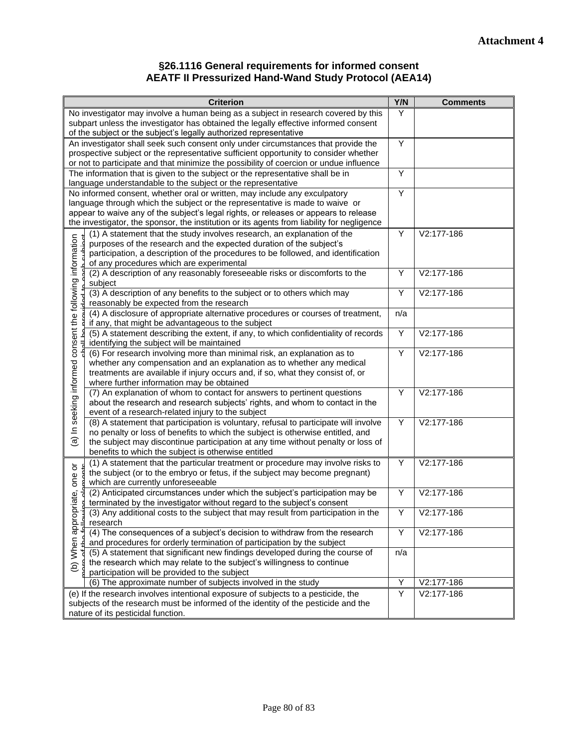#### **§26.1116 General requirements for informed consent AEATF II Pressurized Hand-Wand Study Protocol (AEA14)**

| <b>Criterion</b>                                                                                                                                                                   | Y/N | <b>Comments</b> |
|------------------------------------------------------------------------------------------------------------------------------------------------------------------------------------|-----|-----------------|
| No investigator may involve a human being as a subject in research covered by this                                                                                                 | Y   |                 |
| subpart unless the investigator has obtained the legally effective informed consent                                                                                                |     |                 |
| of the subject or the subject's legally authorized representative                                                                                                                  |     |                 |
| An investigator shall seek such consent only under circumstances that provide the                                                                                                  | Y   |                 |
| prospective subject or the representative sufficient opportunity to consider whether                                                                                               |     |                 |
| or not to participate and that minimize the possibility of coercion or undue influence                                                                                             |     |                 |
| The information that is given to the subject or the representative shall be in                                                                                                     | Υ   |                 |
| language understandable to the subject or the representative                                                                                                                       |     |                 |
| No informed consent, whether oral or written, may include any exculpatory                                                                                                          | Ÿ   |                 |
| language through which the subject or the representative is made to waive or                                                                                                       |     |                 |
| appear to waive any of the subject's legal rights, or releases or appears to release<br>the investigator, the sponsor, the institution or its agents from liability for negligence |     |                 |
| (1) A statement that the study involves research, an explanation of the                                                                                                            | Y   | V2:177-186      |
| purposes of the research and the expected duration of the subject's                                                                                                                |     |                 |
| participation, a description of the procedures to be followed, and identification                                                                                                  |     |                 |
| of any procedures which are experimental                                                                                                                                           |     |                 |
| (2) A description of any reasonably foreseeable risks or discomforts to the                                                                                                        | Y   | V2:177-186      |
| subject                                                                                                                                                                            |     |                 |
| (3) A description of any benefits to the subject or to others which may                                                                                                            | Υ   | V2:177-186      |
| reasonably be expected from the research                                                                                                                                           |     |                 |
| (4) A disclosure of appropriate alternative procedures or courses of treatment,                                                                                                    | n/a |                 |
| if any, that might be advantageous to the subject                                                                                                                                  |     |                 |
| (5) A statement describing the extent, if any, to which confidentiality of records                                                                                                 | Y   | V2:177-186      |
| identifying the subject will be maintained                                                                                                                                         |     |                 |
| (6) For research involving more than minimal risk, an explanation as to                                                                                                            | Y   | V2:177-186      |
| whether any compensation and an explanation as to whether any medical                                                                                                              |     |                 |
| treatments are available if injury occurs and, if so, what they consist of, or                                                                                                     |     |                 |
| (a) In seeking informed consent the following information<br>where further information may be obtained                                                                             |     |                 |
| (7) An explanation of whom to contact for answers to pertinent questions                                                                                                           | Y   | V2:177-186      |
| about the research and research subjects' rights, and whom to contact in the                                                                                                       |     |                 |
| event of a research-related injury to the subject<br>(8) A statement that participation is voluntary, refusal to participate will involve                                          | Y   | V2:177-186      |
| no penalty or loss of benefits to which the subject is otherwise entitled, and                                                                                                     |     |                 |
| the subject may discontinue participation at any time without penalty or loss of                                                                                                   |     |                 |
| benefits to which the subject is otherwise entitled                                                                                                                                |     |                 |
| (1) A statement that the particular treatment or procedure may involve risks to                                                                                                    | Υ   | V2:177-186      |
| ŏ<br>the subject (or to the embryo or fetus, if the subject may become pregnant)                                                                                                   |     |                 |
| one<br>which are currently unforeseeable                                                                                                                                           |     |                 |
| (2) Anticipated circumstances under which the subject's participation may be                                                                                                       | Υ   | V2:177-186      |
| opriate,<br>terminated by the investigator without regard to the subject's consent                                                                                                 |     |                 |
| (3) Any additional costs to the subject that may result from participation in the                                                                                                  | Υ   | V2:177-186      |
| appr<br>research                                                                                                                                                                   |     |                 |
| (4) The consequences of a subject's decision to withdraw from the research                                                                                                         | Υ   | V2:177-186      |
| and procedures for orderly termination of participation by the subject                                                                                                             |     |                 |
| When<br>(5) A statement that significant new findings developed during the course of                                                                                               | n/a |                 |
| the research which may relate to the subject's willingness to continue<br>$\widehat{e}$                                                                                            |     |                 |
| participation will be provided to the subject                                                                                                                                      |     |                 |
| (6) The approximate number of subjects involved in the study                                                                                                                       | Υ   | V2:177-186      |
| (e) If the research involves intentional exposure of subjects to a pesticide, the                                                                                                  | Υ   | V2:177-186      |
| subjects of the research must be informed of the identity of the pesticide and the                                                                                                 |     |                 |
| nature of its pesticidal function.                                                                                                                                                 |     |                 |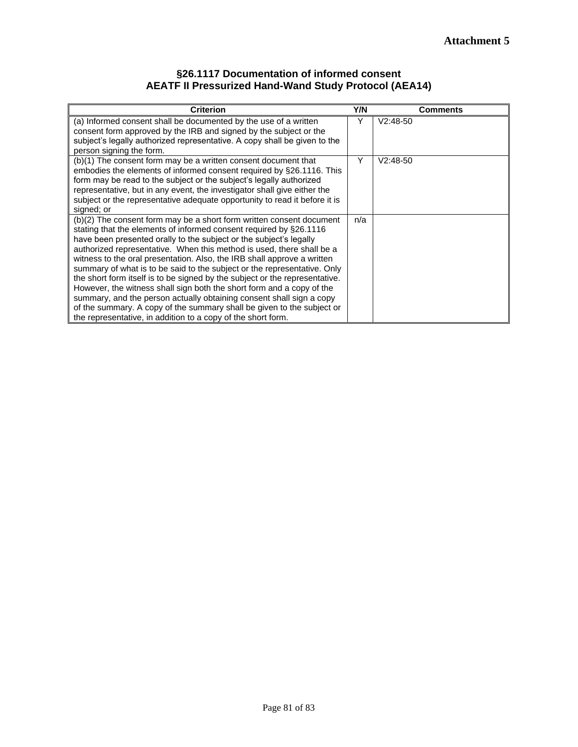#### **§26.1117 Documentation of informed consent AEATF II Pressurized Hand-Wand Study Protocol (AEA14)**

| <b>Criterion</b>                                                                                                                                                                                                                                                                                                                                                                                                                                                                                                                                                                                                                                                                                                                                                                                                           | Y/N | <b>Comments</b> |
|----------------------------------------------------------------------------------------------------------------------------------------------------------------------------------------------------------------------------------------------------------------------------------------------------------------------------------------------------------------------------------------------------------------------------------------------------------------------------------------------------------------------------------------------------------------------------------------------------------------------------------------------------------------------------------------------------------------------------------------------------------------------------------------------------------------------------|-----|-----------------|
| (a) Informed consent shall be documented by the use of a written<br>consent form approved by the IRB and signed by the subject or the<br>subject's legally authorized representative. A copy shall be given to the<br>person signing the form.                                                                                                                                                                                                                                                                                                                                                                                                                                                                                                                                                                             | Y   | $V2:48-50$      |
| (b)(1) The consent form may be a written consent document that<br>embodies the elements of informed consent required by §26.1116. This<br>form may be read to the subject or the subject's legally authorized<br>representative, but in any event, the investigator shall give either the<br>subject or the representative adequate opportunity to read it before it is<br>signed; or                                                                                                                                                                                                                                                                                                                                                                                                                                      | Y   | $V2:48-50$      |
| (b)(2) The consent form may be a short form written consent document<br>stating that the elements of informed consent required by §26.1116<br>have been presented orally to the subject or the subject's legally<br>authorized representative. When this method is used, there shall be a<br>witness to the oral presentation. Also, the IRB shall approve a written<br>summary of what is to be said to the subject or the representative. Only<br>the short form itself is to be signed by the subject or the representative.<br>However, the witness shall sign both the short form and a copy of the<br>summary, and the person actually obtaining consent shall sign a copy<br>of the summary. A copy of the summary shall be given to the subject or<br>the representative, in addition to a copy of the short form. | n/a |                 |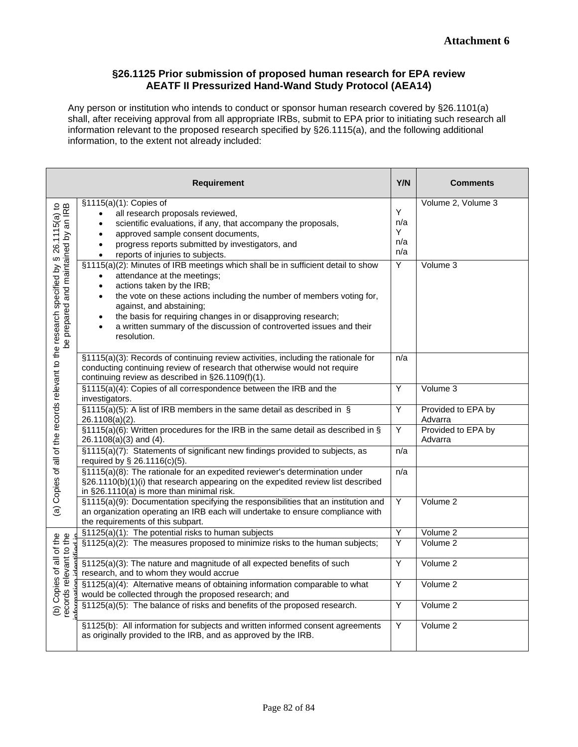#### **§26.1125 Prior submission of proposed human research for EPA review AEATF II Pressurized Hand-Wand Study Protocol (AEA14)**

Any person or institution who intends to conduct or sponsor human research covered by §26.1101(a) shall, after receiving approval from all appropriate IRBs, submit to EPA prior to initiating such research all information relevant to the proposed research specified by §26.1115(a), and the following additional information, to the extent not already included:

|                                                                                                                                                           | <b>Requirement</b>                                                                                                                                                                                                                                                                                                                                                                                                                 | Y/N                         | <b>Comments</b>               |
|-----------------------------------------------------------------------------------------------------------------------------------------------------------|------------------------------------------------------------------------------------------------------------------------------------------------------------------------------------------------------------------------------------------------------------------------------------------------------------------------------------------------------------------------------------------------------------------------------------|-----------------------------|-------------------------------|
| e research specified by § 26.1115(a) to<br>be prepared and maintained by an IRB<br>(a) Copies of all of the records relevant to the research specified by | §1115(a)(1): Copies of<br>all research proposals reviewed,<br>scientific evaluations, if any, that accompany the proposals,<br>approved sample consent documents,<br>$\bullet$<br>progress reports submitted by investigators, and<br>$\bullet$<br>reports of injuries to subjects.<br>$\bullet$                                                                                                                                   | Y<br>n/a<br>Υ<br>n/a<br>n/a | Volume 2, Volume 3            |
|                                                                                                                                                           | §1115(a)(2): Minutes of IRB meetings which shall be in sufficient detail to show<br>attendance at the meetings;<br>actions taken by the IRB;<br>$\bullet$<br>the vote on these actions including the number of members voting for,<br>$\bullet$<br>against, and abstaining;<br>the basis for requiring changes in or disapproving research;<br>a written summary of the discussion of controverted issues and their<br>resolution. | $\overline{Y}$              | Volume 3                      |
|                                                                                                                                                           | §1115(a)(3): Records of continuing review activities, including the rationale for<br>conducting continuing review of research that otherwise would not require<br>continuing review as described in §26.1109(f)(1).                                                                                                                                                                                                                | n/a                         |                               |
|                                                                                                                                                           | §1115(a)(4): Copies of all correspondence between the IRB and the<br>investigators.                                                                                                                                                                                                                                                                                                                                                | Υ                           | Volume 3                      |
|                                                                                                                                                           | $\S$ 1115(a)(5): A list of IRB members in the same detail as described in $\S$<br>26.1108(a)(2).                                                                                                                                                                                                                                                                                                                                   | Y                           | Provided to EPA by<br>Advarra |
|                                                                                                                                                           | $\S1115(a)(6)$ : Written procedures for the IRB in the same detail as described in §<br>26.1108(a)(3) and (4).                                                                                                                                                                                                                                                                                                                     | Y                           | Provided to EPA by<br>Advarra |
|                                                                                                                                                           | §1115(a)(7): Statements of significant new findings provided to subjects, as<br>required by § 26.1116(c)(5).                                                                                                                                                                                                                                                                                                                       | n/a                         |                               |
|                                                                                                                                                           | §1115(a)(8): The rationale for an expedited reviewer's determination under<br>§26.1110(b)(1)(i) that research appearing on the expedited review list described<br>in §26.1110(a) is more than minimal risk.                                                                                                                                                                                                                        | n/a                         |                               |
|                                                                                                                                                           | §1115(a)(9): Documentation specifying the responsibilities that an institution and<br>an organization operating an IRB each will undertake to ensure compliance with<br>the requirements of this subpart.                                                                                                                                                                                                                          | $\overline{Y}$              | Volume 2                      |
|                                                                                                                                                           | §1125(a)(1): The potential risks to human subjects                                                                                                                                                                                                                                                                                                                                                                                 | Υ                           | Volume 2                      |
| of the<br>to the                                                                                                                                          | §1125(a)(2): The measures proposed to minimize risks to the human subjects;                                                                                                                                                                                                                                                                                                                                                        | $\overline{Y}$              | Volume 2                      |
|                                                                                                                                                           | §1125(a)(3): The nature and magnitude of all expected benefits of such<br>research, and to whom they would accrue                                                                                                                                                                                                                                                                                                                  | Y                           | Volume 2                      |
| records relevant<br>Copies of<br>$\widehat{e}$                                                                                                            | §1125(a)(4): Alternative means of obtaining information comparable to what<br>would be collected through the proposed research; and                                                                                                                                                                                                                                                                                                | Y                           | Volume 2                      |
|                                                                                                                                                           | §1125(a)(5): The balance of risks and benefits of the proposed research.                                                                                                                                                                                                                                                                                                                                                           | Y                           | Volume 2                      |
|                                                                                                                                                           | §1125(b): All information for subjects and written informed consent agreements<br>as originally provided to the IRB, and as approved by the IRB.                                                                                                                                                                                                                                                                                   | Y                           | Volume 2                      |